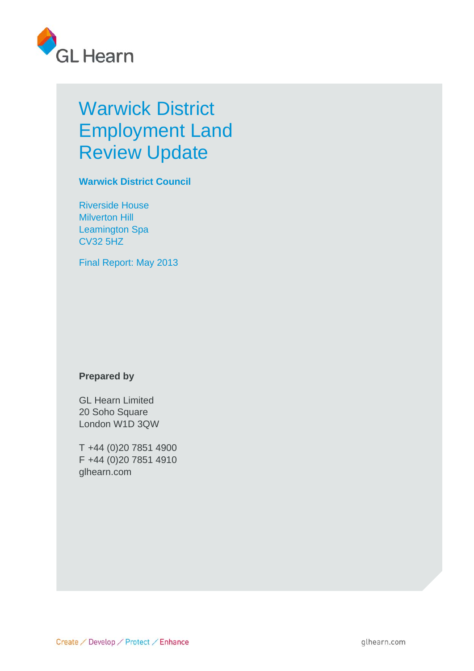

# Warwick District Employment Land Review Update

# **Warwick District Council**

Riverside House Milverton Hill Leamington Spa CV32 5HZ

Final Report: May 2013

# **Prepared by**

GL Hearn Limited 20 Soho Square London W1D 3QW

T +44 (0)20 7851 4900 F +44 (0)20 7851 4910 glhearn.com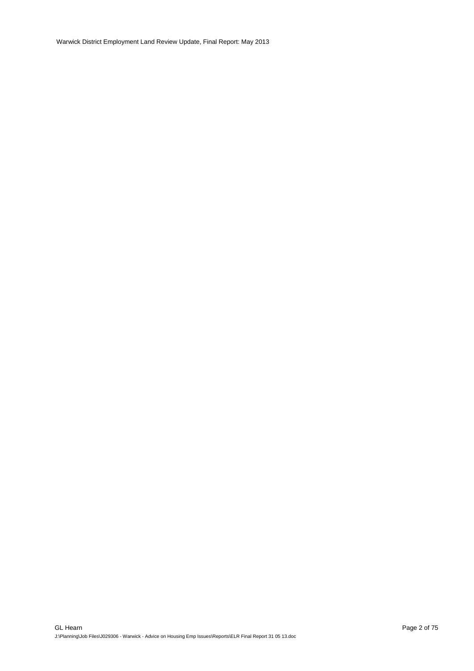Warwick District Employment Land Review Update, Final Report: May 2013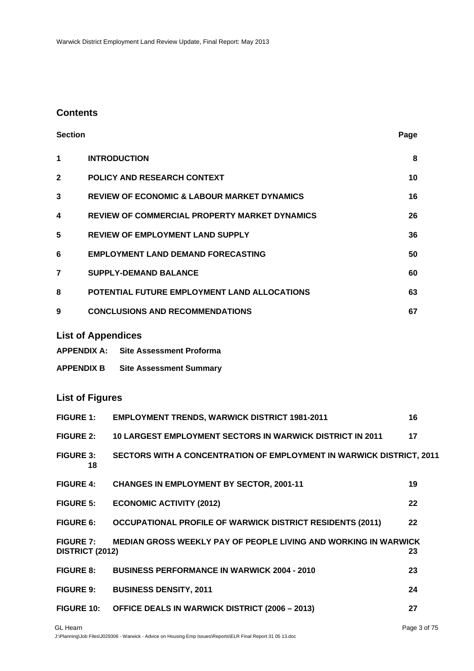# **Contents**

| <b>Section</b>                             |    |                                                                        | Page |
|--------------------------------------------|----|------------------------------------------------------------------------|------|
| 1                                          |    | <b>INTRODUCTION</b>                                                    | 8    |
| $\mathbf{2}$                               |    | POLICY AND RESEARCH CONTEXT                                            | 10   |
| 3                                          |    | <b>REVIEW OF ECONOMIC &amp; LABOUR MARKET DYNAMICS</b>                 | 16   |
| 4                                          |    | <b>REVIEW OF COMMERCIAL PROPERTY MARKET DYNAMICS</b>                   | 26   |
| 5                                          |    | <b>REVIEW OF EMPLOYMENT LAND SUPPLY</b>                                | 36   |
| 6                                          |    | <b>EMPLOYMENT LAND DEMAND FORECASTING</b>                              | 50   |
| 7                                          |    | <b>SUPPLY-DEMAND BALANCE</b>                                           | 60   |
| 8                                          |    | POTENTIAL FUTURE EMPLOYMENT LAND ALLOCATIONS                           | 63   |
| 9                                          |    | <b>CONCLUSIONS AND RECOMMENDATIONS</b>                                 | 67   |
| <b>List of Appendices</b>                  |    |                                                                        |      |
|                                            |    | <b>APPENDIX A: Site Assessment Proforma</b>                            |      |
|                                            |    | <b>APPENDIX B Site Assessment Summary</b>                              |      |
| <b>List of Figures</b>                     |    |                                                                        |      |
|                                            |    | FIGURE 1: EMPLOYMENT TRENDS, WARWICK DISTRICT 1981-2011                | 16   |
| <b>FIGURE 2:</b>                           |    | 10 LARGEST EMPLOYMENT SECTORS IN WARWICK DISTRICT IN 2011              | 17   |
| <b>FIGURE 3:</b>                           | 18 | SECTORS WITH A CONCENTRATION OF EMPLOYMENT IN WARWICK DISTRICT, 2011   |      |
| <b>FIGURE 4:</b>                           |    | <b>CHANGES IN EMPLOYMENT BY SECTOR, 2001-11</b>                        | 19   |
| <b>FIGURE 5:</b>                           |    | <b>ECONOMIC ACTIVITY (2012)</b>                                        | 22   |
| <b>FIGURE 6:</b>                           |    | <b>OCCUPATIONAL PROFILE OF WARWICK DISTRICT RESIDENTS (2011)</b>       | 22   |
| <b>FIGURE 7:</b><br><b>DISTRICT (2012)</b> |    | <b>MEDIAN GROSS WEEKLY PAY OF PEOPLE LIVING AND WORKING IN WARWICK</b> | 23   |
| <b>FIGURE 8:</b>                           |    | <b>BUSINESS PERFORMANCE IN WARWICK 2004 - 2010</b>                     | 23   |
| <b>FIGURE 9:</b>                           |    | <b>BUSINESS DENSITY, 2011</b>                                          | 24   |
| <b>FIGURE 10:</b>                          |    | <b>OFFICE DEALS IN WARWICK DISTRICT (2006 - 2013)</b>                  | 27   |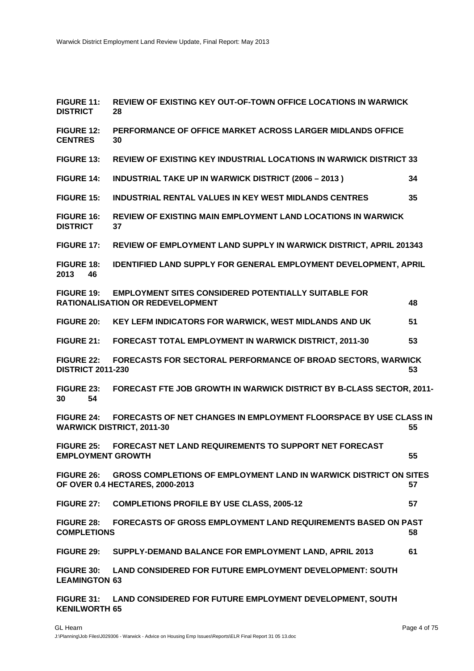| <b>FIGURE 11:</b><br><b>DISTRICT</b>          | <b>REVIEW OF EXISTING KEY OUT-OF-TOWN OFFICE LOCATIONS IN WARWICK</b><br>28                                      |    |
|-----------------------------------------------|------------------------------------------------------------------------------------------------------------------|----|
| <b>FIGURE 12:</b><br><b>CENTRES</b>           | PERFORMANCE OF OFFICE MARKET ACROSS LARGER MIDLANDS OFFICE<br>30                                                 |    |
| <b>FIGURE 13:</b>                             | <b>REVIEW OF EXISTING KEY INDUSTRIAL LOCATIONS IN WARWICK DISTRICT 33</b>                                        |    |
| <b>FIGURE 14:</b>                             | <b>INDUSTRIAL TAKE UP IN WARWICK DISTRICT (2006 - 2013)</b>                                                      | 34 |
| <b>FIGURE 15:</b>                             | <b>INDUSTRIAL RENTAL VALUES IN KEY WEST MIDLANDS CENTRES</b>                                                     | 35 |
| <b>FIGURE 16:</b><br><b>DISTRICT</b>          | <b>REVIEW OF EXISTING MAIN EMPLOYMENT LAND LOCATIONS IN WARWICK</b><br>37                                        |    |
| <b>FIGURE 17:</b>                             | REVIEW OF EMPLOYMENT LAND SUPPLY IN WARWICK DISTRICT, APRIL 201343                                               |    |
| <b>FIGURE 18:</b><br>2013<br>46               | <b>IDENTIFIED LAND SUPPLY FOR GENERAL EMPLOYMENT DEVELOPMENT, APRIL</b>                                          |    |
|                                               | FIGURE 19: EMPLOYMENT SITES CONSIDERED POTENTIALLY SUITABLE FOR<br><b>RATIONALISATION OR REDEVELOPMENT</b>       | 48 |
| <b>FIGURE 20:</b>                             | KEY LEFM INDICATORS FOR WARWICK, WEST MIDLANDS AND UK                                                            | 51 |
| <b>FIGURE 21:</b>                             | <b>FORECAST TOTAL EMPLOYMENT IN WARWICK DISTRICT, 2011-30</b>                                                    | 53 |
| <b>FIGURE 22:</b><br><b>DISTRICT 2011-230</b> | <b>FORECASTS FOR SECTORAL PERFORMANCE OF BROAD SECTORS, WARWICK</b>                                              | 53 |
| <b>FIGURE 23:</b><br>54<br>30                 | FORECAST FTE JOB GROWTH IN WARWICK DISTRICT BY B-CLASS SECTOR, 2011-                                             |    |
|                                               | FIGURE 24: FORECASTS OF NET CHANGES IN EMPLOYMENT FLOORSPACE BY USE CLASS IN<br><b>WARWICK DISTRICT, 2011-30</b> | 55 |
| <b>FIGURE 25:</b><br><b>EMPLOYMENT GROWTH</b> | <b>FORECAST NET LAND REQUIREMENTS TO SUPPORT NET FORECAST</b>                                                    | 55 |
| <b>FIGURE 26:</b>                             | <b>GROSS COMPLETIONS OF EMPLOYMENT LAND IN WARWICK DISTRICT ON SITES</b><br>OF OVER 0.4 HECTARES, 2000-2013      | 57 |
| <b>FIGURE 27:</b>                             | <b>COMPLETIONS PROFILE BY USE CLASS, 2005-12</b>                                                                 | 57 |
| <b>FIGURE 28:</b><br><b>COMPLETIONS</b>       | <b>FORECASTS OF GROSS EMPLOYMENT LAND REQUIREMENTS BASED ON PAST</b>                                             | 58 |
| <b>FIGURE 29:</b>                             | SUPPLY-DEMAND BALANCE FOR EMPLOYMENT LAND, APRIL 2013                                                            | 61 |
| <b>FIGURE 30:</b><br><b>LEAMINGTON 63</b>     | LAND CONSIDERED FOR FUTURE EMPLOYMENT DEVELOPMENT: SOUTH                                                         |    |
| <b>FIGURE 31:</b><br><b>KENILWORTH 65</b>     | LAND CONSIDERED FOR FUTURE EMPLOYMENT DEVELOPMENT, SOUTH                                                         |    |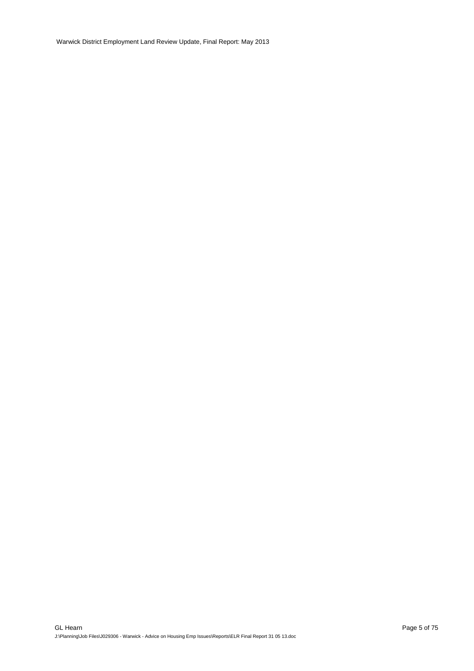Warwick District Employment Land Review Update, Final Report: May 2013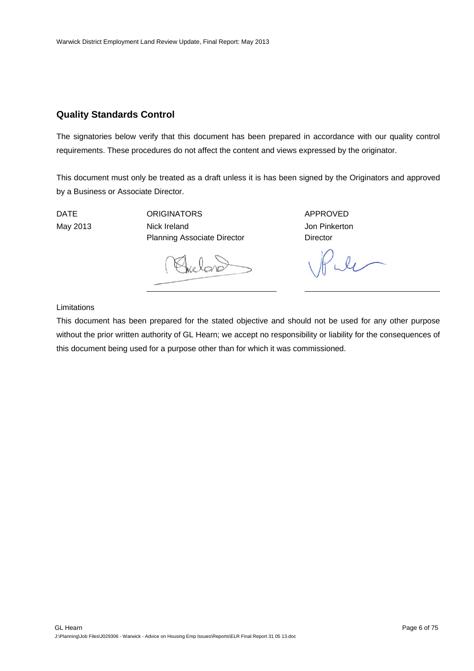# **Quality Standards Control**

The signatories below verify that this document has been prepared in accordance with our quality control requirements. These procedures do not affect the content and views expressed by the originator.

This document must only be treated as a draft unless it is has been signed by the Originators and approved by a Business or Associate Director.

May 2013 Nick Ireland **May 2013** Nick Ireland Planning Associate Director Director

DATE ORIGINATORS APPROVED

rlano

 $\overline{\mathcal{L}}$ 

#### Limitations

This document has been prepared for the stated objective and should not be used for any other purpose without the prior written authority of GL Hearn; we accept no responsibility or liability for the consequences of this document being used for a purpose other than for which it was commissioned.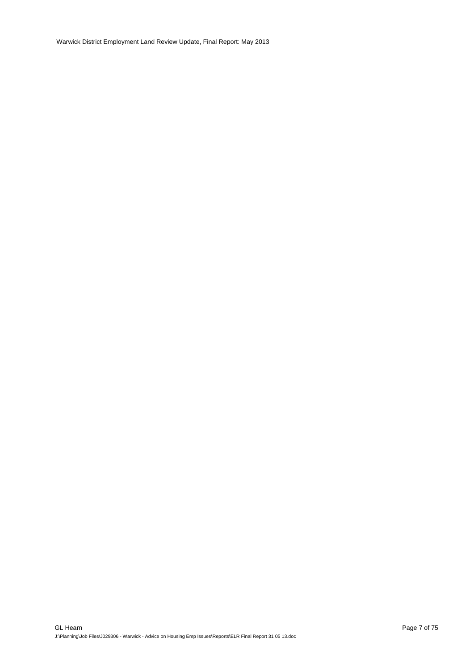Warwick District Employment Land Review Update, Final Report: May 2013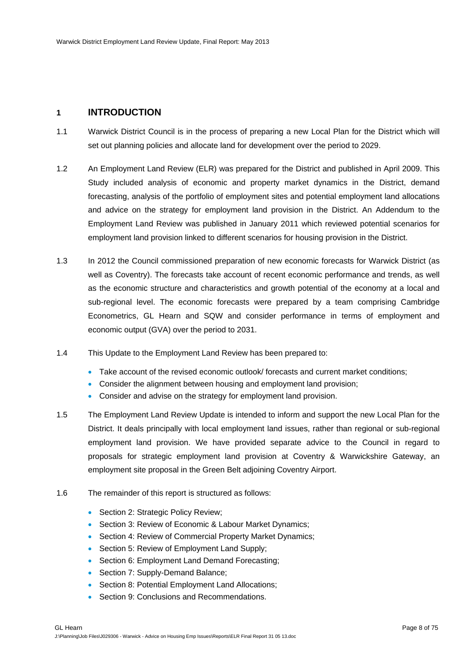# **1 INTRODUCTION**

- 1.1 Warwick District Council is in the process of preparing a new Local Plan for the District which will set out planning policies and allocate land for development over the period to 2029.
- 1.2 An Employment Land Review (ELR) was prepared for the District and published in April 2009. This Study included analysis of economic and property market dynamics in the District, demand forecasting, analysis of the portfolio of employment sites and potential employment land allocations and advice on the strategy for employment land provision in the District. An Addendum to the Employment Land Review was published in January 2011 which reviewed potential scenarios for employment land provision linked to different scenarios for housing provision in the District.
- 1.3 In 2012 the Council commissioned preparation of new economic forecasts for Warwick District (as well as Coventry). The forecasts take account of recent economic performance and trends, as well as the economic structure and characteristics and growth potential of the economy at a local and sub-regional level. The economic forecasts were prepared by a team comprising Cambridge Econometrics, GL Hearn and SQW and consider performance in terms of employment and economic output (GVA) over the period to 2031.
- 1.4 This Update to the Employment Land Review has been prepared to:
	- Take account of the revised economic outlook/forecasts and current market conditions;
	- Consider the alignment between housing and employment land provision;
	- Consider and advise on the strategy for employment land provision.
- 1.5 The Employment Land Review Update is intended to inform and support the new Local Plan for the District. It deals principally with local employment land issues, rather than regional or sub-regional employment land provision. We have provided separate advice to the Council in regard to proposals for strategic employment land provision at Coventry & Warwickshire Gateway, an employment site proposal in the Green Belt adjoining Coventry Airport.
- 1.6 The remainder of this report is structured as follows:
	- Section 2: Strategic Policy Review:
	- Section 3: Review of Economic & Labour Market Dynamics:
	- Section 4: Review of Commercial Property Market Dynamics;
	- Section 5: Review of Employment Land Supply;
	- Section 6: Employment Land Demand Forecasting;
	- Section 7: Supply-Demand Balance:
	- Section 8: Potential Employment Land Allocations;
	- Section 9: Conclusions and Recommendations.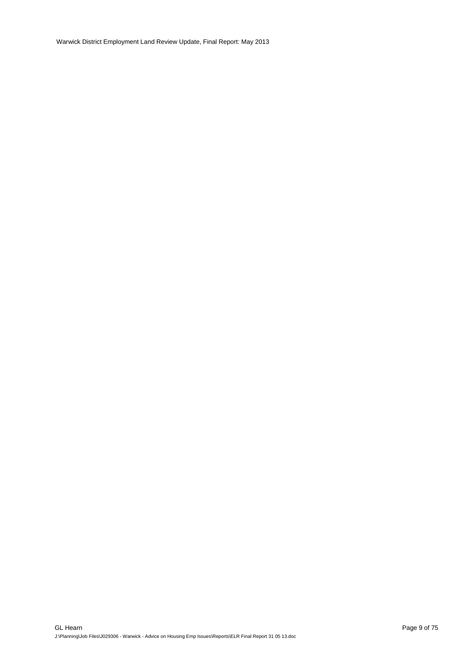Warwick District Employment Land Review Update, Final Report: May 2013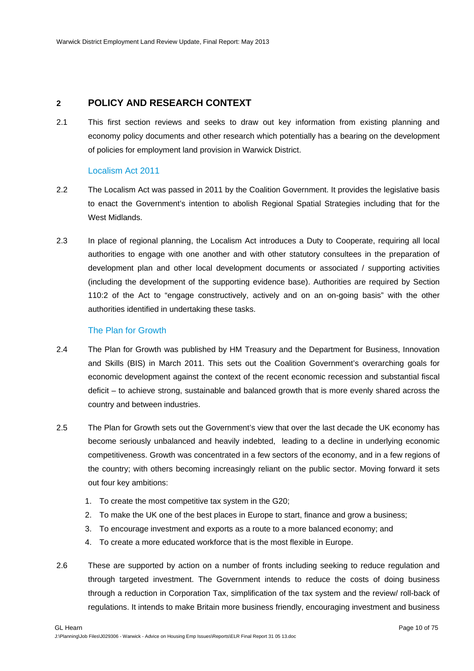# **2 POLICY AND RESEARCH CONTEXT**

2.1 This first section reviews and seeks to draw out key information from existing planning and economy policy documents and other research which potentially has a bearing on the development of policies for employment land provision in Warwick District.

# Localism Act 2011

- 2.2 The Localism Act was passed in 2011 by the Coalition Government. It provides the legislative basis to enact the Government's intention to abolish Regional Spatial Strategies including that for the West Midlands.
- 2.3 In place of regional planning, the Localism Act introduces a Duty to Cooperate, requiring all local authorities to engage with one another and with other statutory consultees in the preparation of development plan and other local development documents or associated / supporting activities (including the development of the supporting evidence base). Authorities are required by Section 110:2 of the Act to "engage constructively, actively and on an on-going basis" with the other authorities identified in undertaking these tasks.

## The Plan for Growth

- 2.4 The Plan for Growth was published by HM Treasury and the Department for Business, Innovation and Skills (BIS) in March 2011. This sets out the Coalition Government's overarching goals for economic development against the context of the recent economic recession and substantial fiscal deficit – to achieve strong, sustainable and balanced growth that is more evenly shared across the country and between industries.
- 2.5 The Plan for Growth sets out the Government's view that over the last decade the UK economy has become seriously unbalanced and heavily indebted, leading to a decline in underlying economic competitiveness. Growth was concentrated in a few sectors of the economy, and in a few regions of the country; with others becoming increasingly reliant on the public sector. Moving forward it sets out four key ambitions:
	- 1. To create the most competitive tax system in the G20;
	- 2. To make the UK one of the best places in Europe to start, finance and grow a business;
	- 3. To encourage investment and exports as a route to a more balanced economy; and
	- 4. To create a more educated workforce that is the most flexible in Europe.
- 2.6 These are supported by action on a number of fronts including seeking to reduce regulation and through targeted investment. The Government intends to reduce the costs of doing business through a reduction in Corporation Tax, simplification of the tax system and the review/ roll-back of regulations. It intends to make Britain more business friendly, encouraging investment and business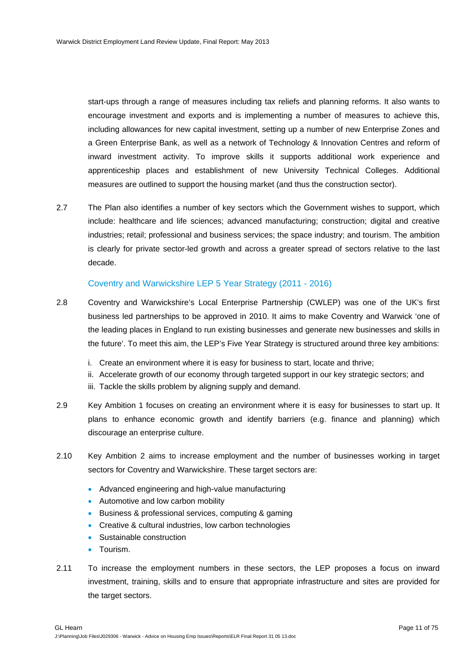start-ups through a range of measures including tax reliefs and planning reforms. It also wants to encourage investment and exports and is implementing a number of measures to achieve this, including allowances for new capital investment, setting up a number of new Enterprise Zones and a Green Enterprise Bank, as well as a network of Technology & Innovation Centres and reform of inward investment activity. To improve skills it supports additional work experience and apprenticeship places and establishment of new University Technical Colleges. Additional measures are outlined to support the housing market (and thus the construction sector).

2.7 The Plan also identifies a number of key sectors which the Government wishes to support, which include: healthcare and life sciences; advanced manufacturing; construction; digital and creative industries; retail; professional and business services; the space industry; and tourism. The ambition is clearly for private sector-led growth and across a greater spread of sectors relative to the last decade.

## Coventry and Warwickshire LEP 5 Year Strategy (2011 - 2016)

- 2.8 Coventry and Warwickshire's Local Enterprise Partnership (CWLEP) was one of the UK's first business led partnerships to be approved in 2010. It aims to make Coventry and Warwick 'one of the leading places in England to run existing businesses and generate new businesses and skills in the future'. To meet this aim, the LEP's Five Year Strategy is structured around three key ambitions:
	- i. Create an environment where it is easy for business to start, locate and thrive;
	- ii. Accelerate growth of our economy through targeted support in our key strategic sectors; and
	- iii. Tackle the skills problem by aligning supply and demand.
- 2.9 Key Ambition 1 focuses on creating an environment where it is easy for businesses to start up. It plans to enhance economic growth and identify barriers (e.g. finance and planning) which discourage an enterprise culture.
- 2.10 Key Ambition 2 aims to increase employment and the number of businesses working in target sectors for Coventry and Warwickshire. These target sectors are:
	- Advanced engineering and high-value manufacturing
	- Automotive and low carbon mobility
	- Business & professional services, computing & gaming
	- Creative & cultural industries, low carbon technologies
	- Sustainable construction
	- Tourism.
- 2.11 To increase the employment numbers in these sectors, the LEP proposes a focus on inward investment, training, skills and to ensure that appropriate infrastructure and sites are provided for the target sectors.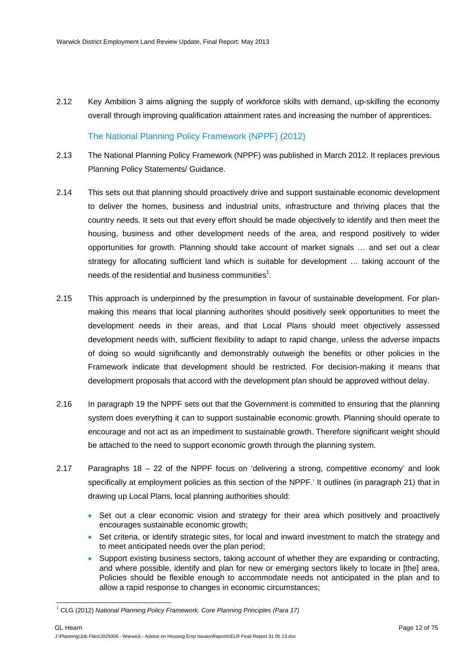2.12 Key Ambition 3 aims aligning the supply of workforce skills with demand, up-skilling the economy overall through improving qualification attainment rates and increasing the number of apprentices.

# The National Planning Policy Framework (NPPF) (2012)

- 2.13 The National Planning Policy Framework (NPPF) was published in March 2012. It replaces previous Planning Policy Statements/ Guidance.
- 2.14 This sets out that planning should proactively drive and support sustainable economic development to deliver the homes, business and industrial units, infrastructure and thriving places that the country needs. It sets out that every effort should be made objectively to identify and then meet the housing, business and other development needs of the area, and respond positively to wider opportunities for growth. Planning should take account of market signals … and set out a clear strategy for allocating sufficient land which is suitable for development … taking account of the needs of the residential and business communities<sup>1</sup>.
- 2.15 This approach is underpinned by the presumption in favour of sustainable development. For planmaking this means that local planning authorites should positively seek opportunities to meet the development needs in their areas, and that Local Plans should meet objectively assessed development needs with, sufficient flexibility to adapt to rapid change, unless the adverse impacts of doing so would significantly and demonstrably outweigh the benefits or other policies in the Framework indicate that development should be restricted. For decision-making it means that development proposals that accord with the development plan should be approved without delay.
- 2.16 In paragraph 19 the NPPF sets out that the Government is committed to ensuring that the planning system does everything it can to support sustainable economic growth. Planning should operate to encourage and not act as an impediment to sustainable growth. Therefore significant weight should be attached to the need to support economic growth through the planning system.
- 2.17 Paragraphs 18 22 of the NPPF focus on 'delivering a strong, competitive economy' and look specifically at employment policies as this section of the NPPF.' It outlines (in paragraph 21) that in drawing up Local Plans, local planning authorities should:
	- Set out a clear economic vision and strategy for their area which positively and proactively encourages sustainable economic growth;
	- Set criteria, or identify strategic sites, for local and inward investment to match the strategy and to meet anticipated needs over the plan period;
	- Support existing business sectors, taking account of whether they are expanding or contracting, and where possible, identify and plan for new or emerging sectors likely to locate in [the] area. Policies should be flexible enough to accommodate needs not anticipated in the plan and to allow a rapid response to changes in economic circumstances;

1

<sup>&</sup>lt;sup>1</sup> CLG (2012) National Planning Policy Framework. Core Planning Principles (Para 17)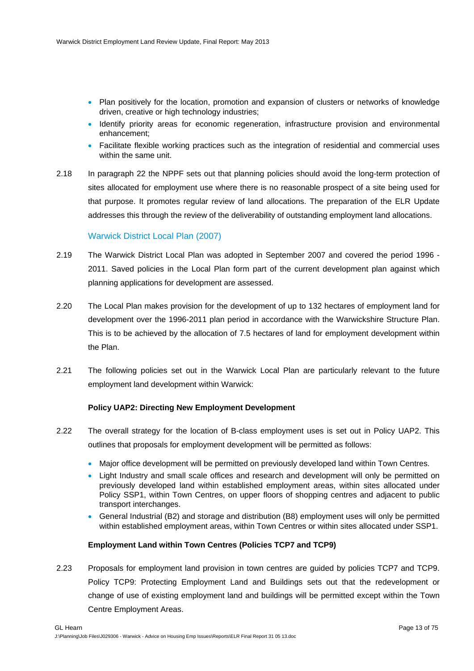- Plan positively for the location, promotion and expansion of clusters or networks of knowledge driven, creative or high technology industries;
- Identify priority areas for economic regeneration, infrastructure provision and environmental enhancement;
- Facilitate flexible working practices such as the integration of residential and commercial uses within the same unit.
- 2.18 In paragraph 22 the NPPF sets out that planning policies should avoid the long-term protection of sites allocated for employment use where there is no reasonable prospect of a site being used for that purpose. It promotes regular review of land allocations. The preparation of the ELR Update addresses this through the review of the deliverability of outstanding employment land allocations.

#### Warwick District Local Plan (2007)

- 2.19 The Warwick District Local Plan was adopted in September 2007 and covered the period 1996 2011. Saved policies in the Local Plan form part of the current development plan against which planning applications for development are assessed.
- 2.20 The Local Plan makes provision for the development of up to 132 hectares of employment land for development over the 1996-2011 plan period in accordance with the Warwickshire Structure Plan. This is to be achieved by the allocation of 7.5 hectares of land for employment development within the Plan.
- 2.21 The following policies set out in the Warwick Local Plan are particularly relevant to the future employment land development within Warwick:

#### **Policy UAP2: Directing New Employment Development**

- 2.22 The overall strategy for the location of B-class employment uses is set out in Policy UAP2. This outlines that proposals for employment development will be permitted as follows:
	- Major office development will be permitted on previously developed land within Town Centres.
	- Light Industry and small scale offices and research and development will only be permitted on previously developed land within established employment areas, within sites allocated under Policy SSP1, within Town Centres, on upper floors of shopping centres and adjacent to public transport interchanges.
	- General Industrial (B2) and storage and distribution (B8) employment uses will only be permitted within established employment areas, within Town Centres or within sites allocated under SSP1.

#### **Employment Land within Town Centres (Policies TCP7 and TCP9)**

2.23 Proposals for employment land provision in town centres are guided by policies TCP7 and TCP9. Policy TCP9: Protecting Employment Land and Buildings sets out that the redevelopment or change of use of existing employment land and buildings will be permitted except within the Town Centre Employment Areas.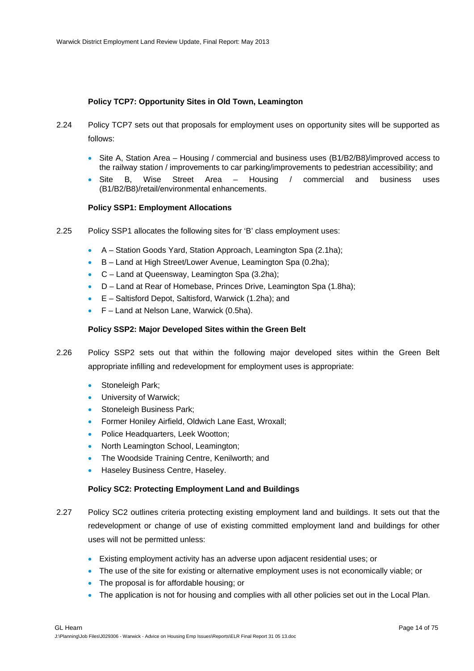## **Policy TCP7: Opportunity Sites in Old Town, Leamington**

- 2.24 Policy TCP7 sets out that proposals for employment uses on opportunity sites will be supported as follows:
	- Site A, Station Area Housing / commercial and business uses (B1/B2/B8)/improved access to the railway station / improvements to car parking/improvements to pedestrian accessibility; and
	- Site B, Wise Street Area Housing / commercial and business uses (B1/B2/B8)/retail/environmental enhancements.

## **Policy SSP1: Employment Allocations**

- 2.25 Policy SSP1 allocates the following sites for 'B' class employment uses:
	- A Station Goods Yard, Station Approach, Leamington Spa (2.1ha);
	- B Land at High Street/Lower Avenue, Leamington Spa (0.2ha);
	- C Land at Queensway, Leamington Spa (3.2ha);
	- D Land at Rear of Homebase, Princes Drive, Leamington Spa (1.8ha);
	- E Saltisford Depot, Saltisford, Warwick (1.2ha); and
	- F Land at Nelson Lane, Warwick (0.5ha).

#### **Policy SSP2: Major Developed Sites within the Green Belt**

- 2.26 Policy SSP2 sets out that within the following major developed sites within the Green Belt appropriate infilling and redevelopment for employment uses is appropriate:
	- Stoneleigh Park;
	- University of Warwick;
	- Stoneleigh Business Park;
	- Former Honiley Airfield, Oldwich Lane East, Wroxall;
	- Police Headquarters, Leek Wootton;
	- North Leamington School, Leamington;
	- The Woodside Training Centre, Kenilworth; and
	- Haseley Business Centre, Haseley.

#### **Policy SC2: Protecting Employment Land and Buildings**

- 2.27 Policy SC2 outlines criteria protecting existing employment land and buildings. It sets out that the redevelopment or change of use of existing committed employment land and buildings for other uses will not be permitted unless:
	- Existing employment activity has an adverse upon adjacent residential uses; or
	- The use of the site for existing or alternative employment uses is not economically viable; or
	- The proposal is for affordable housing; or
	- The application is not for housing and complies with all other policies set out in the Local Plan.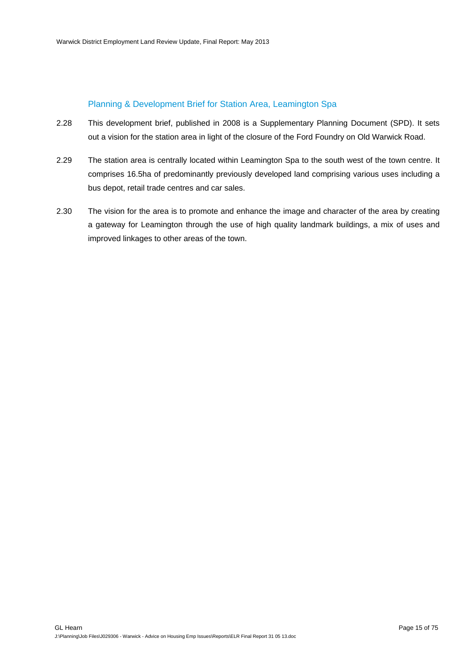# Planning & Development Brief for Station Area, Leamington Spa

- 2.28 This development brief, published in 2008 is a Supplementary Planning Document (SPD). It sets out a vision for the station area in light of the closure of the Ford Foundry on Old Warwick Road.
- 2.29 The station area is centrally located within Leamington Spa to the south west of the town centre. It comprises 16.5ha of predominantly previously developed land comprising various uses including a bus depot, retail trade centres and car sales.
- 2.30 The vision for the area is to promote and enhance the image and character of the area by creating a gateway for Leamington through the use of high quality landmark buildings, a mix of uses and improved linkages to other areas of the town.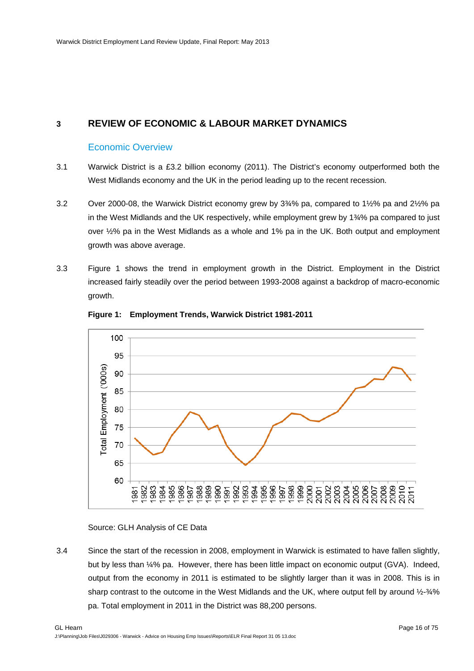# **3 REVIEW OF ECONOMIC & LABOUR MARKET DYNAMICS**

# Economic Overview

- 3.1 Warwick District is a £3.2 billion economy (2011). The District's economy outperformed both the West Midlands economy and the UK in the period leading up to the recent recession.
- 3.2 Over 2000-08, the Warwick District economy grew by 3¾% pa, compared to 1½% pa and 2½% pa in the West Midlands and the UK respectively, while employment grew by 1¾% pa compared to just over ½% pa in the West Midlands as a whole and 1% pa in the UK. Both output and employment growth was above average.
- 3.3 Figure 1 shows the trend in employment growth in the District. Employment in the District increased fairly steadily over the period between 1993-2008 against a backdrop of macro-economic growth.



**Figure 1: Employment Trends, Warwick District 1981-2011** 

#### Source: GLH Analysis of CE Data

3.4 Since the start of the recession in 2008, employment in Warwick is estimated to have fallen slightly, but by less than ¼% pa. However, there has been little impact on economic output (GVA). Indeed, output from the economy in 2011 is estimated to be slightly larger than it was in 2008. This is in sharp contrast to the outcome in the West Midlands and the UK, where output fell by around  $\frac{1}{2}$ - $\frac{3}{4}$ % pa. Total employment in 2011 in the District was 88,200 persons.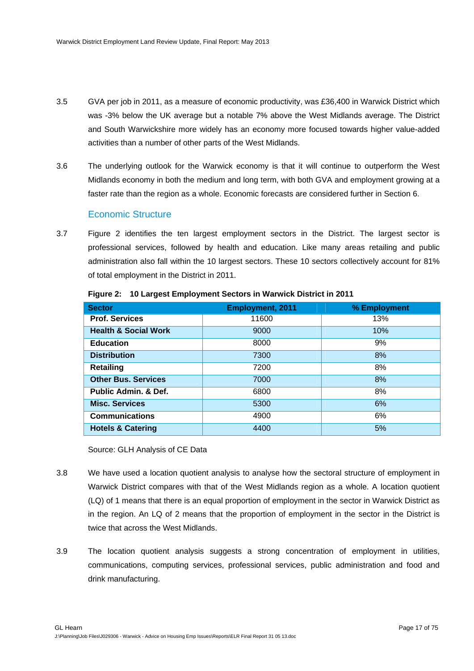- 3.5 GVA per job in 2011, as a measure of economic productivity, was £36,400 in Warwick District which was -3% below the UK average but a notable 7% above the West Midlands average. The District and South Warwickshire more widely has an economy more focused towards higher value-added activities than a number of other parts of the West Midlands.
- 3.6 The underlying outlook for the Warwick economy is that it will continue to outperform the West Midlands economy in both the medium and long term, with both GVA and employment growing at a faster rate than the region as a whole. Economic forecasts are considered further in Section 6.

# Economic Structure

3.7 Figure 2 identifies the ten largest employment sectors in the District. The largest sector is professional services, followed by health and education. Like many areas retailing and public administration also fall within the 10 largest sectors. These 10 sectors collectively account for 81% of total employment in the District in 2011.

| <b>Sector</b>                   | <b>Employment, 2011</b> | % Employment |
|---------------------------------|-------------------------|--------------|
| <b>Prof. Services</b>           | 11600                   | 13%          |
| <b>Health &amp; Social Work</b> | 9000                    | 10%          |
| <b>Education</b>                | 8000                    | 9%           |
| <b>Distribution</b>             | 7300                    | 8%           |
| <b>Retailing</b>                | 7200                    | 8%           |
| <b>Other Bus. Services</b>      | 7000                    | 8%           |
| <b>Public Admin. &amp; Def.</b> | 6800                    | 8%           |
| <b>Misc. Services</b>           | 5300                    | 6%           |
| <b>Communications</b>           | 4900                    | 6%           |
| <b>Hotels &amp; Catering</b>    | 4400                    | 5%           |

**Figure 2: 10 Largest Employment Sectors in Warwick District in 2011** 

Source: GLH Analysis of CE Data

- 3.8 We have used a location quotient analysis to analyse how the sectoral structure of employment in Warwick District compares with that of the West Midlands region as a whole. A location quotient (LQ) of 1 means that there is an equal proportion of employment in the sector in Warwick District as in the region. An LQ of 2 means that the proportion of employment in the sector in the District is twice that across the West Midlands.
- 3.9 The location quotient analysis suggests a strong concentration of employment in utilities, communications, computing services, professional services, public administration and food and drink manufacturing.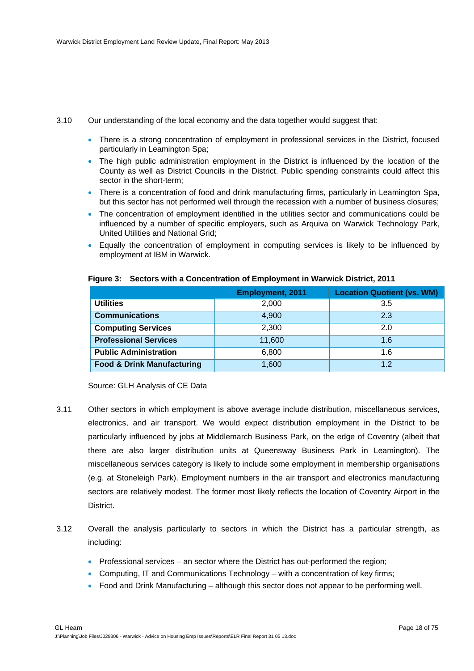- 3.10 Our understanding of the local economy and the data together would suggest that:
	- There is a strong concentration of employment in professional services in the District, focused particularly in Leamington Spa;
	- The high public administration employment in the District is influenced by the location of the County as well as District Councils in the District. Public spending constraints could affect this sector in the short-term:
	- There is a concentration of food and drink manufacturing firms, particularly in Leamington Spa, but this sector has not performed well through the recession with a number of business closures;
	- The concentration of employment identified in the utilities sector and communications could be influenced by a number of specific employers, such as Arquiva on Warwick Technology Park, United Utilities and National Grid;
	- Equally the concentration of employment in computing services is likely to be influenced by employment at IBM in Warwick.

|                                       | <b>Employment, 2011</b> | <b>Location Quotient (vs. WM)</b> |
|---------------------------------------|-------------------------|-----------------------------------|
| <b>Utilities</b>                      | 2,000                   | 3.5                               |
| <b>Communications</b>                 | 4,900                   | 2.3                               |
| <b>Computing Services</b>             | 2,300                   | 2.0                               |
| <b>Professional Services</b>          | 11,600                  | 1.6                               |
| <b>Public Administration</b>          | 6,800                   | 1.6                               |
| <b>Food &amp; Drink Manufacturing</b> | 1,600                   | 1.2                               |

#### **Figure 3: Sectors with a Concentration of Employment in Warwick District, 2011**

Source: GLH Analysis of CE Data

- 3.11 Other sectors in which employment is above average include distribution, miscellaneous services, electronics, and air transport. We would expect distribution employment in the District to be particularly influenced by jobs at Middlemarch Business Park, on the edge of Coventry (albeit that there are also larger distribution units at Queensway Business Park in Leamington). The miscellaneous services category is likely to include some employment in membership organisations (e.g. at Stoneleigh Park). Employment numbers in the air transport and electronics manufacturing sectors are relatively modest. The former most likely reflects the location of Coventry Airport in the District.
- 3.12 Overall the analysis particularly to sectors in which the District has a particular strength, as including:
	- Professional services an sector where the District has out-performed the region;
	- Computing, IT and Communications Technology with a concentration of key firms;
	- Food and Drink Manufacturing although this sector does not appear to be performing well.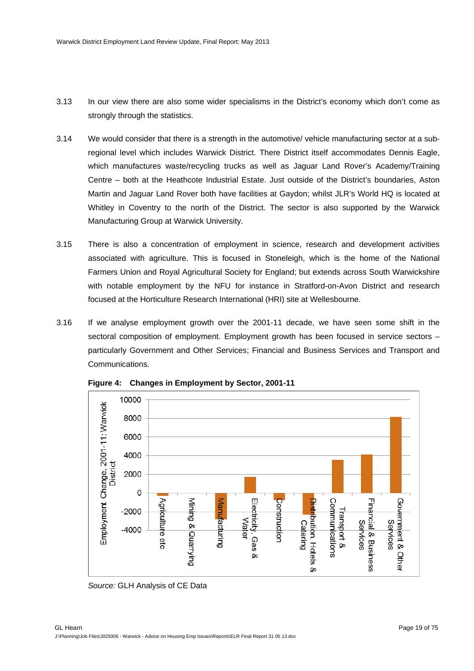- 3.13 In our view there are also some wider specialisms in the District's economy which don't come as strongly through the statistics.
- 3.14 We would consider that there is a strength in the automotive/ vehicle manufacturing sector at a subregional level which includes Warwick District. There District itself accommodates Dennis Eagle, which manufactures waste/recycling trucks as well as Jaguar Land Rover's Academy/Training Centre – both at the Heathcote Industrial Estate. Just outside of the District's boundaries, Aston Martin and Jaguar Land Rover both have facilities at Gaydon; whilst JLR's World HQ is located at Whitley in Coventry to the north of the District. The sector is also supported by the Warwick Manufacturing Group at Warwick University.
- 3.15 There is also a concentration of employment in science, research and development activities associated with agriculture. This is focused in Stoneleigh, which is the home of the National Farmers Union and Royal Agricultural Society for England; but extends across South Warwickshire with notable employment by the NFU for instance in Stratford-on-Avon District and research focused at the Horticulture Research International (HRI) site at Wellesbourne.
- 3.16 If we analyse employment growth over the 2001-11 decade, we have seen some shift in the sectoral composition of employment. Employment growth has been focused in service sectors – particularly Government and Other Services; Financial and Business Services and Transport and Communications.



**Figure 4: Changes in Employment by Sector, 2001-11** 

*Source:* GLH Analysis of CE Data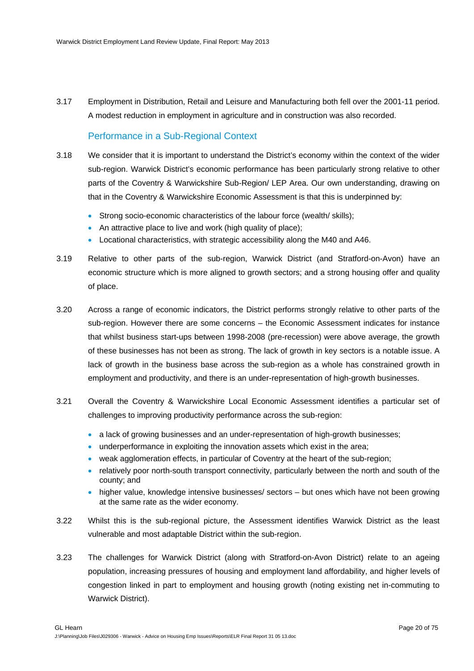3.17 Employment in Distribution, Retail and Leisure and Manufacturing both fell over the 2001-11 period. A modest reduction in employment in agriculture and in construction was also recorded.

# Performance in a Sub-Regional Context

- 3.18 We consider that it is important to understand the District's economy within the context of the wider sub-region. Warwick District's economic performance has been particularly strong relative to other parts of the Coventry & Warwickshire Sub-Region/ LEP Area. Our own understanding, drawing on that in the Coventry & Warwickshire Economic Assessment is that this is underpinned by:
	- Strong socio-economic characteristics of the labour force (wealth/ skills);
	- An attractive place to live and work (high quality of place);
	- Locational characteristics, with strategic accessibility along the M40 and A46.
- 3.19 Relative to other parts of the sub-region, Warwick District (and Stratford-on-Avon) have an economic structure which is more aligned to growth sectors; and a strong housing offer and quality of place.
- 3.20 Across a range of economic indicators, the District performs strongly relative to other parts of the sub-region. However there are some concerns – the Economic Assessment indicates for instance that whilst business start-ups between 1998-2008 (pre-recession) were above average, the growth of these businesses has not been as strong. The lack of growth in key sectors is a notable issue. A lack of growth in the business base across the sub-region as a whole has constrained growth in employment and productivity, and there is an under-representation of high-growth businesses.
- 3.21 Overall the Coventry & Warwickshire Local Economic Assessment identifies a particular set of challenges to improving productivity performance across the sub-region:
	- a lack of growing businesses and an under-representation of high-growth businesses;
	- underperformance in exploiting the innovation assets which exist in the area;
	- weak agglomeration effects, in particular of Coventry at the heart of the sub-region;
	- relatively poor north-south transport connectivity, particularly between the north and south of the county; and
	- higher value, knowledge intensive businesses/ sectors but ones which have not been growing at the same rate as the wider economy.
- 3.22 Whilst this is the sub-regional picture, the Assessment identifies Warwick District as the least vulnerable and most adaptable District within the sub-region.
- 3.23 The challenges for Warwick District (along with Stratford-on-Avon District) relate to an ageing population, increasing pressures of housing and employment land affordability, and higher levels of congestion linked in part to employment and housing growth (noting existing net in-commuting to Warwick District).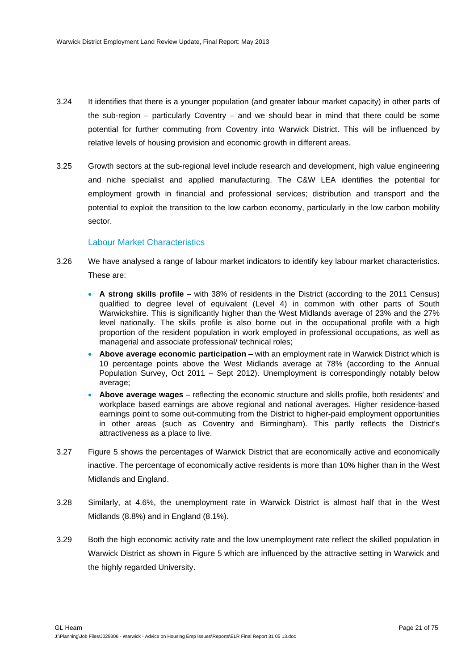- 3.24 It identifies that there is a younger population (and greater labour market capacity) in other parts of the sub-region – particularly Coventry – and we should bear in mind that there could be some potential for further commuting from Coventry into Warwick District. This will be influenced by relative levels of housing provision and economic growth in different areas.
- 3.25 Growth sectors at the sub-regional level include research and development, high value engineering and niche specialist and applied manufacturing. The C&W LEA identifies the potential for employment growth in financial and professional services; distribution and transport and the potential to exploit the transition to the low carbon economy, particularly in the low carbon mobility sector.

#### Labour Market Characteristics

- 3.26 We have analysed a range of labour market indicators to identify key labour market characteristics. These are:
	- **A strong skills profile** with 38% of residents in the District (according to the 2011 Census) qualified to degree level of equivalent (Level 4) in common with other parts of South Warwickshire. This is significantly higher than the West Midlands average of 23% and the 27% level nationally. The skills profile is also borne out in the occupational profile with a high proportion of the resident population in work employed in professional occupations, as well as managerial and associate professional/ technical roles;
	- **Above average economic participation** with an employment rate in Warwick District which is 10 percentage points above the West Midlands average at 78% (according to the Annual Population Survey, Oct 2011 – Sept 2012). Unemployment is correspondingly notably below average;
	- **Above average wages** reflecting the economic structure and skills profile, both residents' and workplace based earnings are above regional and national averages. Higher residence-based earnings point to some out-commuting from the District to higher-paid employment opportunities in other areas (such as Coventry and Birmingham). This partly reflects the District's attractiveness as a place to live.
- 3.27 Figure 5 shows the percentages of Warwick District that are economically active and economically inactive. The percentage of economically active residents is more than 10% higher than in the West Midlands and England.
- 3.28 Similarly, at 4.6%, the unemployment rate in Warwick District is almost half that in the West Midlands (8.8%) and in England (8.1%).
- 3.29 Both the high economic activity rate and the low unemployment rate reflect the skilled population in Warwick District as shown in Figure 5 which are influenced by the attractive setting in Warwick and the highly regarded University.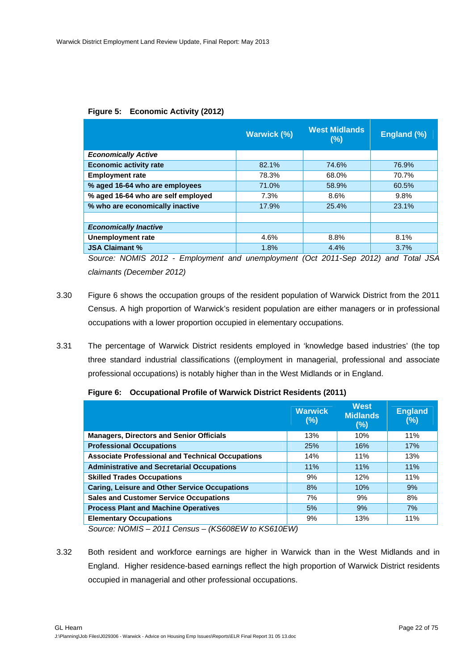|                                    | Warwick (%) | <b>West Midlands</b><br>$(\%)$ | England (%) |
|------------------------------------|-------------|--------------------------------|-------------|
| <b>Economically Active</b>         |             |                                |             |
| <b>Economic activity rate</b>      | 82.1%       | 74.6%                          | 76.9%       |
| <b>Employment rate</b>             | 78.3%       | 68.0%                          | 70.7%       |
| % aged 16-64 who are employees     | 71.0%       | 58.9%                          | 60.5%       |
| % aged 16-64 who are self employed | 7.3%        | 8.6%                           | $9.8\%$     |
| % who are economically inactive    | 17.9%       | 25.4%                          | 23.1%       |
|                                    |             |                                |             |
| <b>Economically Inactive</b>       |             |                                |             |
| Unemployment rate                  | 4.6%        | 8.8%                           | 8.1%        |
| <b>JSA Claimant %</b>              | 1.8%        | 4.4%                           | 3.7%        |

## **Figure 5: Economic Activity (2012)**

*Source: NOMIS 2012 - Employment and unemployment (Oct 2011-Sep 2012) and Total JSA claimants (December 2012)* 

- 3.30 Figure 6 shows the occupation groups of the resident population of Warwick District from the 2011 Census. A high proportion of Warwick's resident population are either managers or in professional occupations with a lower proportion occupied in elementary occupations.
- 3.31 The percentage of Warwick District residents employed in 'knowledge based industries' (the top three standard industrial classifications ((employment in managerial, professional and associate professional occupations) is notably higher than in the West Midlands or in England.

## **Figure 6: Occupational Profile of Warwick District Residents (2011)**

|                                                         | <b>Warwick</b><br>$(\%)$ | <b>West</b><br><b>Midlands</b><br>(%) | <b>England</b><br>(%) |
|---------------------------------------------------------|--------------------------|---------------------------------------|-----------------------|
| <b>Managers, Directors and Senior Officials</b>         | 13%                      | 10%                                   | 11%                   |
| <b>Professional Occupations</b>                         | 25%                      | 16%                                   | 17%                   |
| <b>Associate Professional and Technical Occupations</b> | 14%                      | 11%                                   | 13%                   |
| <b>Administrative and Secretarial Occupations</b>       | 11%                      | 11%                                   | 11%                   |
| <b>Skilled Trades Occupations</b>                       | 9%                       | 12%                                   | 11%                   |
| <b>Caring, Leisure and Other Service Occupations</b>    | 8%                       | 10%                                   | 9%                    |
| <b>Sales and Customer Service Occupations</b>           | 7%                       | 9%                                    | 8%                    |
| <b>Process Plant and Machine Operatives</b>             | 5%                       | 9%                                    | 7%                    |
| <b>Elementary Occupations</b>                           | 9%                       | 13%                                   | 11%                   |

*Source: NOMIS – 2011 Census – (KS608EW to KS610EW)*

3.32 Both resident and workforce earnings are higher in Warwick than in the West Midlands and in England. Higher residence-based earnings reflect the high proportion of Warwick District residents occupied in managerial and other professional occupations.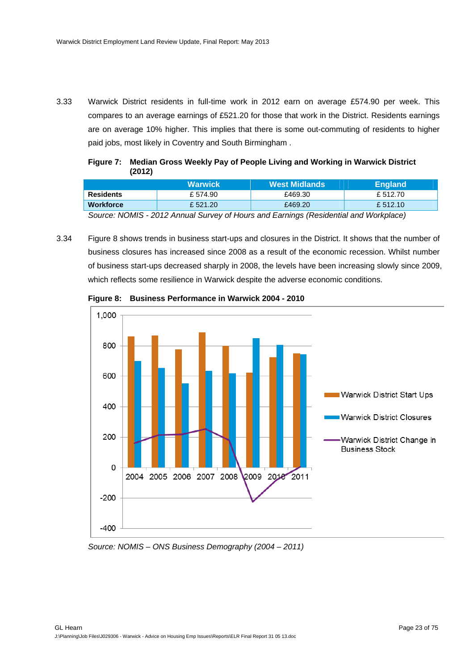3.33 Warwick District residents in full-time work in 2012 earn on average £574.90 per week. This compares to an average earnings of £521.20 for those that work in the District. Residents earnings are on average 10% higher. This implies that there is some out-commuting of residents to higher paid jobs, most likely in Coventry and South Birmingham .

|                  | $\cdots$<br>(2012) |                |                      |                |  |
|------------------|--------------------|----------------|----------------------|----------------|--|
|                  |                    | <b>Warwick</b> | <b>West Midlands</b> | <b>England</b> |  |
| <b>Residents</b> |                    | £ 574.90       | £469.30              | £512.70        |  |
| <b>Workforce</b> |                    | £521.20        | £469.20              | £512.10        |  |

| Figure 7: Median Gross Weekly Pay of People Living and Working in Warwick District |
|------------------------------------------------------------------------------------|
| (2012)                                                                             |

*Source: NOMIS - 2012 Annual Survey of Hours and Earnings (Residential and Workplace)* 

3.34 Figure 8 shows trends in business start-ups and closures in the District. It shows that the number of business closures has increased since 2008 as a result of the economic recession. Whilst number of business start-ups decreased sharply in 2008, the levels have been increasing slowly since 2009, which reflects some resilience in Warwick despite the adverse economic conditions.



**Figure 8: Business Performance in Warwick 2004 - 2010** 

*Source: NOMIS – ONS Business Demography (2004 – 2011)*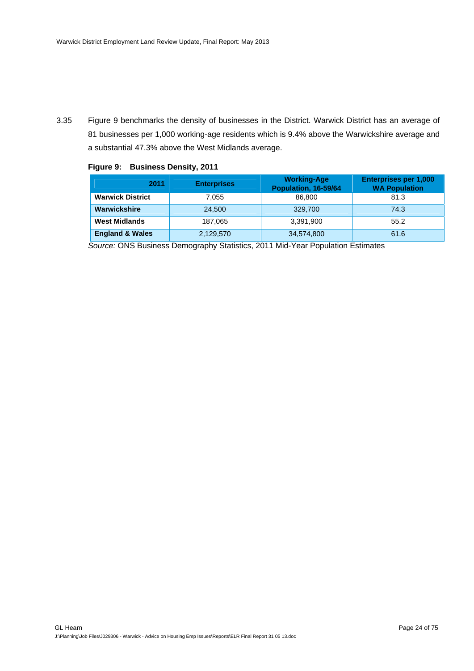3.35 Figure 9 benchmarks the density of businesses in the District. Warwick District has an average of 81 businesses per 1,000 working-age residents which is 9.4% above the Warwickshire average and a substantial 47.3% above the West Midlands average.

## **Figure 9: Business Density, 2011**

| 2011                       | <b>Enterprises</b> | <b>Working-Age</b><br>Population, 16-59/64 | <b>Enterprises per 1,000</b><br><b>WA Population</b> |
|----------------------------|--------------------|--------------------------------------------|------------------------------------------------------|
| <b>Warwick District</b>    | 7.055              | 86,800                                     | 81.3                                                 |
| Warwickshire               | 24,500             | 329,700                                    | 74.3                                                 |
| <b>West Midlands</b>       | 187.065            | 3,391,900                                  | 55.2                                                 |
| <b>England &amp; Wales</b> | 2,129,570          | 34,574,800                                 | 61.6                                                 |

*Source:* ONS Business Demography Statistics, 2011 Mid-Year Population Estimates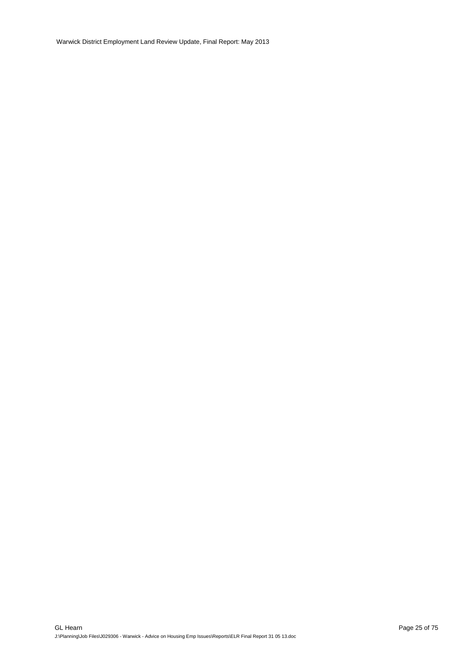Warwick District Employment Land Review Update, Final Report: May 2013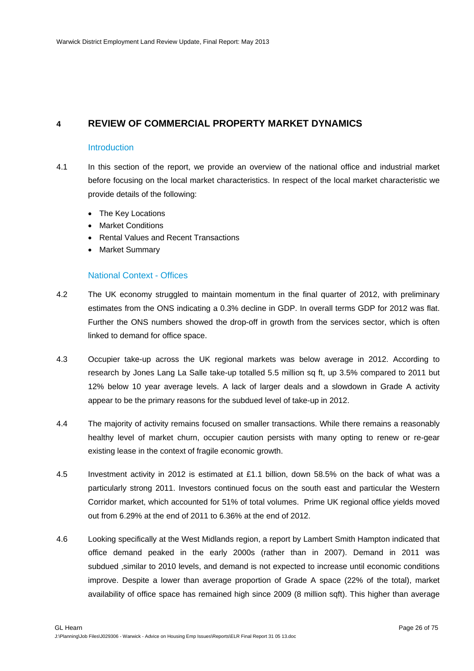# **4 REVIEW OF COMMERCIAL PROPERTY MARKET DYNAMICS**

#### **Introduction**

- 4.1 In this section of the report, we provide an overview of the national office and industrial market before focusing on the local market characteristics. In respect of the local market characteristic we provide details of the following:
	- The Key Locations
	- Market Conditions
	- Rental Values and Recent Transactions
	- Market Summary

## National Context - Offices

- 4.2 The UK economy struggled to maintain momentum in the final quarter of 2012, with preliminary estimates from the ONS indicating a 0.3% decline in GDP. In overall terms GDP for 2012 was flat. Further the ONS numbers showed the drop-off in growth from the services sector, which is often linked to demand for office space.
- 4.3 Occupier take-up across the UK regional markets was below average in 2012. According to research by Jones Lang La Salle take-up totalled 5.5 million sq ft, up 3.5% compared to 2011 but 12% below 10 year average levels. A lack of larger deals and a slowdown in Grade A activity appear to be the primary reasons for the subdued level of take-up in 2012.
- 4.4 The majority of activity remains focused on smaller transactions. While there remains a reasonably healthy level of market churn, occupier caution persists with many opting to renew or re-gear existing lease in the context of fragile economic growth.
- 4.5 Investment activity in 2012 is estimated at £1.1 billion, down 58.5% on the back of what was a particularly strong 2011. Investors continued focus on the south east and particular the Western Corridor market, which accounted for 51% of total volumes. Prime UK regional office yields moved out from 6.29% at the end of 2011 to 6.36% at the end of 2012.
- 4.6 Looking specifically at the West Midlands region, a report by Lambert Smith Hampton indicated that office demand peaked in the early 2000s (rather than in 2007). Demand in 2011 was subdued ,similar to 2010 levels, and demand is not expected to increase until economic conditions improve. Despite a lower than average proportion of Grade A space (22% of the total), market availability of office space has remained high since 2009 (8 million sqft). This higher than average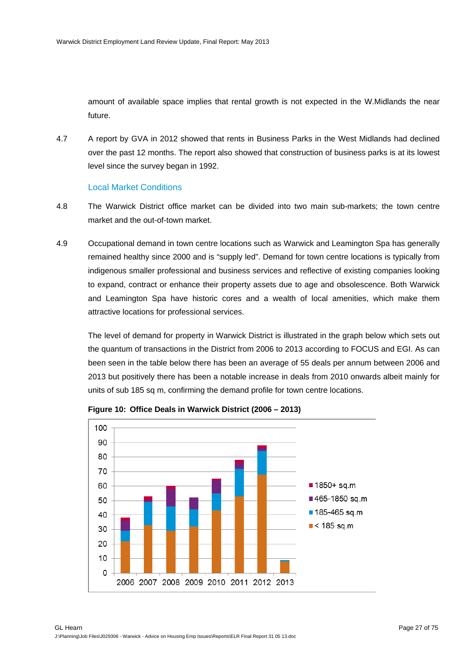amount of available space implies that rental growth is not expected in the W.Midlands the near future.

4.7 A report by GVA in 2012 showed that rents in Business Parks in the West Midlands had declined over the past 12 months. The report also showed that construction of business parks is at its lowest level since the survey began in 1992.

#### Local Market Conditions

- 4.8 The Warwick District office market can be divided into two main sub-markets; the town centre market and the out-of-town market.
- 4.9 Occupational demand in town centre locations such as Warwick and Leamington Spa has generally remained healthy since 2000 and is "supply led". Demand for town centre locations is typically from indigenous smaller professional and business services and reflective of existing companies looking to expand, contract or enhance their property assets due to age and obsolescence. Both Warwick and Leamington Spa have historic cores and a wealth of local amenities, which make them attractive locations for professional services.

The level of demand for property in Warwick District is illustrated in the graph below which sets out the quantum of transactions in the District from 2006 to 2013 according to FOCUS and EGI. As can been seen in the table below there has been an average of 55 deals per annum between 2006 and 2013 but positively there has been a notable increase in deals from 2010 onwards albeit mainly for units of sub 185 sq m, confirming the demand profile for town centre locations.



**Figure 10: Office Deals in Warwick District (2006 – 2013)**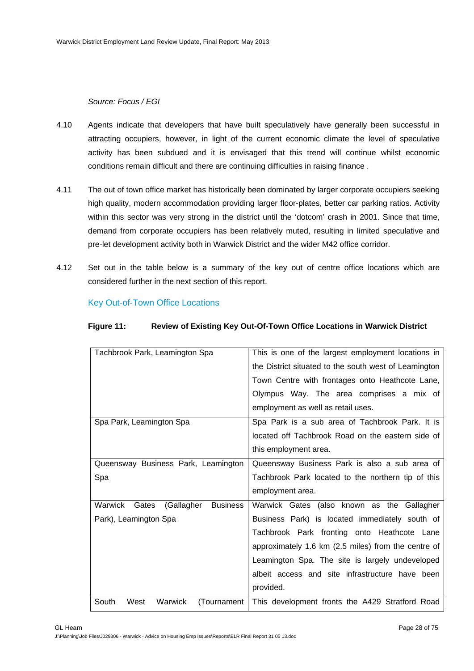## *Source: Focus / EGI*

- 4.10 Agents indicate that developers that have built speculatively have generally been successful in attracting occupiers, however, in light of the current economic climate the level of speculative activity has been subdued and it is envisaged that this trend will continue whilst economic conditions remain difficult and there are continuing difficulties in raising finance .
- 4.11 The out of town office market has historically been dominated by larger corporate occupiers seeking high quality, modern accommodation providing larger floor-plates, better car parking ratios. Activity within this sector was very strong in the district until the 'dotcom' crash in 2001. Since that time, demand from corporate occupiers has been relatively muted, resulting in limited speculative and pre-let development activity both in Warwick District and the wider M42 office corridor.
- 4.12 Set out in the table below is a summary of the key out of centre office locations which are considered further in the next section of this report.

Key Out-of-Town Office Locations

## **Figure 11: Review of Existing Key Out-Of-Town Office Locations in Warwick District**

| Tachbrook Park, Leamington Spa                    | This is one of the largest employment locations in    |  |  |
|---------------------------------------------------|-------------------------------------------------------|--|--|
|                                                   | the District situated to the south west of Leamington |  |  |
|                                                   | Town Centre with frontages onto Heathcote Lane,       |  |  |
|                                                   | Olympus Way. The area comprises a mix of              |  |  |
|                                                   | employment as well as retail uses.                    |  |  |
| Spa Park, Leamington Spa                          | Spa Park is a sub area of Tachbrook Park. It is       |  |  |
|                                                   | located off Tachbrook Road on the eastern side of     |  |  |
|                                                   | this employment area.                                 |  |  |
| Queensway Business Park, Leamington               | Queensway Business Park is also a sub area of         |  |  |
| Spa                                               | Tachbrook Park located to the northern tip of this    |  |  |
|                                                   | employment area.                                      |  |  |
| Warwick<br>Gates<br>(Gallagher<br><b>Business</b> | Warwick Gates (also known as the<br>Gallagher         |  |  |
| Park), Leamington Spa                             | Business Park) is located immediately south of        |  |  |
|                                                   | Tachbrook Park fronting onto Heathcote Lane           |  |  |
|                                                   | approximately 1.6 km (2.5 miles) from the centre of   |  |  |
|                                                   | Leamington Spa. The site is largely undeveloped       |  |  |
|                                                   | albeit access and site infrastructure have been       |  |  |
|                                                   | provided.                                             |  |  |
| Warwick<br>South<br>West<br>(Tournament           | This development fronts the A429 Stratford Road       |  |  |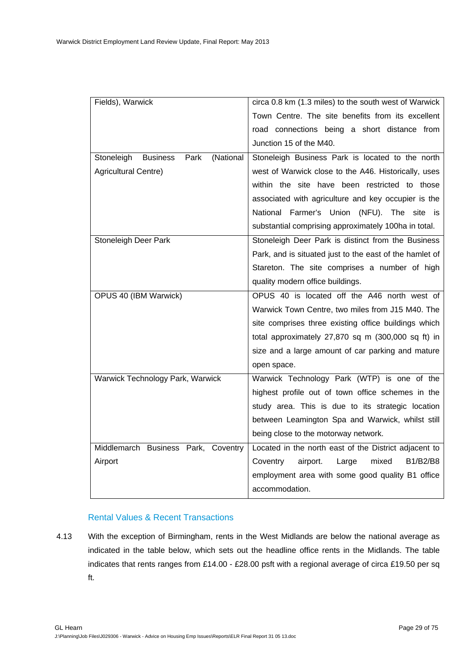| Fields), Warwick                                   | circa 0.8 km (1.3 miles) to the south west of Warwick   |  |  |
|----------------------------------------------------|---------------------------------------------------------|--|--|
|                                                    | Town Centre. The site benefits from its excellent       |  |  |
|                                                    | road connections being a short distance from            |  |  |
|                                                    | Junction 15 of the M40.                                 |  |  |
| (National<br>Stoneleigh<br><b>Business</b><br>Park | Stoneleigh Business Park is located to the north        |  |  |
| Agricultural Centre)                               | west of Warwick close to the A46. Historically, uses    |  |  |
|                                                    | within the site have been restricted to those           |  |  |
|                                                    | associated with agriculture and key occupier is the     |  |  |
|                                                    | National Farmer's Union (NFU). The site<br><b>is</b>    |  |  |
|                                                    | substantial comprising approximately 100ha in total.    |  |  |
| Stoneleigh Deer Park                               | Stoneleigh Deer Park is distinct from the Business      |  |  |
|                                                    | Park, and is situated just to the east of the hamlet of |  |  |
|                                                    | Stareton. The site comprises a number of high           |  |  |
|                                                    | quality modern office buildings.                        |  |  |
| OPUS 40 (IBM Warwick)                              | OPUS 40 is located off the A46 north west of            |  |  |
|                                                    | Warwick Town Centre, two miles from J15 M40. The        |  |  |
|                                                    | site comprises three existing office buildings which    |  |  |
|                                                    | total approximately 27,870 sq m (300,000 sq ft) in      |  |  |
|                                                    | size and a large amount of car parking and mature       |  |  |
|                                                    | open space.                                             |  |  |
| Warwick Technology Park, Warwick                   | Warwick Technology Park (WTP) is one of the             |  |  |
|                                                    | highest profile out of town office schemes in the       |  |  |
|                                                    | study area. This is due to its strategic location       |  |  |
|                                                    | between Leamington Spa and Warwick, whilst still        |  |  |
|                                                    | being close to the motorway network.                    |  |  |
| Middlemarch Business Park, Coventry                | Located in the north east of the District adjacent to   |  |  |
| Airport                                            | mixed<br>B1/B2/B8<br>Coventry<br>airport.<br>Large      |  |  |
|                                                    | employment area with some good quality B1 office        |  |  |
|                                                    | accommodation.                                          |  |  |

#### Rental Values & Recent Transactions

4.13 With the exception of Birmingham, rents in the West Midlands are below the national average as indicated in the table below, which sets out the headline office rents in the Midlands. The table indicates that rents ranges from £14.00 - £28.00 psft with a regional average of circa £19.50 per sq ft.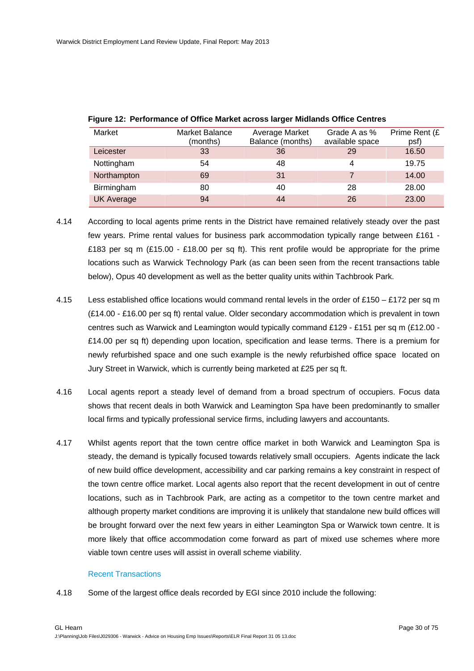| Market            | Market Balance | Average Market   | Grade A as %    | Prime Rent (£ |
|-------------------|----------------|------------------|-----------------|---------------|
|                   | (months)       | Balance (months) | available space | psf)          |
| Leicester         | 33             | 36               | 29              | 16.50         |
| Nottingham        | 54             | 48               |                 | 19.75         |
| Northampton       | 69             | 31               |                 | 14.00         |
| Birmingham        | 80             | 40               | 28              | 28.00         |
| <b>UK Average</b> | 94             | 44               | 26              | 23.00         |

| Figure 12: Performance of Office Market across larger Midlands Office Centres |  |  |  |
|-------------------------------------------------------------------------------|--|--|--|
|                                                                               |  |  |  |

- 4.14 According to local agents prime rents in the District have remained relatively steady over the past few years. Prime rental values for business park accommodation typically range between £161 - £183 per sq m (£15.00 - £18.00 per sq ft). This rent profile would be appropriate for the prime locations such as Warwick Technology Park (as can been seen from the recent transactions table below), Opus 40 development as well as the better quality units within Tachbrook Park.
- 4.15 Less established office locations would command rental levels in the order of £150 £172 per sq m (£14.00 - £16.00 per sq ft) rental value. Older secondary accommodation which is prevalent in town centres such as Warwick and Leamington would typically command £129 - £151 per sq m (£12.00 - £14.00 per sq ft) depending upon location, specification and lease terms. There is a premium for newly refurbished space and one such example is the newly refurbished office space located on Jury Street in Warwick, which is currently being marketed at £25 per sq ft.
- 4.16 Local agents report a steady level of demand from a broad spectrum of occupiers. Focus data shows that recent deals in both Warwick and Leamington Spa have been predominantly to smaller local firms and typically professional service firms, including lawyers and accountants.
- 4.17 Whilst agents report that the town centre office market in both Warwick and Leamington Spa is steady, the demand is typically focused towards relatively small occupiers. Agents indicate the lack of new build office development, accessibility and car parking remains a key constraint in respect of the town centre office market. Local agents also report that the recent development in out of centre locations, such as in Tachbrook Park, are acting as a competitor to the town centre market and although property market conditions are improving it is unlikely that standalone new build offices will be brought forward over the next few years in either Leamington Spa or Warwick town centre. It is more likely that office accommodation come forward as part of mixed use schemes where more viable town centre uses will assist in overall scheme viability.

#### Recent Transactions

4.18 Some of the largest office deals recorded by EGI since 2010 include the following: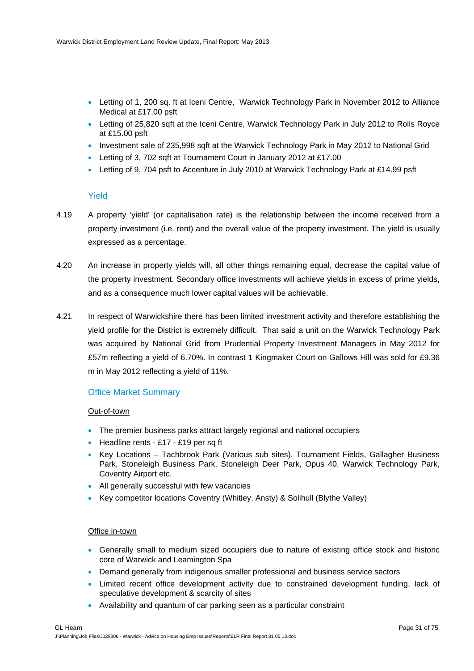- Letting of 1, 200 sq. ft at Iceni Centre, Warwick Technology Park in November 2012 to Alliance Medical at £17.00 psft
- Letting of 25,820 sqft at the Iceni Centre, Warwick Technology Park in July 2012 to Rolls Royce at £15.00 psft
- Investment sale of 235,998 sqft at the Warwick Technology Park in May 2012 to National Grid
- Letting of 3, 702 sqft at Tournament Court in January 2012 at £17.00
- Letting of 9, 704 psft to Accenture in July 2010 at Warwick Technology Park at £14.99 psft

## Yield

- 4.19 A property 'yield' (or capitalisation rate) is the relationship between the income received from a property investment (i.e. rent) and the overall value of the property investment. The yield is usually expressed as a percentage.
- 4.20 An increase in property yields will, all other things remaining equal, decrease the capital value of the property investment. Secondary office investments will achieve yields in excess of prime yields, and as a consequence much lower capital values will be achievable.
- 4.21 In respect of Warwickshire there has been limited investment activity and therefore establishing the yield profile for the District is extremely difficult. That said a unit on the Warwick Technology Park was acquired by National Grid from Prudential Property Investment Managers in May 2012 for £57m reflecting a yield of 6.70%. In contrast 1 Kingmaker Court on Gallows Hill was sold for £9.36 m in May 2012 reflecting a yield of 11%.

## Office Market Summary

#### Out-of-town

- The premier business parks attract largely regional and national occupiers
- Headline rents £17 £19 per sq ft
- Key Locations Tachbrook Park (Various sub sites), Tournament Fields, Gallagher Business Park, Stoneleigh Business Park, Stoneleigh Deer Park, Opus 40, Warwick Technology Park, Coventry Airport etc.
- All generally successful with few vacancies
- Key competitor locations Coventry (Whitley, Ansty) & Solihull (Blythe Valley)

#### Office in-town

- Generally small to medium sized occupiers due to nature of existing office stock and historic core of Warwick and Leamington Spa
- Demand generally from indigenous smaller professional and business service sectors
- Limited recent office development activity due to constrained development funding, lack of speculative development & scarcity of sites
- Availability and quantum of car parking seen as a particular constraint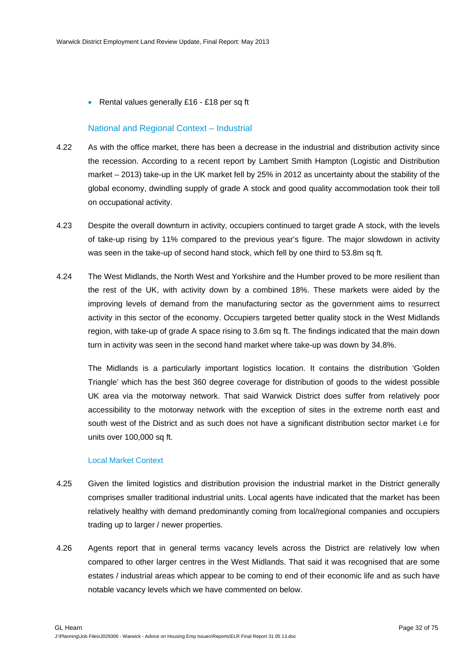• Rental values generally £16 - £18 per sq ft

## National and Regional Context – Industrial

- 4.22 As with the office market, there has been a decrease in the industrial and distribution activity since the recession. According to a recent report by Lambert Smith Hampton (Logistic and Distribution market – 2013) take-up in the UK market fell by 25% in 2012 as uncertainty about the stability of the global economy, dwindling supply of grade A stock and good quality accommodation took their toll on occupational activity.
- 4.23 Despite the overall downturn in activity, occupiers continued to target grade A stock, with the levels of take-up rising by 11% compared to the previous year's figure. The major slowdown in activity was seen in the take-up of second hand stock, which fell by one third to 53.8m sq ft.
- 4.24 The West Midlands, the North West and Yorkshire and the Humber proved to be more resilient than the rest of the UK, with activity down by a combined 18%. These markets were aided by the improving levels of demand from the manufacturing sector as the government aims to resurrect activity in this sector of the economy. Occupiers targeted better quality stock in the West Midlands region, with take-up of grade A space rising to 3.6m sq ft. The findings indicated that the main down turn in activity was seen in the second hand market where take-up was down by 34.8%.

The Midlands is a particularly important logistics location. It contains the distribution 'Golden Triangle' which has the best 360 degree coverage for distribution of goods to the widest possible UK area via the motorway network. That said Warwick District does suffer from relatively poor accessibility to the motorway network with the exception of sites in the extreme north east and south west of the District and as such does not have a significant distribution sector market i.e for units over 100,000 sq ft.

#### Local Market Context

- 4.25 Given the limited logistics and distribution provision the industrial market in the District generally comprises smaller traditional industrial units. Local agents have indicated that the market has been relatively healthy with demand predominantly coming from local/regional companies and occupiers trading up to larger / newer properties.
- 4.26 Agents report that in general terms vacancy levels across the District are relatively low when compared to other larger centres in the West Midlands. That said it was recognised that are some estates / industrial areas which appear to be coming to end of their economic life and as such have notable vacancy levels which we have commented on below.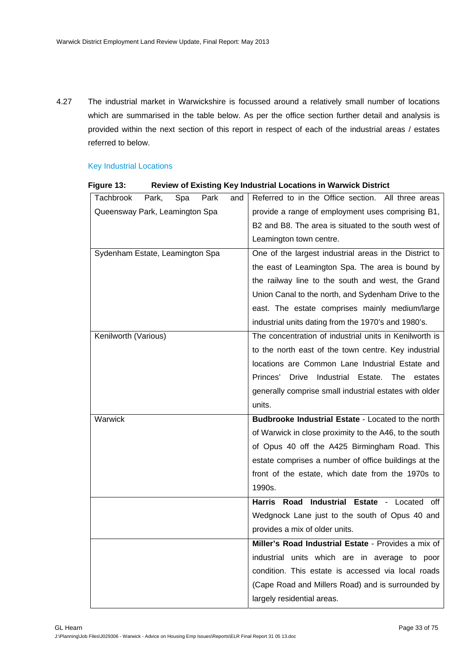4.27 The industrial market in Warwickshire is focussed around a relatively small number of locations which are summarised in the table below. As per the office section further detail and analysis is provided within the next section of this report in respect of each of the industrial areas / estates referred to below.

#### Key Industrial Locations

| Tachbrook<br>Referred to in the Office section. All three areas<br>Park,<br>Spa<br>Park<br>and<br>provide a range of employment uses comprising B1,<br>Queensway Park, Leamington Spa<br>B2 and B8. The area is situated to the south west of<br>Leamington town centre.<br>Sydenham Estate, Leamington Spa<br>the east of Leamington Spa. The area is bound by |                                                        |  |  |
|-----------------------------------------------------------------------------------------------------------------------------------------------------------------------------------------------------------------------------------------------------------------------------------------------------------------------------------------------------------------|--------------------------------------------------------|--|--|
|                                                                                                                                                                                                                                                                                                                                                                 |                                                        |  |  |
|                                                                                                                                                                                                                                                                                                                                                                 |                                                        |  |  |
|                                                                                                                                                                                                                                                                                                                                                                 |                                                        |  |  |
|                                                                                                                                                                                                                                                                                                                                                                 |                                                        |  |  |
|                                                                                                                                                                                                                                                                                                                                                                 | One of the largest industrial areas in the District to |  |  |
|                                                                                                                                                                                                                                                                                                                                                                 |                                                        |  |  |
| the railway line to the south and west, the Grand                                                                                                                                                                                                                                                                                                               |                                                        |  |  |
| Union Canal to the north, and Sydenham Drive to the                                                                                                                                                                                                                                                                                                             |                                                        |  |  |
| east. The estate comprises mainly medium/large                                                                                                                                                                                                                                                                                                                  |                                                        |  |  |
| industrial units dating from the 1970's and 1980's.                                                                                                                                                                                                                                                                                                             |                                                        |  |  |
| The concentration of industrial units in Kenilworth is<br>Kenilworth (Various)                                                                                                                                                                                                                                                                                  |                                                        |  |  |
| to the north east of the town centre. Key industrial                                                                                                                                                                                                                                                                                                            |                                                        |  |  |
| locations are Common Lane Industrial Estate and                                                                                                                                                                                                                                                                                                                 |                                                        |  |  |
| Drive Industrial<br>Princes'<br>Estate. The                                                                                                                                                                                                                                                                                                                     | estates                                                |  |  |
| generally comprise small industrial estates with older                                                                                                                                                                                                                                                                                                          |                                                        |  |  |
|                                                                                                                                                                                                                                                                                                                                                                 |                                                        |  |  |
| units.                                                                                                                                                                                                                                                                                                                                                          |                                                        |  |  |
| Warwick<br>Budbrooke Industrial Estate - Located to the north                                                                                                                                                                                                                                                                                                   |                                                        |  |  |
| of Warwick in close proximity to the A46, to the south                                                                                                                                                                                                                                                                                                          |                                                        |  |  |
| of Opus 40 off the A425 Birmingham Road. This                                                                                                                                                                                                                                                                                                                   |                                                        |  |  |
| estate comprises a number of office buildings at the                                                                                                                                                                                                                                                                                                            |                                                        |  |  |
| front of the estate, which date from the 1970s to                                                                                                                                                                                                                                                                                                               |                                                        |  |  |
| 1990s.                                                                                                                                                                                                                                                                                                                                                          |                                                        |  |  |
| Harris Road Industrial Estate - Located off                                                                                                                                                                                                                                                                                                                     |                                                        |  |  |
| Wedgnock Lane just to the south of Opus 40 and                                                                                                                                                                                                                                                                                                                  |                                                        |  |  |
| provides a mix of older units.                                                                                                                                                                                                                                                                                                                                  |                                                        |  |  |
| Miller's Road Industrial Estate - Provides a mix of                                                                                                                                                                                                                                                                                                             |                                                        |  |  |
| industrial units which are in average to poor                                                                                                                                                                                                                                                                                                                   |                                                        |  |  |
| condition. This estate is accessed via local roads                                                                                                                                                                                                                                                                                                              |                                                        |  |  |
| (Cape Road and Millers Road) and is surrounded by                                                                                                                                                                                                                                                                                                               |                                                        |  |  |

**Figure 13: Review of Existing Key Industrial Locations in Warwick District**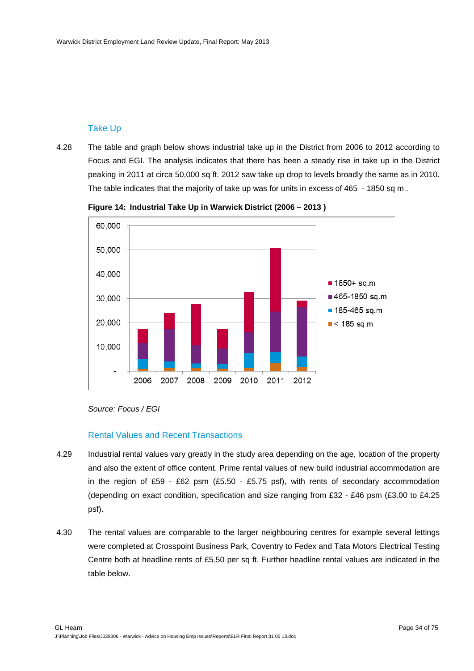## Take Up

4.28 The table and graph below shows industrial take up in the District from 2006 to 2012 according to Focus and EGI. The analysis indicates that there has been a steady rise in take up in the District peaking in 2011 at circa 50,000 sq ft. 2012 saw take up drop to levels broadly the same as in 2010. The table indicates that the majority of take up was for units in excess of 465 - 1850 sq m.



**Figure 14: Industrial Take Up in Warwick District (2006 – 2013 )** 

*Source: Focus / EGI* 

# Rental Values and Recent Transactions

- 4.29 Industrial rental values vary greatly in the study area depending on the age, location of the property and also the extent of office content. Prime rental values of new build industrial accommodation are in the region of £59 - £62 psm (£5.50 - £5.75 psf), with rents of secondary accommodation (depending on exact condition, specification and size ranging from £32 - £46 psm (£3.00 to £4.25 psf).
- 4.30 The rental values are comparable to the larger neighbouring centres for example several lettings were completed at Crosspoint Business Park, Coventry to Fedex and Tata Motors Electrical Testing Centre both at headline rents of £5.50 per sq ft. Further headline rental values are indicated in the table below.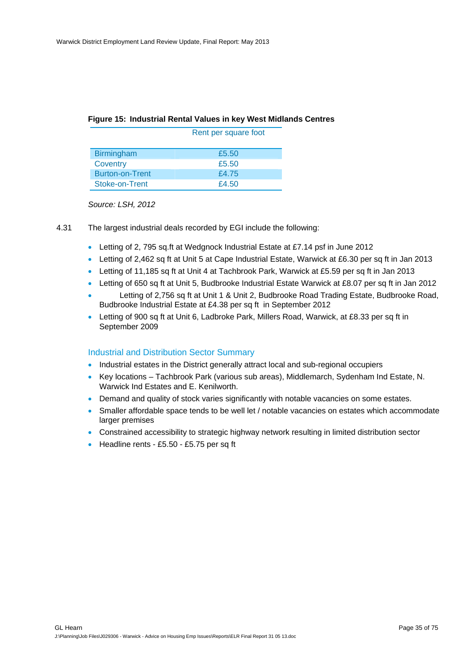## **Figure 15: Industrial Rental Values in key West Midlands Centres**

|                        | Rent per square foot |
|------------------------|----------------------|
| <b>Birmingham</b>      | £5.50                |
| Coventry               | £5.50                |
| <b>Burton-on-Trent</b> | £4.75                |
| Stoke-on-Trent         | £4.50                |

*Source: LSH, 2012* 

- 4.31 The largest industrial deals recorded by EGI include the following:
	- Letting of 2, 795 sq.ft at Wedgnock Industrial Estate at £7.14 psf in June 2012
	- Letting of 2,462 sq ft at Unit 5 at Cape Industrial Estate, Warwick at £6.30 per sq ft in Jan 2013
	- Letting of 11,185 sq ft at Unit 4 at Tachbrook Park, Warwick at £5.59 per sq ft in Jan 2013
	- Letting of 650 sq ft at Unit 5, Budbrooke Industrial Estate Warwick at £8.07 per sq ft in Jan 2012
	- Letting of 2,756 sq ft at Unit 1 & Unit 2, Budbrooke Road Trading Estate, Budbrooke Road, Budbrooke Industrial Estate at £4.38 per sq ft in September 2012
	- Letting of 900 sq ft at Unit 6, Ladbroke Park, Millers Road, Warwick, at £8.33 per sq ft in September 2009

## Industrial and Distribution Sector Summary

- Industrial estates in the District generally attract local and sub-regional occupiers
- Key locations Tachbrook Park (various sub areas), Middlemarch, Sydenham Ind Estate, N. Warwick Ind Estates and E. Kenilworth.
- Demand and quality of stock varies significantly with notable vacancies on some estates.
- Smaller affordable space tends to be well let / notable vacancies on estates which accommodate larger premises
- Constrained accessibility to strategic highway network resulting in limited distribution sector
- Headline rents £5.50 £5.75 per sq ft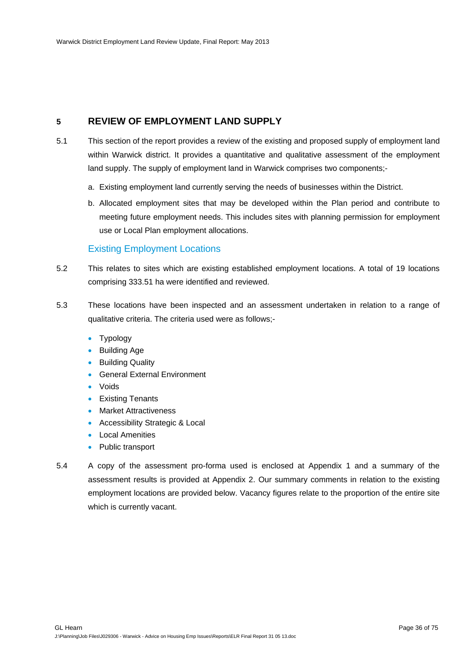# **5 REVIEW OF EMPLOYMENT LAND SUPPLY**

- 5.1 This section of the report provides a review of the existing and proposed supply of employment land within Warwick district. It provides a quantitative and qualitative assessment of the employment land supply. The supply of employment land in Warwick comprises two components;
	- a. Existing employment land currently serving the needs of businesses within the District.
	- b. Allocated employment sites that may be developed within the Plan period and contribute to meeting future employment needs. This includes sites with planning permission for employment use or Local Plan employment allocations.

# Existing Employment Locations

- 5.2 This relates to sites which are existing established employment locations. A total of 19 locations comprising 333.51 ha were identified and reviewed.
- 5.3 These locations have been inspected and an assessment undertaken in relation to a range of qualitative criteria. The criteria used were as follows;-
	- Typology
	- Building Age
	- Building Quality
	- General External Environment
	- Voids
	- **•** Existing Tenants
	- **•** Market Attractiveness
	- **Accessibility Strategic & Local**
	- **•** Local Amenities
	- Public transport
- 5.4 A copy of the assessment pro-forma used is enclosed at Appendix 1 and a summary of the assessment results is provided at Appendix 2. Our summary comments in relation to the existing employment locations are provided below. Vacancy figures relate to the proportion of the entire site which is currently vacant.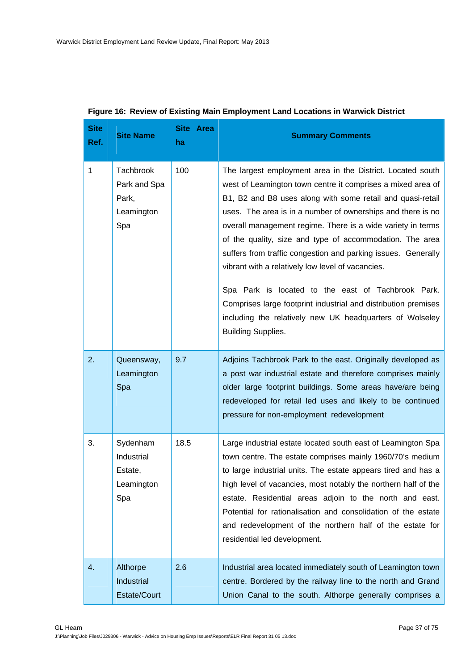| <b>Site</b><br>Ref. | <b>Site Name</b>                                               | <b>Site Area</b><br>ha | <b>Summary Comments</b>                                                                                                                                                                                                                                                                                                                                                                                                                                                                                                                                                                                                                                                                                                  |
|---------------------|----------------------------------------------------------------|------------------------|--------------------------------------------------------------------------------------------------------------------------------------------------------------------------------------------------------------------------------------------------------------------------------------------------------------------------------------------------------------------------------------------------------------------------------------------------------------------------------------------------------------------------------------------------------------------------------------------------------------------------------------------------------------------------------------------------------------------------|
| 1                   | <b>Tachbrook</b><br>Park and Spa<br>Park,<br>Leamington<br>Spa | 100                    | The largest employment area in the District. Located south<br>west of Leamington town centre it comprises a mixed area of<br>B1, B2 and B8 uses along with some retail and quasi-retail<br>uses. The area is in a number of ownerships and there is no<br>overall management regime. There is a wide variety in terms<br>of the quality, size and type of accommodation. The area<br>suffers from traffic congestion and parking issues. Generally<br>vibrant with a relatively low level of vacancies.<br>Spa Park is located to the east of Tachbrook Park.<br>Comprises large footprint industrial and distribution premises<br>including the relatively new UK headquarters of Wolseley<br><b>Building Supplies.</b> |
| 2.                  | Queensway,<br>Leamington<br>Spa                                | 9.7                    | Adjoins Tachbrook Park to the east. Originally developed as<br>a post war industrial estate and therefore comprises mainly<br>older large footprint buildings. Some areas have/are being<br>redeveloped for retail led uses and likely to be continued<br>pressure for non-employment redevelopment                                                                                                                                                                                                                                                                                                                                                                                                                      |
| 3.                  | Sydenham<br>Industrial<br>Estate,<br>Leamington<br>Spa         | 18.5                   | Large industrial estate located south east of Leamington Spa<br>town centre. The estate comprises mainly 1960/70's medium<br>to large industrial units. The estate appears tired and has a<br>high level of vacancies, most notably the northern half of the<br>estate. Residential areas adjoin to the north and east.<br>Potential for rationalisation and consolidation of the estate<br>and redevelopment of the northern half of the estate for<br>residential led development.                                                                                                                                                                                                                                     |
| 4.                  | Althorpe<br>Industrial<br>Estate/Court                         | 2.6                    | Industrial area located immediately south of Leamington town<br>centre. Bordered by the railway line to the north and Grand<br>Union Canal to the south. Althorpe generally comprises a                                                                                                                                                                                                                                                                                                                                                                                                                                                                                                                                  |

## **Figure 16: Review of Existing Main Employment Land Locations in Warwick District**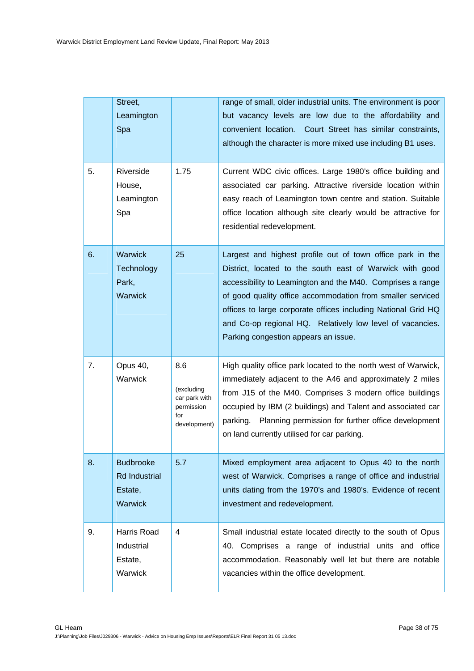|    | Street,<br>Leamington<br>Spa                                          |                                                                         | range of small, older industrial units. The environment is poor<br>but vacancy levels are low due to the affordability and<br>convenient location. Court Street has similar constraints,<br>although the character is more mixed use including B1 uses.                                                                                                                                                                  |
|----|-----------------------------------------------------------------------|-------------------------------------------------------------------------|--------------------------------------------------------------------------------------------------------------------------------------------------------------------------------------------------------------------------------------------------------------------------------------------------------------------------------------------------------------------------------------------------------------------------|
| 5. | Riverside<br>House,<br>Leamington<br>Spa                              | 1.75                                                                    | Current WDC civic offices. Large 1980's office building and<br>associated car parking. Attractive riverside location within<br>easy reach of Leamington town centre and station. Suitable<br>office location although site clearly would be attractive for<br>residential redevelopment.                                                                                                                                 |
| 6. | Warwick<br>Technology<br>Park,<br><b>Warwick</b>                      | 25                                                                      | Largest and highest profile out of town office park in the<br>District, located to the south east of Warwick with good<br>accessibility to Leamington and the M40. Comprises a range<br>of good quality office accommodation from smaller serviced<br>offices to large corporate offices including National Grid HQ<br>and Co-op regional HQ. Relatively low level of vacancies.<br>Parking congestion appears an issue. |
| 7. | Opus 40,<br>Warwick                                                   | 8.6<br>(excluding<br>car park with<br>permission<br>for<br>development) | High quality office park located to the north west of Warwick,<br>immediately adjacent to the A46 and approximately 2 miles<br>from J15 of the M40. Comprises 3 modern office buildings<br>occupied by IBM (2 buildings) and Talent and associated car<br>parking. Planning permission for further office development<br>on land currently utilised for car parking.                                                     |
| 8. | <b>Budbrooke</b><br><b>Rd Industrial</b><br>Estate,<br><b>Warwick</b> | 5.7                                                                     | Mixed employment area adjacent to Opus 40 to the north<br>west of Warwick. Comprises a range of office and industrial<br>units dating from the 1970's and 1980's. Evidence of recent<br>investment and redevelopment.                                                                                                                                                                                                    |
| 9. | Harris Road<br>Industrial<br>Estate,<br>Warwick                       | 4                                                                       | Small industrial estate located directly to the south of Opus<br>40. Comprises a range of industrial units and office<br>accommodation. Reasonably well let but there are notable<br>vacancies within the office development.                                                                                                                                                                                            |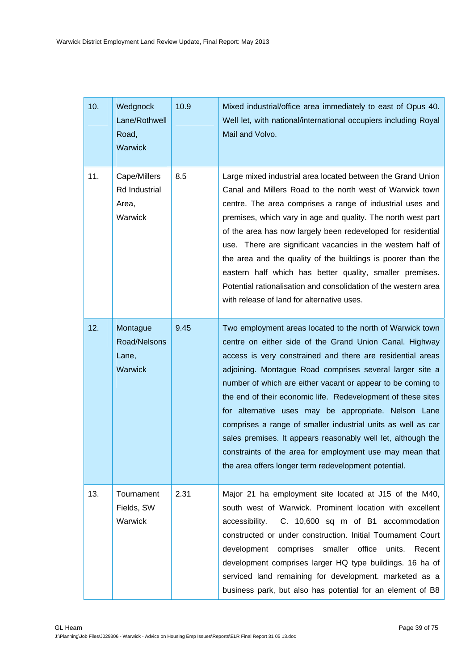| 10. | Wedgnock<br>Lane/Rothwell<br>Road,<br>Warwick            | 10.9 | Mixed industrial/office area immediately to east of Opus 40.<br>Well let, with national/international occupiers including Royal<br>Mail and Volvo.                                                                                                                                                                                                                                                                                                                                                                                                                                                                                                                                        |
|-----|----------------------------------------------------------|------|-------------------------------------------------------------------------------------------------------------------------------------------------------------------------------------------------------------------------------------------------------------------------------------------------------------------------------------------------------------------------------------------------------------------------------------------------------------------------------------------------------------------------------------------------------------------------------------------------------------------------------------------------------------------------------------------|
| 11. | Cape/Millers<br>8.5<br>Rd Industrial<br>Area,<br>Warwick |      | Large mixed industrial area located between the Grand Union<br>Canal and Millers Road to the north west of Warwick town<br>centre. The area comprises a range of industrial uses and<br>premises, which vary in age and quality. The north west part<br>of the area has now largely been redeveloped for residential<br>use. There are significant vacancies in the western half of<br>the area and the quality of the buildings is poorer than the<br>eastern half which has better quality, smaller premises.<br>Potential rationalisation and consolidation of the western area<br>with release of land for alternative uses.                                                          |
| 12. | Montague<br>Road/Nelsons<br>Lane,<br>Warwick             | 9.45 | Two employment areas located to the north of Warwick town<br>centre on either side of the Grand Union Canal. Highway<br>access is very constrained and there are residential areas<br>adjoining. Montague Road comprises several larger site a<br>number of which are either vacant or appear to be coming to<br>the end of their economic life. Redevelopment of these sites<br>for alternative uses may be appropriate. Nelson Lane<br>comprises a range of smaller industrial units as well as car<br>sales premises. It appears reasonably well let, although the<br>constraints of the area for employment use may mean that<br>the area offers longer term redevelopment potential. |
| 13. | Tournament<br>Fields, SW<br>Warwick                      | 2.31 | Major 21 ha employment site located at J15 of the M40,<br>south west of Warwick. Prominent location with excellent<br>C. 10,600 sq m of B1 accommodation<br>accessibility.<br>constructed or under construction. Initial Tournament Court<br>development comprises smaller office units. Recent<br>development comprises larger HQ type buildings. 16 ha of<br>serviced land remaining for development. marketed as a<br>business park, but also has potential for an element of B8                                                                                                                                                                                                       |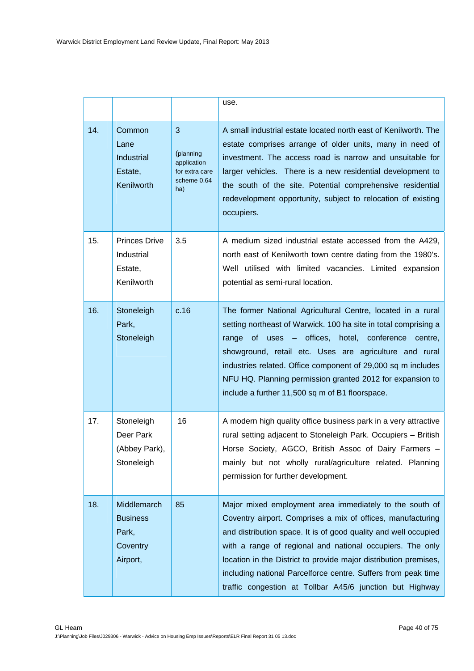|     |                                                                 |                                                                       | use.                                                                                                                                                                                                                                                                                                                                                                                                                                                    |  |  |
|-----|-----------------------------------------------------------------|-----------------------------------------------------------------------|---------------------------------------------------------------------------------------------------------------------------------------------------------------------------------------------------------------------------------------------------------------------------------------------------------------------------------------------------------------------------------------------------------------------------------------------------------|--|--|
| 14. | Common<br>Lane<br>Industrial<br>Estate,<br>Kenilworth           | 3<br>(planning<br>application<br>for extra care<br>scheme 0.64<br>ha) | A small industrial estate located north east of Kenilworth. The<br>estate comprises arrange of older units, many in need of<br>investment. The access road is narrow and unsuitable for<br>larger vehicles. There is a new residential development to<br>the south of the site. Potential comprehensive residential<br>redevelopment opportunity, subject to relocation of existing<br>occupiers.                                                       |  |  |
| 15. | <b>Princes Drive</b><br>Industrial<br>Estate,<br>Kenilworth     | 3.5                                                                   | A medium sized industrial estate accessed from the A429,<br>north east of Kenilworth town centre dating from the 1980's.<br>Well utilised with limited vacancies. Limited expansion<br>potential as semi-rural location.                                                                                                                                                                                                                                |  |  |
| 16. | Stoneleigh<br>Park,<br>Stoneleigh                               | c.16                                                                  | The former National Agricultural Centre, located in a rural<br>setting northeast of Warwick. 100 ha site in total comprising a<br>of uses – offices, hotel, conference centre,<br>range<br>showground, retail etc. Uses are agriculture and rural<br>industries related. Office component of 29,000 sq m includes<br>NFU HQ. Planning permission granted 2012 for expansion to<br>include a further 11,500 sq m of B1 floorspace.                       |  |  |
| 17. | Stoneleigh<br>Deer Park<br>(Abbey Park),<br>Stoneleigh          | 16                                                                    | A modern high quality office business park in a very attractive<br>rural setting adjacent to Stoneleigh Park. Occupiers - British<br>Horse Society, AGCO, British Assoc of Dairy Farmers -<br>mainly but not wholly rural/agriculture related. Planning<br>permission for further development.                                                                                                                                                          |  |  |
| 18. | Middlemarch<br><b>Business</b><br>Park,<br>Coventry<br>Airport, | 85                                                                    | Major mixed employment area immediately to the south of<br>Coventry airport. Comprises a mix of offices, manufacturing<br>and distribution space. It is of good quality and well occupied<br>with a range of regional and national occupiers. The only<br>location in the District to provide major distribution premises,<br>including national Parcelforce centre. Suffers from peak time<br>traffic congestion at Tollbar A45/6 junction but Highway |  |  |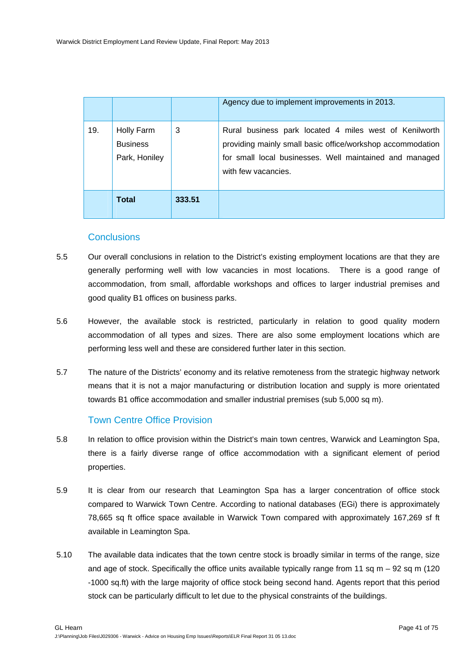|     |                                                |        | Agency due to implement improvements in 2013.                                                                                                                                                          |
|-----|------------------------------------------------|--------|--------------------------------------------------------------------------------------------------------------------------------------------------------------------------------------------------------|
| 19. | Holly Farm<br><b>Business</b><br>Park, Honiley | 3      | Rural business park located 4 miles west of Kenilworth<br>providing mainly small basic office/workshop accommodation<br>for small local businesses. Well maintained and managed<br>with few vacancies. |
|     | <b>Total</b>                                   | 333.51 |                                                                                                                                                                                                        |

### **Conclusions**

- 5.5 Our overall conclusions in relation to the District's existing employment locations are that they are generally performing well with low vacancies in most locations. There is a good range of accommodation, from small, affordable workshops and offices to larger industrial premises and good quality B1 offices on business parks.
- 5.6 However, the available stock is restricted, particularly in relation to good quality modern accommodation of all types and sizes. There are also some employment locations which are performing less well and these are considered further later in this section.
- 5.7 The nature of the Districts' economy and its relative remoteness from the strategic highway network means that it is not a major manufacturing or distribution location and supply is more orientated towards B1 office accommodation and smaller industrial premises (sub 5,000 sq m).

## Town Centre Office Provision

- 5.8 In relation to office provision within the District's main town centres, Warwick and Leamington Spa, there is a fairly diverse range of office accommodation with a significant element of period properties.
- 5.9 It is clear from our research that Leamington Spa has a larger concentration of office stock compared to Warwick Town Centre. According to national databases (EGi) there is approximately 78,665 sq ft office space available in Warwick Town compared with approximately 167,269 sf ft available in Leamington Spa.
- 5.10 The available data indicates that the town centre stock is broadly similar in terms of the range, size and age of stock. Specifically the office units available typically range from 11 sq  $m - 92$  sq m (120) -1000 sq.ft) with the large majority of office stock being second hand. Agents report that this period stock can be particularly difficult to let due to the physical constraints of the buildings.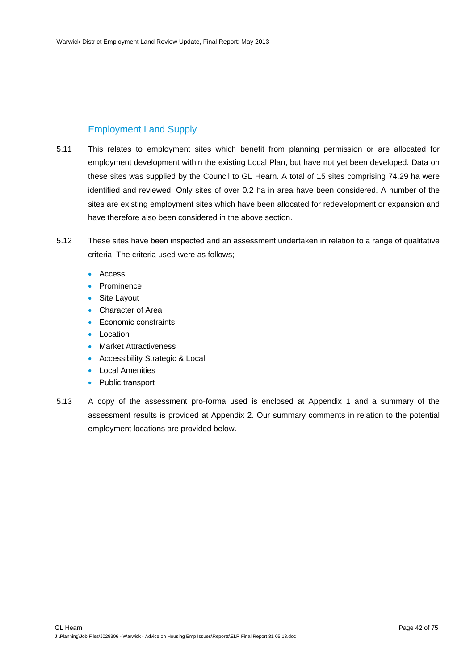# Employment Land Supply

- 5.11 This relates to employment sites which benefit from planning permission or are allocated for employment development within the existing Local Plan, but have not yet been developed. Data on these sites was supplied by the Council to GL Hearn. A total of 15 sites comprising 74.29 ha were identified and reviewed. Only sites of over 0.2 ha in area have been considered. A number of the sites are existing employment sites which have been allocated for redevelopment or expansion and have therefore also been considered in the above section.
- 5.12 These sites have been inspected and an assessment undertaken in relation to a range of qualitative criteria. The criteria used were as follows;-
	- Access
	- Prominence
	- Site Lavout
	- Character of Area
	- Economic constraints
	- $\bullet$  Location
	- **Market Attractiveness**
	- Accessibility Strategic & Local
	- **•** Local Amenities
	- Public transport
- 5.13 A copy of the assessment pro-forma used is enclosed at Appendix 1 and a summary of the assessment results is provided at Appendix 2. Our summary comments in relation to the potential employment locations are provided below.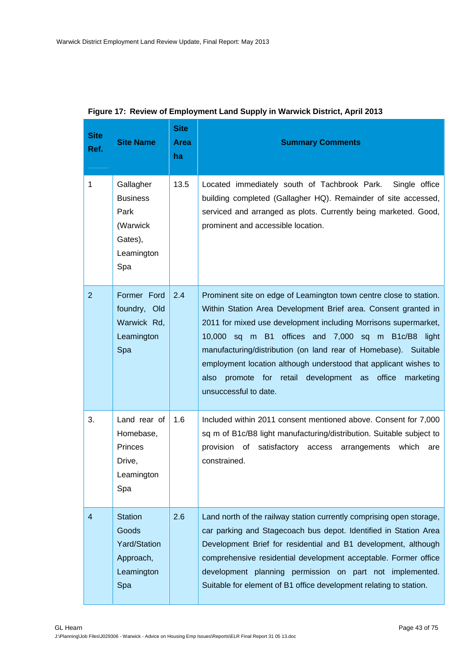| <b>Site</b><br>Ref. | <b>Site Name</b>                                                                 | <b>Site</b><br>Area<br>ha | <b>Summary Comments</b>                                                                                                                                                                                                                                                                                                                                                                                                                                                                           |
|---------------------|----------------------------------------------------------------------------------|---------------------------|---------------------------------------------------------------------------------------------------------------------------------------------------------------------------------------------------------------------------------------------------------------------------------------------------------------------------------------------------------------------------------------------------------------------------------------------------------------------------------------------------|
| 1                   | Gallagher<br><b>Business</b><br>Park<br>(Warwick<br>Gates),<br>Leamington<br>Spa | 13.5                      | Located immediately south of Tachbrook Park.<br>Single office<br>building completed (Gallagher HQ). Remainder of site accessed,<br>serviced and arranged as plots. Currently being marketed. Good,<br>prominent and accessible location.                                                                                                                                                                                                                                                          |
| $\overline{2}$      | Former Ford<br>foundry, Old<br>Warwick Rd,<br>Leamington<br>Spa                  | 2.4                       | Prominent site on edge of Leamington town centre close to station.<br>Within Station Area Development Brief area. Consent granted in<br>2011 for mixed use development including Morrisons supermarket,<br>10,000 sq m B1 offices and 7,000 sq m B1c/B8 light<br>manufacturing/distribution (on land rear of Homebase). Suitable<br>employment location although understood that applicant wishes to<br>promote for retail development as<br>office<br>marketing<br>also<br>unsuccessful to date. |
| 3.                  | Land rear of<br>Homebase,<br><b>Princes</b><br>Drive,<br>Leamington<br>Spa       | 1.6                       | Included within 2011 consent mentioned above. Consent for 7,000<br>sq m of B1c/B8 light manufacturing/distribution. Suitable subject to<br>provision of satisfactory access arrangements<br>which<br>are<br>constrained.                                                                                                                                                                                                                                                                          |
| 4                   | <b>Station</b><br>Goods<br><b>Yard/Station</b><br>Approach,<br>Leamington<br>Spa | 2.6                       | Land north of the railway station currently comprising open storage,<br>car parking and Stagecoach bus depot. Identified in Station Area<br>Development Brief for residential and B1 development, although<br>comprehensive residential development acceptable. Former office<br>development planning permission on part not implemented.<br>Suitable for element of B1 office development relating to station.                                                                                   |

## **Figure 17: Review of Employment Land Supply in Warwick District, April 2013**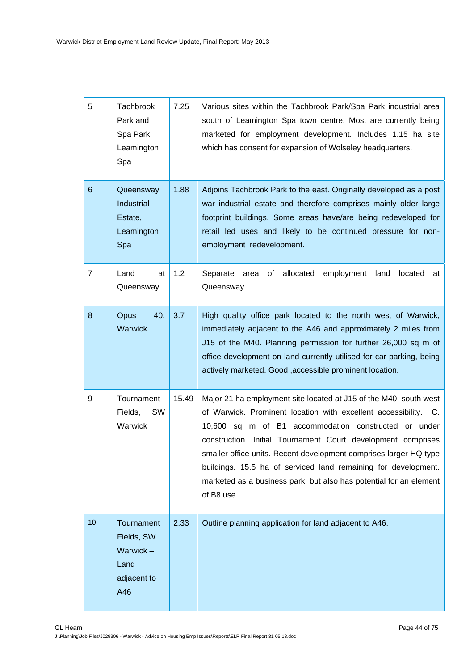| 5  | Tachbrook<br>Park and<br>Spa Park<br>Leamington<br>Spa             | 7.25 | Various sites within the Tachbrook Park/Spa Park industrial area<br>south of Leamington Spa town centre. Most are currently being<br>marketed for employment development. Includes 1.15 ha site<br>which has consent for expansion of Wolseley headquarters.                                                                                                                                                                                                                           |
|----|--------------------------------------------------------------------|------|----------------------------------------------------------------------------------------------------------------------------------------------------------------------------------------------------------------------------------------------------------------------------------------------------------------------------------------------------------------------------------------------------------------------------------------------------------------------------------------|
| 6  | Queensway<br>Industrial<br>Estate,<br>Leamington<br>Spa            | 1.88 | Adjoins Tachbrook Park to the east. Originally developed as a post<br>war industrial estate and therefore comprises mainly older large<br>footprint buildings. Some areas have/are being redeveloped for<br>retail led uses and likely to be continued pressure for non-<br>employment redevelopment.                                                                                                                                                                                  |
| 7  | Land<br>at<br>Queensway                                            | 1.2  | Separate area of allocated<br>employment<br>land<br>located<br>at<br>Queensway.                                                                                                                                                                                                                                                                                                                                                                                                        |
| 8  | 40,<br>Opus<br><b>Warwick</b>                                      | 3.7  | High quality office park located to the north west of Warwick,<br>immediately adjacent to the A46 and approximately 2 miles from<br>J15 of the M40. Planning permission for further 26,000 sq m of<br>office development on land currently utilised for car parking, being<br>actively marketed. Good , accessible prominent location.                                                                                                                                                 |
| 9  | 15.49<br>Tournament<br>Fields,<br>SW<br>Warwick                    |      | Major 21 ha employment site located at J15 of the M40, south west<br>of Warwick. Prominent location with excellent accessibility. C.<br>10,600 sq m of B1 accommodation constructed or under<br>construction. Initial Tournament Court development comprises<br>smaller office units. Recent development comprises larger HQ type<br>buildings. 15.5 ha of serviced land remaining for development.<br>marketed as a business park, but also has potential for an element<br>of B8 use |
| 10 | Tournament<br>Fields, SW<br>Warwick-<br>Land<br>adjacent to<br>A46 | 2.33 | Outline planning application for land adjacent to A46.                                                                                                                                                                                                                                                                                                                                                                                                                                 |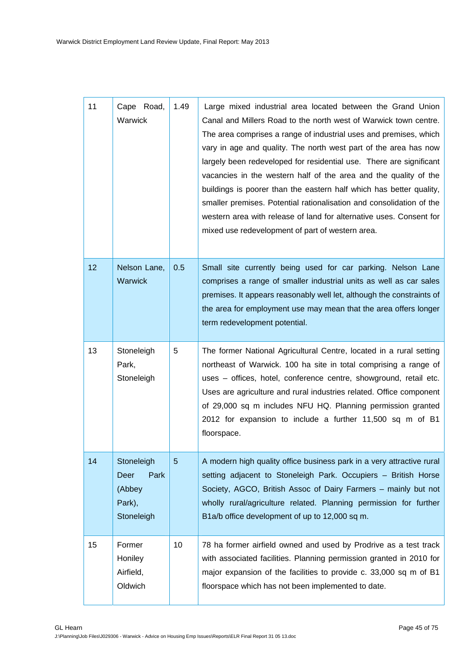| 11 | Cape Road,<br>Warwick                                        | 1.49 | Large mixed industrial area located between the Grand Union<br>Canal and Millers Road to the north west of Warwick town centre.<br>The area comprises a range of industrial uses and premises, which<br>vary in age and quality. The north west part of the area has now<br>largely been redeveloped for residential use. There are significant<br>vacancies in the western half of the area and the quality of the<br>buildings is poorer than the eastern half which has better quality,<br>smaller premises. Potential rationalisation and consolidation of the<br>western area with release of land for alternative uses. Consent for<br>mixed use redevelopment of part of western area. |
|----|--------------------------------------------------------------|------|-----------------------------------------------------------------------------------------------------------------------------------------------------------------------------------------------------------------------------------------------------------------------------------------------------------------------------------------------------------------------------------------------------------------------------------------------------------------------------------------------------------------------------------------------------------------------------------------------------------------------------------------------------------------------------------------------|
| 12 | Nelson Lane,<br><b>Warwick</b>                               | 0.5  | Small site currently being used for car parking. Nelson Lane<br>comprises a range of smaller industrial units as well as car sales<br>premises. It appears reasonably well let, although the constraints of<br>the area for employment use may mean that the area offers longer<br>term redevelopment potential.                                                                                                                                                                                                                                                                                                                                                                              |
| 13 | Stoneleigh<br>Park,<br>Stoneleigh                            | 5    | The former National Agricultural Centre, located in a rural setting<br>northeast of Warwick. 100 ha site in total comprising a range of<br>uses - offices, hotel, conference centre, showground, retail etc.<br>Uses are agriculture and rural industries related. Office component<br>of 29,000 sq m includes NFU HQ. Planning permission granted<br>2012 for expansion to include a further 11,500 sq m of B1<br>floorspace.                                                                                                                                                                                                                                                                |
| 14 | Stoneleigh<br>Deer<br>Park<br>(Abbey<br>Park),<br>Stoneleigh | 5    | A modern high quality office business park in a very attractive rural<br>setting adjacent to Stoneleigh Park. Occupiers - British Horse<br>Society, AGCO, British Assoc of Dairy Farmers - mainly but not<br>wholly rural/agriculture related. Planning permission for further<br>B1a/b office development of up to 12,000 sq m.                                                                                                                                                                                                                                                                                                                                                              |
| 15 | Former<br>Honiley<br>Airfield,<br>Oldwich                    | 10   | 78 ha former airfield owned and used by Prodrive as a test track<br>with associated facilities. Planning permission granted in 2010 for<br>major expansion of the facilities to provide c. 33,000 sq m of B1<br>floorspace which has not been implemented to date.                                                                                                                                                                                                                                                                                                                                                                                                                            |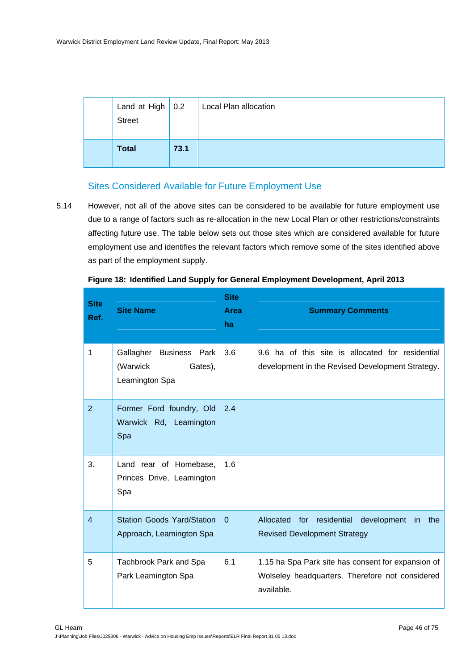| Land at High $\vert$ 0.2<br><b>Street</b> |      | Local Plan allocation |
|-------------------------------------------|------|-----------------------|
| <b>Total</b>                              | 73.1 |                       |

## Sites Considered Available for Future Employment Use

5.14 However, not all of the above sites can be considered to be available for future employment use due to a range of factors such as re-allocation in the new Local Plan or other restrictions/constraints affecting future use. The table below sets out those sites which are considered available for future employment use and identifies the relevant factors which remove some of the sites identified above as part of the employment supply.

| <b>Site</b><br>Ref. | <b>Site Name</b>                                                 | <b>Site</b><br><b>Area</b><br>ha | <b>Summary Comments</b>                                                                                             |
|---------------------|------------------------------------------------------------------|----------------------------------|---------------------------------------------------------------------------------------------------------------------|
| $\mathbf{1}$        | Gallagher Business Park<br>(Warwick<br>Gates),<br>Leamington Spa | 3.6                              | 9.6 ha of this site is allocated for residential<br>development in the Revised Development Strategy.                |
| $\overline{2}$      | Former Ford foundry, Old<br>Warwick Rd, Leamington<br>Spa        | 2.4                              |                                                                                                                     |
| 3.                  | Land rear of Homebase,<br>Princes Drive, Leamington<br>Spa       | 1.6                              |                                                                                                                     |
| $\overline{4}$      | <b>Station Goods Yard/Station</b><br>Approach, Leamington Spa    | $\theta$                         | Allocated for<br>residential development in the<br><b>Revised Development Strategy</b>                              |
| 5                   | Tachbrook Park and Spa<br>Park Leamington Spa                    | 6.1                              | 1.15 ha Spa Park site has consent for expansion of<br>Wolseley headquarters. Therefore not considered<br>available. |

**Figure 18: Identified Land Supply for General Employment Development, April 2013**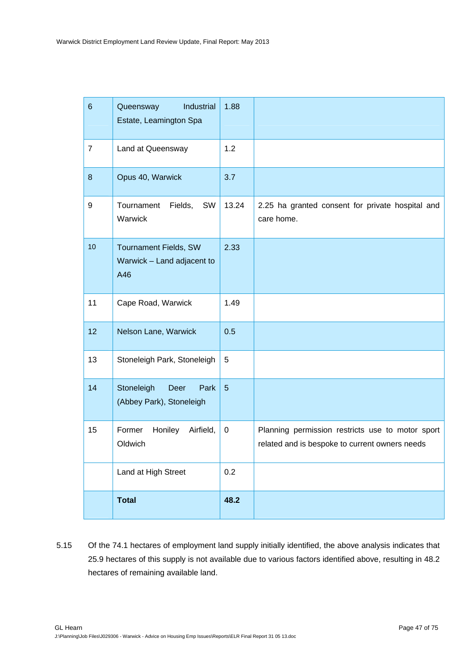| $6\phantom{1}$ | Industrial<br>Queensway<br>Estate, Leamington Spa          | 1.88           |                                                                                                    |
|----------------|------------------------------------------------------------|----------------|----------------------------------------------------------------------------------------------------|
| $\overline{7}$ | Land at Queensway                                          | 1.2            |                                                                                                    |
| $\bf 8$        | Opus 40, Warwick                                           | 3.7            |                                                                                                    |
| 9              | SW<br>Tournament<br>Fields,<br>Warwick                     | 13.24          | 2.25 ha granted consent for private hospital and<br>care home.                                     |
| 10             | Tournament Fields, SW<br>Warwick - Land adjacent to<br>A46 | 2.33           |                                                                                                    |
| 11             | Cape Road, Warwick                                         | 1.49           |                                                                                                    |
| 12             | Nelson Lane, Warwick                                       | 0.5            |                                                                                                    |
| 13             | Stoneleigh Park, Stoneleigh                                | 5              |                                                                                                    |
| 14             | Stoneleigh<br>Deer<br>Park<br>(Abbey Park), Stoneleigh     | $\overline{5}$ |                                                                                                    |
| 15             | Former<br>Honiley<br>Airfield,<br>Oldwich                  | $\pmb{0}$      | Planning permission restricts use to motor sport<br>related and is bespoke to current owners needs |
|                | Land at High Street                                        | 0.2            |                                                                                                    |
|                | <b>Total</b>                                               | 48.2           |                                                                                                    |

5.15 Of the 74.1 hectares of employment land supply initially identified, the above analysis indicates that 25.9 hectares of this supply is not available due to various factors identified above, resulting in 48.2 hectares of remaining available land.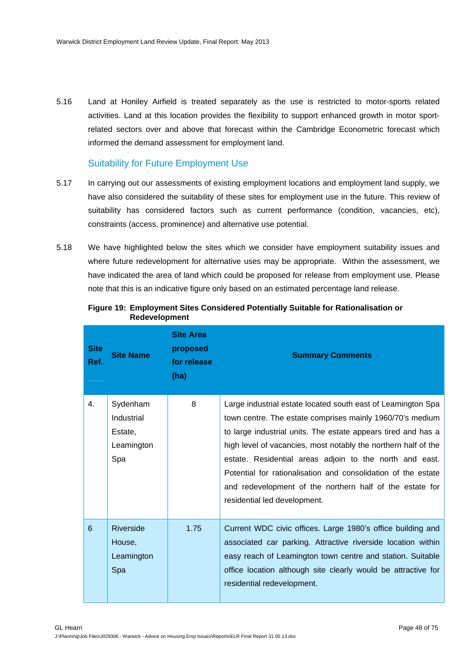5.16 Land at Honiley Airfield is treated separately as the use is restricted to motor-sports related activities. Land at this location provides the flexibility to support enhanced growth in motor sportrelated sectors over and above that forecast within the Cambridge Econometric forecast which informed the demand assessment for employment land.

## Suitability for Future Employment Use

- 5.17 In carrying out our assessments of existing employment locations and employment land supply, we have also considered the suitability of these sites for employment use in the future. This review of suitability has considered factors such as current performance (condition, vacancies, etc), constraints (access, prominence) and alternative use potential.
- 5.18 We have highlighted below the sites which we consider have employment suitability issues and where future redevelopment for alternative uses may be appropriate. Within the assessment, we have indicated the area of land which could be proposed for release from employment use. Please note that this is an indicative figure only based on an estimated percentage land release.

| <b>Site</b><br>Ref. | <b>Site Name</b>                                       | <b>Site Area</b><br>proposed<br>for release<br>(ha) | <b>Summary Comments</b>                                                                                                                                                                                                                                                                                                                                                                                                                                                              |
|---------------------|--------------------------------------------------------|-----------------------------------------------------|--------------------------------------------------------------------------------------------------------------------------------------------------------------------------------------------------------------------------------------------------------------------------------------------------------------------------------------------------------------------------------------------------------------------------------------------------------------------------------------|
| 4.                  | Sydenham<br>Industrial<br>Estate,<br>Leamington<br>Spa | 8                                                   | Large industrial estate located south east of Leamington Spa<br>town centre. The estate comprises mainly 1960/70's medium<br>to large industrial units. The estate appears tired and has a<br>high level of vacancies, most notably the northern half of the<br>estate. Residential areas adjoin to the north and east.<br>Potential for rationalisation and consolidation of the estate<br>and redevelopment of the northern half of the estate for<br>residential led development. |
| 6                   | <b>Riverside</b><br>House,<br>Leamington<br>Spa        | 1.75                                                | Current WDC civic offices. Large 1980's office building and<br>associated car parking. Attractive riverside location within<br>easy reach of Leamington town centre and station. Suitable<br>office location although site clearly would be attractive for<br>residential redevelopment.                                                                                                                                                                                             |

## **Figure 19: Employment Sites Considered Potentially Suitable for Rationalisation or Redevelopment**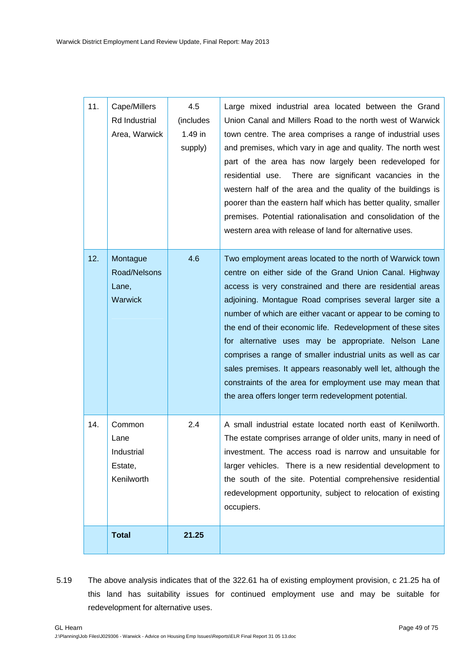| 11. | Cape/Millers<br>Rd Industrial<br>Area, Warwick        | 4.5<br>(includes<br>1.49 in<br>supply) | Large mixed industrial area located between the Grand<br>Union Canal and Millers Road to the north west of Warwick<br>town centre. The area comprises a range of industrial uses<br>and premises, which vary in age and quality. The north west<br>part of the area has now largely been redeveloped for<br>There are significant vacancies in the<br>residential use.<br>western half of the area and the quality of the buildings is<br>poorer than the eastern half which has better quality, smaller<br>premises. Potential rationalisation and consolidation of the<br>western area with release of land for alternative uses.                                                       |
|-----|-------------------------------------------------------|----------------------------------------|-------------------------------------------------------------------------------------------------------------------------------------------------------------------------------------------------------------------------------------------------------------------------------------------------------------------------------------------------------------------------------------------------------------------------------------------------------------------------------------------------------------------------------------------------------------------------------------------------------------------------------------------------------------------------------------------|
| 12. | Montague<br>Road/Nelsons<br>Lane,<br><b>Warwick</b>   | 4.6                                    | Two employment areas located to the north of Warwick town<br>centre on either side of the Grand Union Canal. Highway<br>access is very constrained and there are residential areas<br>adjoining. Montague Road comprises several larger site a<br>number of which are either vacant or appear to be coming to<br>the end of their economic life. Redevelopment of these sites<br>for alternative uses may be appropriate. Nelson Lane<br>comprises a range of smaller industrial units as well as car<br>sales premises. It appears reasonably well let, although the<br>constraints of the area for employment use may mean that<br>the area offers longer term redevelopment potential. |
| 14. | Common<br>Lane<br>Industrial<br>Estate,<br>Kenilworth | 2.4                                    | A small industrial estate located north east of Kenilworth.<br>The estate comprises arrange of older units, many in need of<br>investment. The access road is narrow and unsuitable for<br>larger vehicles. There is a new residential development to<br>the south of the site. Potential comprehensive residential<br>redevelopment opportunity, subject to relocation of existing<br>occupiers.                                                                                                                                                                                                                                                                                         |
|     | <b>Total</b>                                          | 21.25                                  |                                                                                                                                                                                                                                                                                                                                                                                                                                                                                                                                                                                                                                                                                           |

5.19 The above analysis indicates that of the 322.61 ha of existing employment provision, c 21.25 ha of this land has suitability issues for continued employment use and may be suitable for redevelopment for alternative uses.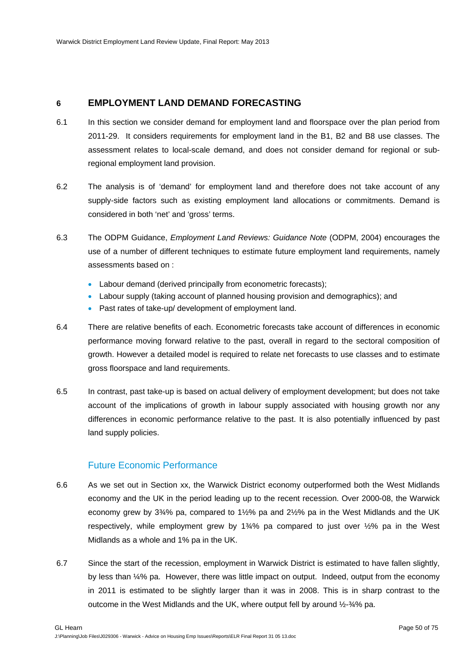## **6 EMPLOYMENT LAND DEMAND FORECASTING**

- 6.1 In this section we consider demand for employment land and floorspace over the plan period from 2011-29. It considers requirements for employment land in the B1, B2 and B8 use classes. The assessment relates to local-scale demand, and does not consider demand for regional or subregional employment land provision.
- 6.2 The analysis is of 'demand' for employment land and therefore does not take account of any supply-side factors such as existing employment land allocations or commitments. Demand is considered in both 'net' and 'gross' terms.
- 6.3 The ODPM Guidance, *Employment Land Reviews: Guidance Note* (ODPM, 2004) encourages the use of a number of different techniques to estimate future employment land requirements, namely assessments based on :
	- Labour demand (derived principally from econometric forecasts);
	- Labour supply (taking account of planned housing provision and demographics); and
	- Past rates of take-up/ development of employment land.
- 6.4 There are relative benefits of each. Econometric forecasts take account of differences in economic performance moving forward relative to the past, overall in regard to the sectoral composition of growth. However a detailed model is required to relate net forecasts to use classes and to estimate gross floorspace and land requirements.
- 6.5 In contrast, past take-up is based on actual delivery of employment development; but does not take account of the implications of growth in labour supply associated with housing growth nor any differences in economic performance relative to the past. It is also potentially influenced by past land supply policies.

## Future Economic Performance

- 6.6 As we set out in Section xx, the Warwick District economy outperformed both the West Midlands economy and the UK in the period leading up to the recent recession. Over 2000-08, the Warwick economy grew by 3¾% pa, compared to 1½% pa and 2½% pa in the West Midlands and the UK respectively, while employment grew by 1¾% pa compared to just over ½% pa in the West Midlands as a whole and 1% pa in the UK.
- 6.7 Since the start of the recession, employment in Warwick District is estimated to have fallen slightly, by less than ¼% pa. However, there was little impact on output. Indeed, output from the economy in 2011 is estimated to be slightly larger than it was in 2008. This is in sharp contrast to the outcome in the West Midlands and the UK, where output fell by around ½-¾% pa.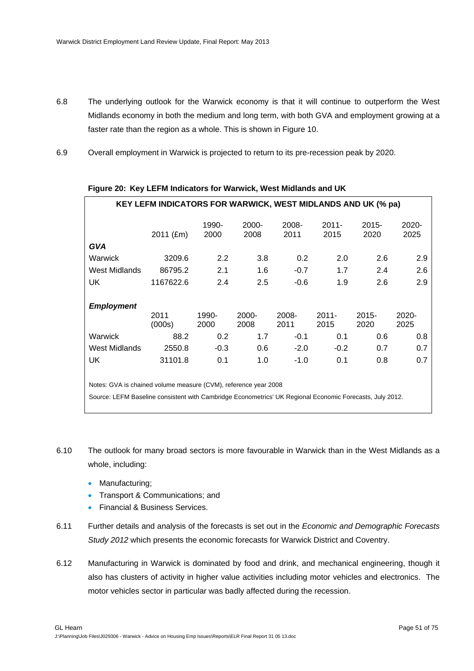- 6.8 The underlying outlook for the Warwick economy is that it will continue to outperform the West Midlands economy in both the medium and long term, with both GVA and employment growing at a faster rate than the region as a whole. This is shown in Figure 10.
- 6.9 Overall employment in Warwick is projected to return to its pre-recession peak by 2020.

| KEY LEFM INDICATORS FOR WARWICK, WEST MIDLANDS AND UK (% pa) |                        |                      |                      |                         |                         |                         |                      |
|--------------------------------------------------------------|------------------------|----------------------|----------------------|-------------------------|-------------------------|-------------------------|----------------------|
|                                                              | 2011 (£m)              | 1990-<br>2000        | 2000-<br>2008        | 2008-<br>2011           | $2011 -$<br>2015        | $2015 -$<br>2020        | 2020-<br>2025        |
| <b>GVA</b>                                                   |                        |                      |                      |                         |                         |                         |                      |
| Warwick                                                      | 3209.6                 | 2.2                  | 3.8                  | 0.2                     | 2.0                     | 2.6                     | 2.9                  |
| <b>West Midlands</b>                                         | 86795.2                | 2.1                  | 1.6                  | $-0.7$                  | 1.7                     | 2.4                     | 2.6                  |
| UK                                                           | 1167622.6              | 2.4                  | 2.5                  | $-0.6$                  | 1.9                     | 2.6                     | 2.9                  |
| <b>Employment</b><br>Warwick                                 | 2011<br>(000s)<br>88.2 | 1990-<br>2000<br>0.2 | 2000-<br>2008<br>1.7 | 2008-<br>2011<br>$-0.1$ | $2011 -$<br>2015<br>0.1 | $2015 -$<br>2020<br>0.6 | 2020-<br>2025<br>0.8 |
| West Midlands                                                | 2550.8                 | $-0.3$               | 0.6                  | $-2.0$                  | $-0.2$                  | 0.7                     | 0.7                  |
| UK                                                           | 31101.8                | 0.1                  | 1.0                  | $-1.0$                  | 0.1                     | 0.8                     | 0.7                  |

## **Figure 20: Key LEFM Indicators for Warwick, West Midlands and UK**

Notes: GVA is chained volume measure (CVM), reference year 2008

Source: LEFM Baseline consistent with Cambridge Econometrics' UK Regional Economic Forecasts, July 2012.

- 6.10 The outlook for many broad sectors is more favourable in Warwick than in the West Midlands as a whole, including:
	- Manufacturing;
	- Transport & Communications; and
	- Financial & Business Services.
- 6.11 Further details and analysis of the forecasts is set out in the *Economic and Demographic Forecasts Study 2012* which presents the economic forecasts for Warwick District and Coventry.
- 6.12 Manufacturing in Warwick is dominated by food and drink, and mechanical engineering, though it also has clusters of activity in higher value activities including motor vehicles and electronics. The motor vehicles sector in particular was badly affected during the recession.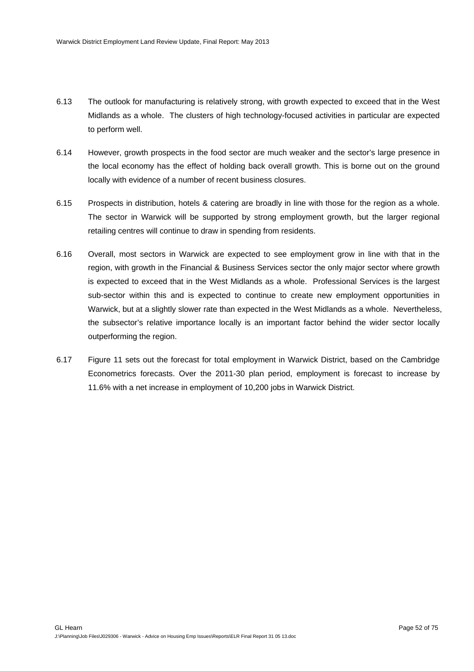- 6.13 The outlook for manufacturing is relatively strong, with growth expected to exceed that in the West Midlands as a whole. The clusters of high technology-focused activities in particular are expected to perform well.
- 6.14 However, growth prospects in the food sector are much weaker and the sector's large presence in the local economy has the effect of holding back overall growth. This is borne out on the ground locally with evidence of a number of recent business closures.
- 6.15 Prospects in distribution, hotels & catering are broadly in line with those for the region as a whole. The sector in Warwick will be supported by strong employment growth, but the larger regional retailing centres will continue to draw in spending from residents.
- 6.16 Overall, most sectors in Warwick are expected to see employment grow in line with that in the region, with growth in the Financial & Business Services sector the only major sector where growth is expected to exceed that in the West Midlands as a whole. Professional Services is the largest sub-sector within this and is expected to continue to create new employment opportunities in Warwick, but at a slightly slower rate than expected in the West Midlands as a whole. Nevertheless, the subsector's relative importance locally is an important factor behind the wider sector locally outperforming the region.
- 6.17 Figure 11 sets out the forecast for total employment in Warwick District, based on the Cambridge Econometrics forecasts. Over the 2011-30 plan period, employment is forecast to increase by 11.6% with a net increase in employment of 10,200 jobs in Warwick District.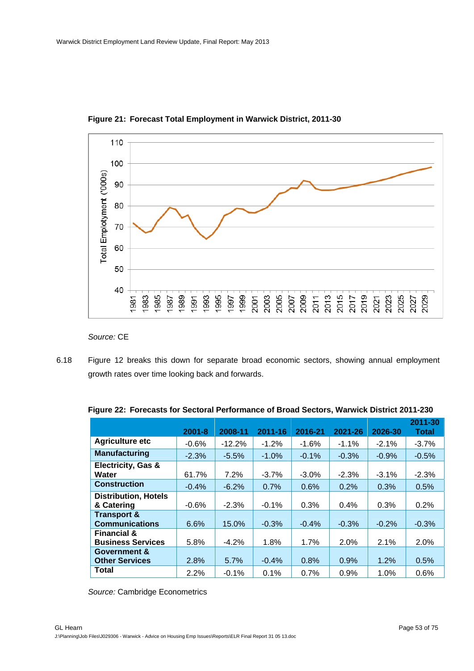

**Figure 21: Forecast Total Employment in Warwick District, 2011-30** 

*Source:* CE

6.18 Figure 12 breaks this down for separate broad economic sectors, showing annual employment growth rates over time looking back and forwards.

|                             |            |          |          |          |         |         | 2011-30      |
|-----------------------------|------------|----------|----------|----------|---------|---------|--------------|
|                             | $2001 - 8$ | 2008-11  | 2011-16  | 2016-21  | 2021-26 | 2026-30 | <b>Total</b> |
| <b>Agriculture etc</b>      | $-0.6%$    | $-12.2%$ | $-1.2%$  | $-1.6%$  | $-1.1%$ | $-2.1%$ | $-3.7%$      |
| <b>Manufacturing</b>        | $-2.3%$    | $-5.5%$  | $-1.0%$  | $-0.1%$  | $-0.3%$ | $-0.9%$ | $-0.5%$      |
| Electricity, Gas &          |            |          |          |          |         |         |              |
| Water                       | 61.7%      | 7.2%     | $-3.7\%$ | $-3.0\%$ | $-2.3%$ | $-3.1%$ | $-2.3%$      |
| <b>Construction</b>         | $-0.4%$    | $-6.2%$  | 0.7%     | 0.6%     | 0.2%    | 0.3%    | 0.5%         |
| <b>Distribution, Hotels</b> |            |          |          |          |         |         |              |
| & Catering                  | $-0.6%$    | $-2.3%$  | $-0.1%$  | 0.3%     | 0.4%    | 0.3%    | 0.2%         |
| <b>Transport &amp;</b>      |            |          |          |          |         |         |              |
| <b>Communications</b>       | 6.6%       | 15.0%    | $-0.3%$  | $-0.4%$  | $-0.3%$ | $-0.2%$ | $-0.3%$      |
| <b>Financial &amp;</b>      |            |          |          |          |         |         |              |
| <b>Business Services</b>    | 5.8%       | $-4.2%$  | 1.8%     | 1.7%     | 2.0%    | 2.1%    | 2.0%         |
| Government &                |            |          |          |          |         |         |              |
| <b>Other Services</b>       | 2.8%       | 5.7%     | $-0.4%$  | 0.8%     | 0.9%    | 1.2%    | 0.5%         |
| <b>Total</b>                | 2.2%       | $-0.1%$  | 0.1%     | 0.7%     | 0.9%    | 1.0%    | 0.6%         |

**Figure 22: Forecasts for Sectoral Performance of Broad Sectors, Warwick District 2011-230** 

*Source:* Cambridge Econometrics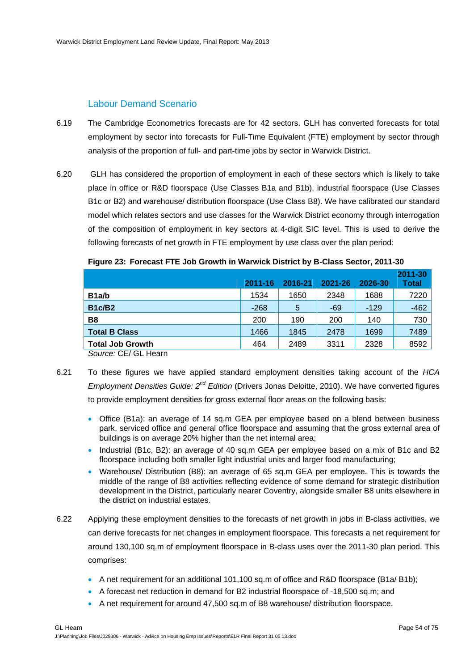# Labour Demand Scenario

- 6.19 The Cambridge Econometrics forecasts are for 42 sectors. GLH has converted forecasts for total employment by sector into forecasts for Full-Time Equivalent (FTE) employment by sector through analysis of the proportion of full- and part-time jobs by sector in Warwick District.
- 6.20 GLH has considered the proportion of employment in each of these sectors which is likely to take place in office or R&D floorspace (Use Classes B1a and B1b), industrial floorspace (Use Classes B1c or B2) and warehouse/ distribution floorspace (Use Class B8). We have calibrated our standard model which relates sectors and use classes for the Warwick District economy through interrogation of the composition of employment in key sectors at 4-digit SIC level. This is used to derive the following forecasts of net growth in FTE employment by use class over the plan period:

|                         | 2011-16 | 2016-21 | 2021-26 | 2026-30 | 2011-30<br>Total |
|-------------------------|---------|---------|---------|---------|------------------|
| B <sub>1</sub> a/b      | 1534    | 1650    | 2348    | 1688    | 7220             |
| <b>B1c/B2</b>           | $-268$  | 5       | -69     | $-129$  | $-462$           |
| B <sub>8</sub>          | 200     | 190     | 200     | 140     | 730              |
| <b>Total B Class</b>    | 1466    | 1845    | 2478    | 1699    | 7489             |
| <b>Total Job Growth</b> | 464     | 2489    | 3311    | 2328    | 8592             |

**Figure 23: Forecast FTE Job Growth in Warwick District by B-Class Sector, 2011-30** 

*Source:* CE/ GL Hearn

- 6.21 To these figures we have applied standard employment densities taking account of the *HCA Employment Densities Guide: 2nd Edition* (Drivers Jonas Deloitte, 2010). We have converted figures to provide employment densities for gross external floor areas on the following basis:
	- Office (B1a): an average of 14 sq.m GEA per employee based on a blend between business park, serviced office and general office floorspace and assuming that the gross external area of buildings is on average 20% higher than the net internal area;
	- Industrial (B1c, B2): an average of 40 sq.m GEA per employee based on a mix of B1c and B2 floorspace including both smaller light industrial units and larger food manufacturing;
	- Warehouse/ Distribution (B8): an average of 65 sq.m GEA per employee. This is towards the middle of the range of B8 activities reflecting evidence of some demand for strategic distribution development in the District, particularly nearer Coventry, alongside smaller B8 units elsewhere in the district on industrial estates.
- 6.22 Applying these employment densities to the forecasts of net growth in jobs in B-class activities, we can derive forecasts for net changes in employment floorspace. This forecasts a net requirement for around 130,100 sq.m of employment floorspace in B-class uses over the 2011-30 plan period. This comprises:
	- A net requirement for an additional 101,100 sq.m of office and R&D floorspace (B1a/ B1b);
	- A forecast net reduction in demand for B2 industrial floorspace of -18,500 sq.m; and
	- A net requirement for around 47,500 sq.m of B8 warehouse/ distribution floorspace.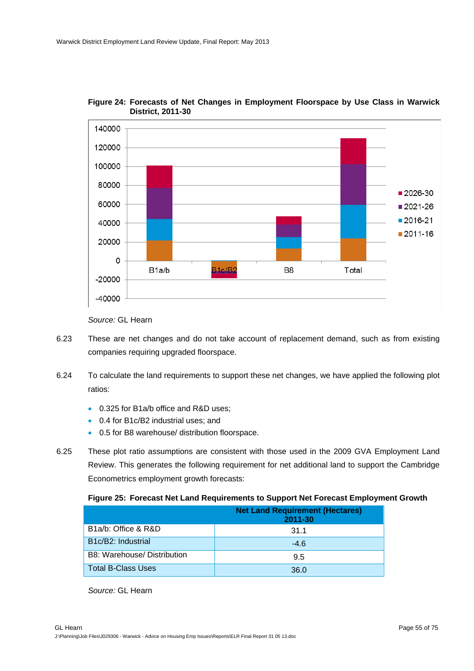



- 6.23 These are net changes and do not take account of replacement demand, such as from existing companies requiring upgraded floorspace.
- 6.24 To calculate the land requirements to support these net changes, we have applied the following plot ratios:
	- 0.325 for B1a/b office and R&D uses;
	- 0.4 for B1c/B2 industrial uses; and
	- 0.5 for B8 warehouse/ distribution floorspace.
- 6.25 These plot ratio assumptions are consistent with those used in the 2009 GVA Employment Land Review. This generates the following requirement for net additional land to support the Cambridge Econometrics employment growth forecasts:

| Figure 25: Forecast Net Land Requirements to Support Net Forecast Employment Growth |  |  |  |
|-------------------------------------------------------------------------------------|--|--|--|
|                                                                                     |  |  |  |

|                            | <b>Net Land Requirement (Hectares)</b><br>2011-30 |
|----------------------------|---------------------------------------------------|
| B1a/b: Office & R&D        | 31.1                                              |
| B1c/B2: Industrial         | $-4.6$                                            |
| B8: Warehouse/Distribution | 9.5                                               |
| <b>Total B-Class Uses</b>  | 36.0                                              |

*Source:* GL Hearn

*Source:* GL Hearn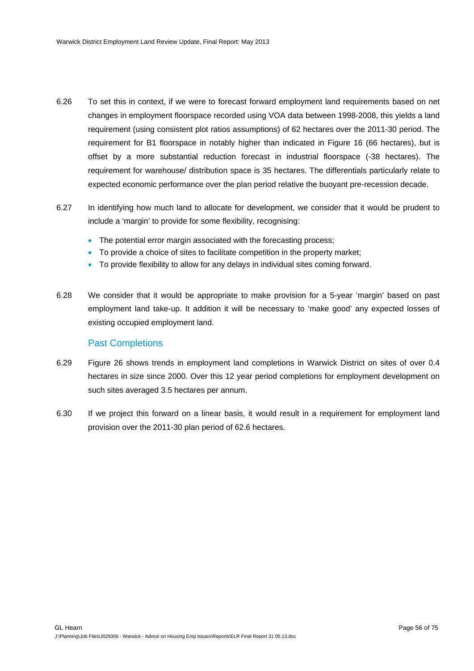- 6.26 To set this in context, if we were to forecast forward employment land requirements based on net changes in employment floorspace recorded using VOA data between 1998-2008, this yields a land requirement (using consistent plot ratios assumptions) of 62 hectares over the 2011-30 period. The requirement for B1 floorspace in notably higher than indicated in Figure 16 (66 hectares), but is offset by a more substantial reduction forecast in industrial floorspace (-38 hectares). The requirement for warehouse/ distribution space is 35 hectares. The differentials particularly relate to expected economic performance over the plan period relative the buoyant pre-recession decade.
- 6.27 In identifying how much land to allocate for development, we consider that it would be prudent to include a 'margin' to provide for some flexibility, recognising:
	- The potential error margin associated with the forecasting process;
	- To provide a choice of sites to facilitate competition in the property market;
	- To provide flexibility to allow for any delays in individual sites coming forward.
- 6.28 We consider that it would be appropriate to make provision for a 5-year 'margin' based on past employment land take-up. It addition it will be necessary to 'make good' any expected losses of existing occupied employment land.

## Past Completions

- 6.29 Figure 26 shows trends in employment land completions in Warwick District on sites of over 0.4 hectares in size since 2000. Over this 12 year period completions for employment development on such sites averaged 3.5 hectares per annum.
- 6.30 If we project this forward on a linear basis, it would result in a requirement for employment land provision over the 2011-30 plan period of 62.6 hectares.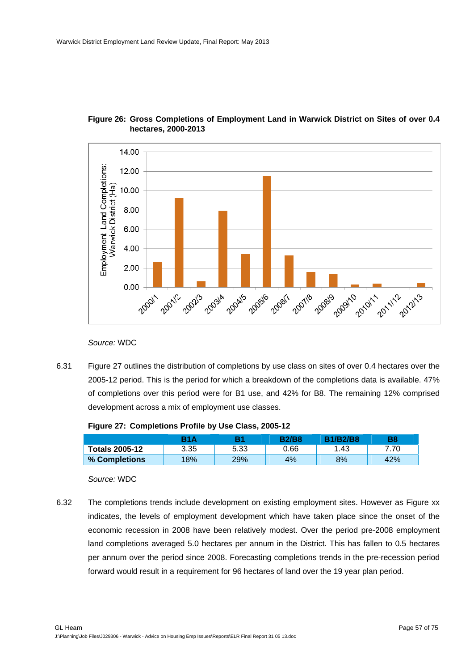

## **Figure 26: Gross Completions of Employment Land in Warwick District on Sites of over 0.4 hectares, 2000-2013**

### *Source:* WDC

6.31 Figure 27 outlines the distribution of completions by use class on sites of over 0.4 hectares over the 2005-12 period. This is the period for which a breakdown of the completions data is available. 47% of completions over this period were for B1 use, and 42% for B8. The remaining 12% comprised development across a mix of employment use classes.

|  | Figure 27: Completions Profile by Use Class, 2005-12 |  |
|--|------------------------------------------------------|--|
|--|------------------------------------------------------|--|

|                       | R1Δ  |      | <b>B2/B8</b> | <b>B1/B2/B8</b> | B8   |
|-----------------------|------|------|--------------|-----------------|------|
| <b>Totals 2005-12</b> | 3.35 | 5.33 | 0.66         | .43             | 7.70 |
| % Completions         | 18%  | 29%  | 4%           | 8%              | 42%  |

*Source:* WDC

6.32 The completions trends include development on existing employment sites. However as Figure xx indicates, the levels of employment development which have taken place since the onset of the economic recession in 2008 have been relatively modest. Over the period pre-2008 employment land completions averaged 5.0 hectares per annum in the District. This has fallen to 0.5 hectares per annum over the period since 2008. Forecasting completions trends in the pre-recession period forward would result in a requirement for 96 hectares of land over the 19 year plan period.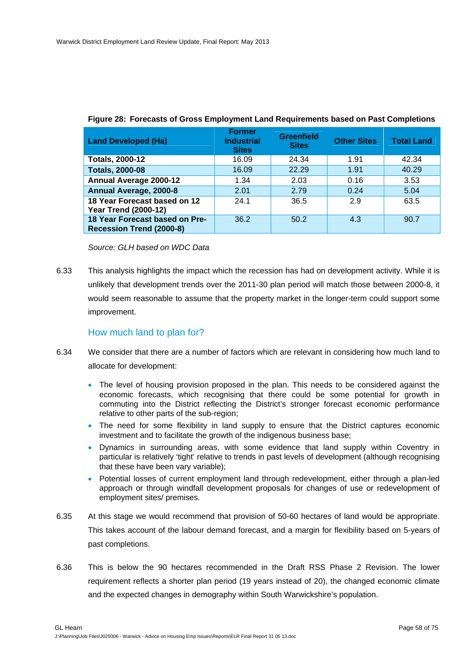| <b>Land Developed (Ha)</b>                                  | <b>Former</b><br><b>Industrial</b><br><b>Sites</b> | <b>Greenfield</b><br><b>Sites</b> | <b>Other Sites</b> | <b>Total Land</b> |
|-------------------------------------------------------------|----------------------------------------------------|-----------------------------------|--------------------|-------------------|
| <b>Totals, 2000-12</b>                                      | 16.09                                              | 24.34                             | 1.91               | 42.34             |
| <b>Totals, 2000-08</b>                                      | 16.09                                              | 22.29                             | 1.91               | 40.29             |
| <b>Annual Average 2000-12</b>                               | 1.34                                               | 2.03                              | 0.16               | 3.53              |
| Annual Average, 2000-8                                      | 2.01                                               | 2.79                              | 0.24               | 5.04              |
| 18 Year Forecast based on 12<br><b>Year Trend (2000-12)</b> | 24.1                                               | 36.5                              | 2.9                | 63.5              |
| 18 Year Forecast based on Pre-<br>Recession Trend (2000-8)  | 36.2                                               | 50.2                              | 4.3                | 90.7              |

### **Figure 28: Forecasts of Gross Employment Land Requirements based on Past Completions**

*Source: GLH based on WDC Data* 

6.33 This analysis highlights the impact which the recession has had on development activity. While it is unlikely that development trends over the 2011-30 plan period will match those between 2000-8, it would seem reasonable to assume that the property market in the longer-term could support some improvement.

## How much land to plan for?

- 6.34 We consider that there are a number of factors which are relevant in considering how much land to allocate for development:
	- The level of housing provision proposed in the plan. This needs to be considered against the economic forecasts, which recognising that there could be some potential for growth in commuting into the District reflecting the District's stronger forecast economic performance relative to other parts of the sub-region;
	- The need for some flexibility in land supply to ensure that the District captures economic investment and to facilitate the growth of the indigenous business base;
	- Dynamics in surrounding areas, with some evidence that land supply within Coventry in particular is relatively 'tight' relative to trends in past levels of development (although recognising that these have been vary variable);
	- Potential losses of current employment land through redevelopment, either through a plan-led approach or through windfall development proposals for changes of use or redevelopment of employment sites/ premises.
- 6.35 At this stage we would recommend that provision of 50-60 hectares of land would be appropriate. This takes account of the labour demand forecast, and a margin for flexibility based on 5-years of past completions.
- 6.36 This is below the 90 hectares recommended in the Draft RSS Phase 2 Revision. The lower requirement reflects a shorter plan period (19 years instead of 20), the changed economic climate and the expected changes in demography within South Warwickshire's population.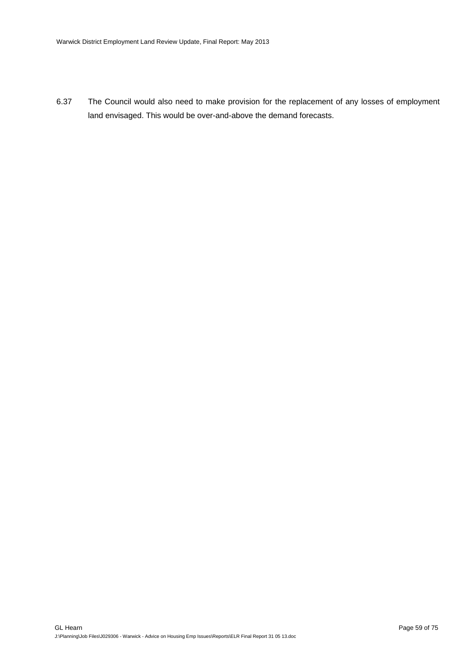6.37 The Council would also need to make provision for the replacement of any losses of employment land envisaged. This would be over-and-above the demand forecasts.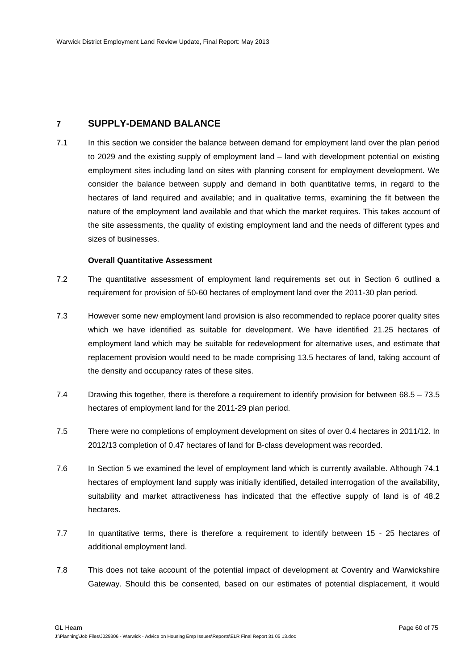## **7 SUPPLY-DEMAND BALANCE**

7.1 In this section we consider the balance between demand for employment land over the plan period to 2029 and the existing supply of employment land – land with development potential on existing employment sites including land on sites with planning consent for employment development. We consider the balance between supply and demand in both quantitative terms, in regard to the hectares of land required and available; and in qualitative terms, examining the fit between the nature of the employment land available and that which the market requires. This takes account of the site assessments, the quality of existing employment land and the needs of different types and sizes of businesses.

## **Overall Quantitative Assessment**

- 7.2 The quantitative assessment of employment land requirements set out in Section 6 outlined a requirement for provision of 50-60 hectares of employment land over the 2011-30 plan period.
- 7.3 However some new employment land provision is also recommended to replace poorer quality sites which we have identified as suitable for development. We have identified 21.25 hectares of employment land which may be suitable for redevelopment for alternative uses, and estimate that replacement provision would need to be made comprising 13.5 hectares of land, taking account of the density and occupancy rates of these sites.
- 7.4 Drawing this together, there is therefore a requirement to identify provision for between 68.5 73.5 hectares of employment land for the 2011-29 plan period.
- 7.5 There were no completions of employment development on sites of over 0.4 hectares in 2011/12. In 2012/13 completion of 0.47 hectares of land for B-class development was recorded.
- 7.6 In Section 5 we examined the level of employment land which is currently available. Although 74.1 hectares of employment land supply was initially identified, detailed interrogation of the availability, suitability and market attractiveness has indicated that the effective supply of land is of 48.2 hectares.
- 7.7 In quantitative terms, there is therefore a requirement to identify between 15 25 hectares of additional employment land.
- 7.8 This does not take account of the potential impact of development at Coventry and Warwickshire Gateway. Should this be consented, based on our estimates of potential displacement, it would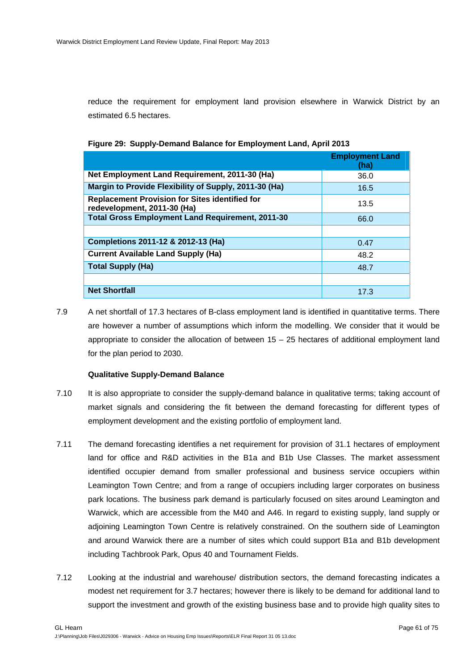reduce the requirement for employment land provision elsewhere in Warwick District by an estimated 6.5 hectares.

|                                                                                      | <b>Employment Land</b><br>(ha) |
|--------------------------------------------------------------------------------------|--------------------------------|
| Net Employment Land Requirement, 2011-30 (Ha)                                        | 36.0                           |
| Margin to Provide Flexibility of Supply, 2011-30 (Ha)                                | 16.5                           |
| <b>Replacement Provision for Sites identified for</b><br>redevelopment, 2011-30 (Ha) | 13.5                           |
| <b>Total Gross Employment Land Requirement, 2011-30</b>                              | 66.0                           |
|                                                                                      |                                |
| Completions 2011-12 & 2012-13 (Ha)                                                   | 0.47                           |
| <b>Current Available Land Supply (Ha)</b>                                            | 48.2                           |
| <b>Total Supply (Ha)</b>                                                             | 48.7                           |
|                                                                                      |                                |
| <b>Net Shortfall</b>                                                                 | 17.3                           |

**Figure 29: Supply-Demand Balance for Employment Land, April 2013** 

7.9 A net shortfall of 17.3 hectares of B-class employment land is identified in quantitative terms. There are however a number of assumptions which inform the modelling. We consider that it would be appropriate to consider the allocation of between  $15 - 25$  hectares of additional employment land for the plan period to 2030.

### **Qualitative Supply-Demand Balance**

- 7.10 It is also appropriate to consider the supply-demand balance in qualitative terms; taking account of market signals and considering the fit between the demand forecasting for different types of employment development and the existing portfolio of employment land.
- 7.11 The demand forecasting identifies a net requirement for provision of 31.1 hectares of employment land for office and R&D activities in the B1a and B1b Use Classes. The market assessment identified occupier demand from smaller professional and business service occupiers within Leamington Town Centre; and from a range of occupiers including larger corporates on business park locations. The business park demand is particularly focused on sites around Leamington and Warwick, which are accessible from the M40 and A46. In regard to existing supply, land supply or adjoining Leamington Town Centre is relatively constrained. On the southern side of Leamington and around Warwick there are a number of sites which could support B1a and B1b development including Tachbrook Park, Opus 40 and Tournament Fields.
- 7.12 Looking at the industrial and warehouse/ distribution sectors, the demand forecasting indicates a modest net requirement for 3.7 hectares; however there is likely to be demand for additional land to support the investment and growth of the existing business base and to provide high quality sites to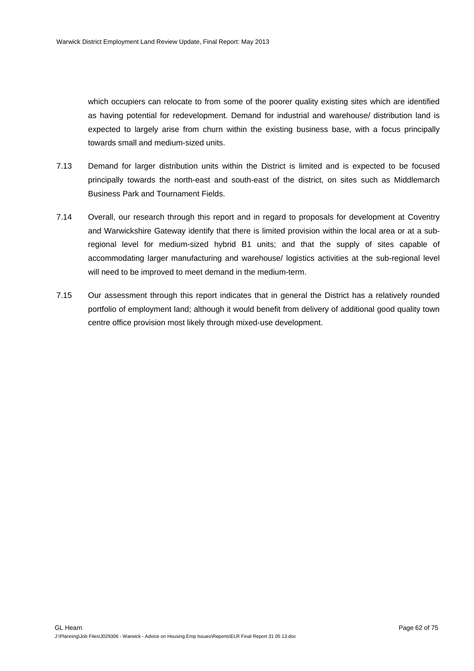which occupiers can relocate to from some of the poorer quality existing sites which are identified as having potential for redevelopment. Demand for industrial and warehouse/ distribution land is expected to largely arise from churn within the existing business base, with a focus principally towards small and medium-sized units.

- 7.13 Demand for larger distribution units within the District is limited and is expected to be focused principally towards the north-east and south-east of the district, on sites such as Middlemarch Business Park and Tournament Fields.
- 7.14 Overall, our research through this report and in regard to proposals for development at Coventry and Warwickshire Gateway identify that there is limited provision within the local area or at a subregional level for medium-sized hybrid B1 units; and that the supply of sites capable of accommodating larger manufacturing and warehouse/ logistics activities at the sub-regional level will need to be improved to meet demand in the medium-term.
- 7.15 Our assessment through this report indicates that in general the District has a relatively rounded portfolio of employment land; although it would benefit from delivery of additional good quality town centre office provision most likely through mixed-use development.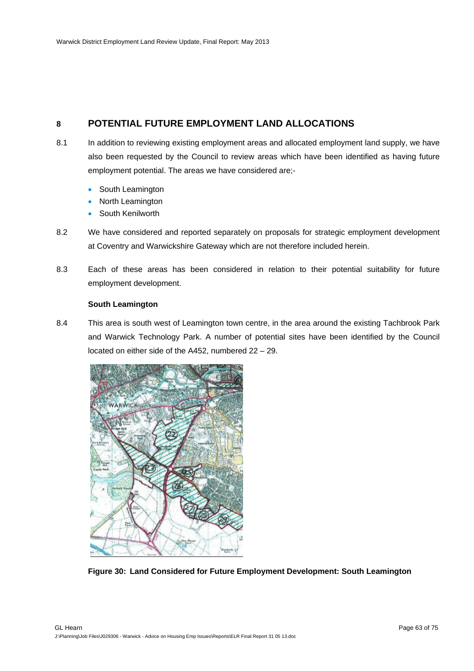# **8 POTENTIAL FUTURE EMPLOYMENT LAND ALLOCATIONS**

- 8.1 In addition to reviewing existing employment areas and allocated employment land supply, we have also been requested by the Council to review areas which have been identified as having future employment potential. The areas we have considered are;-
	- South Leamington
	- North Leamington
	- South Kenilworth
- 8.2 We have considered and reported separately on proposals for strategic employment development at Coventry and Warwickshire Gateway which are not therefore included herein.
- 8.3 Each of these areas has been considered in relation to their potential suitability for future employment development.

### **South Leamington**

8.4 This area is south west of Leamington town centre, in the area around the existing Tachbrook Park and Warwick Technology Park. A number of potential sites have been identified by the Council located on either side of the A452, numbered 22 – 29.



**Figure 30: Land Considered for Future Employment Development: South Leamington**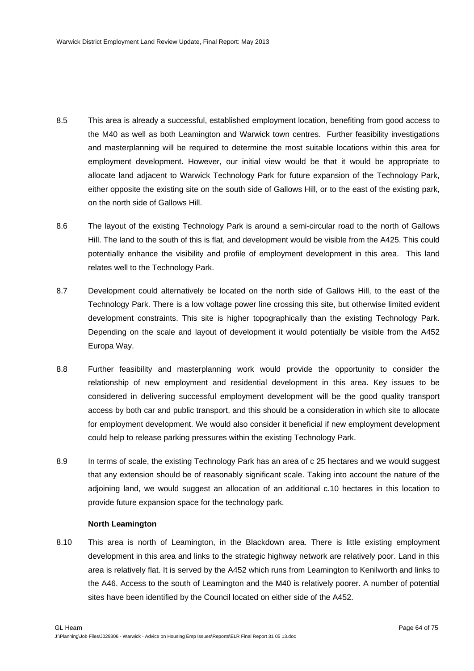- 8.5 This area is already a successful, established employment location, benefiting from good access to the M40 as well as both Leamington and Warwick town centres. Further feasibility investigations and masterplanning will be required to determine the most suitable locations within this area for employment development. However, our initial view would be that it would be appropriate to allocate land adjacent to Warwick Technology Park for future expansion of the Technology Park, either opposite the existing site on the south side of Gallows Hill, or to the east of the existing park, on the north side of Gallows Hill.
- 8.6 The layout of the existing Technology Park is around a semi-circular road to the north of Gallows Hill. The land to the south of this is flat, and development would be visible from the A425. This could potentially enhance the visibility and profile of employment development in this area. This land relates well to the Technology Park.
- 8.7 Development could alternatively be located on the north side of Gallows Hill, to the east of the Technology Park. There is a low voltage power line crossing this site, but otherwise limited evident development constraints. This site is higher topographically than the existing Technology Park. Depending on the scale and layout of development it would potentially be visible from the A452 Europa Way.
- 8.8 Further feasibility and masterplanning work would provide the opportunity to consider the relationship of new employment and residential development in this area. Key issues to be considered in delivering successful employment development will be the good quality transport access by both car and public transport, and this should be a consideration in which site to allocate for employment development. We would also consider it beneficial if new employment development could help to release parking pressures within the existing Technology Park.
- 8.9 In terms of scale, the existing Technology Park has an area of c 25 hectares and we would suggest that any extension should be of reasonably significant scale. Taking into account the nature of the adjoining land, we would suggest an allocation of an additional c.10 hectares in this location to provide future expansion space for the technology park.

### **North Leamington**

8.10 This area is north of Leamington, in the Blackdown area. There is little existing employment development in this area and links to the strategic highway network are relatively poor. Land in this area is relatively flat. It is served by the A452 which runs from Leamington to Kenilworth and links to the A46. Access to the south of Leamington and the M40 is relatively poorer. A number of potential sites have been identified by the Council located on either side of the A452.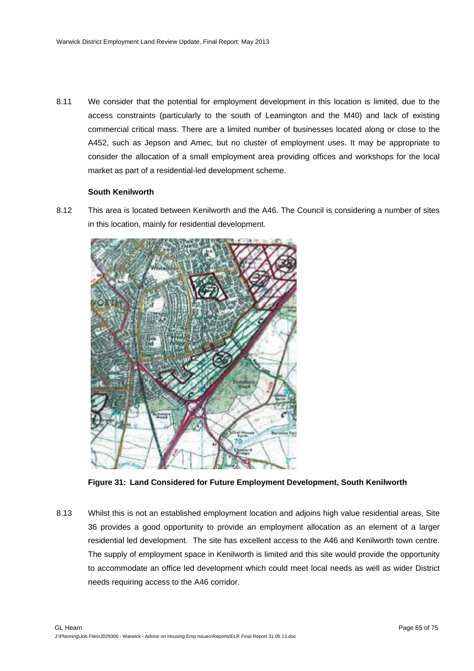8.11 We consider that the potential for employment development in this location is limited, due to the access constraints (particularly to the south of Leamington and the M40) and lack of existing commercial critical mass. There are a limited number of businesses located along or close to the A452, such as Jepson and Amec, but no cluster of employment uses. It may be appropriate to consider the allocation of a small employment area providing offices and workshops for the local market as part of a residential-led development scheme.

#### **South Kenilworth**

8.12 This area is located between Kenilworth and the A46. The Council is considering a number of sites in this location, mainly for residential development.



**Figure 31: Land Considered for Future Employment Development, South Kenilworth** 

8.13 Whilst this is not an established employment location and adjoins high value residential areas, Site 36 provides a good opportunity to provide an employment allocation as an element of a larger residential led development. The site has excellent access to the A46 and Kenilworth town centre. The supply of employment space in Kenilworth is limited and this site would provide the opportunity to accommodate an office led development which could meet local needs as well as wider District needs requiring access to the A46 corridor.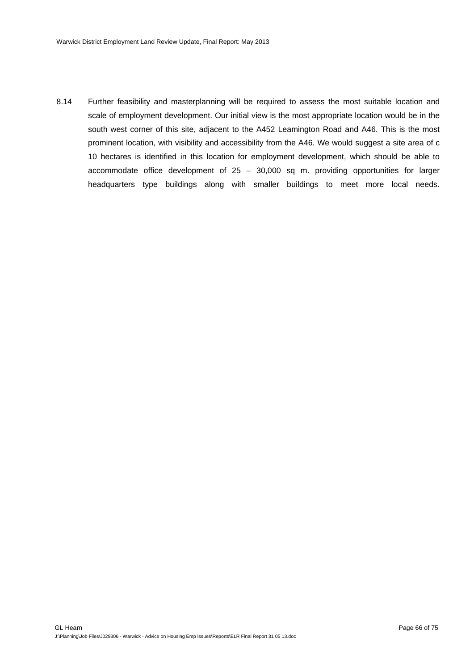8.14 Further feasibility and masterplanning will be required to assess the most suitable location and scale of employment development. Our initial view is the most appropriate location would be in the south west corner of this site, adjacent to the A452 Leamington Road and A46. This is the most prominent location, with visibility and accessibility from the A46. We would suggest a site area of c 10 hectares is identified in this location for employment development, which should be able to accommodate office development of  $25 - 30,000$  sq m. providing opportunities for larger headquarters type buildings along with smaller buildings to meet more local needs.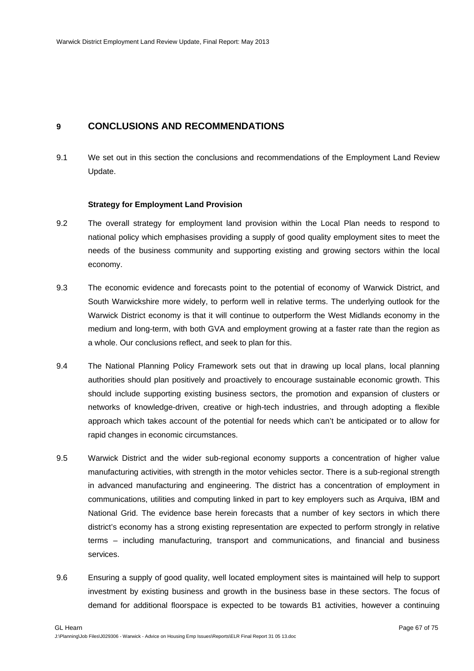# **9 CONCLUSIONS AND RECOMMENDATIONS**

9.1 We set out in this section the conclusions and recommendations of the Employment Land Review Update.

### **Strategy for Employment Land Provision**

- 9.2 The overall strategy for employment land provision within the Local Plan needs to respond to national policy which emphasises providing a supply of good quality employment sites to meet the needs of the business community and supporting existing and growing sectors within the local economy.
- 9.3 The economic evidence and forecasts point to the potential of economy of Warwick District, and South Warwickshire more widely, to perform well in relative terms. The underlying outlook for the Warwick District economy is that it will continue to outperform the West Midlands economy in the medium and long-term, with both GVA and employment growing at a faster rate than the region as a whole. Our conclusions reflect, and seek to plan for this.
- 9.4 The National Planning Policy Framework sets out that in drawing up local plans, local planning authorities should plan positively and proactively to encourage sustainable economic growth. This should include supporting existing business sectors, the promotion and expansion of clusters or networks of knowledge-driven, creative or high-tech industries, and through adopting a flexible approach which takes account of the potential for needs which can't be anticipated or to allow for rapid changes in economic circumstances.
- 9.5 Warwick District and the wider sub-regional economy supports a concentration of higher value manufacturing activities, with strength in the motor vehicles sector. There is a sub-regional strength in advanced manufacturing and engineering. The district has a concentration of employment in communications, utilities and computing linked in part to key employers such as Arquiva, IBM and National Grid. The evidence base herein forecasts that a number of key sectors in which there district's economy has a strong existing representation are expected to perform strongly in relative terms – including manufacturing, transport and communications, and financial and business services.
- 9.6 Ensuring a supply of good quality, well located employment sites is maintained will help to support investment by existing business and growth in the business base in these sectors. The focus of demand for additional floorspace is expected to be towards B1 activities, however a continuing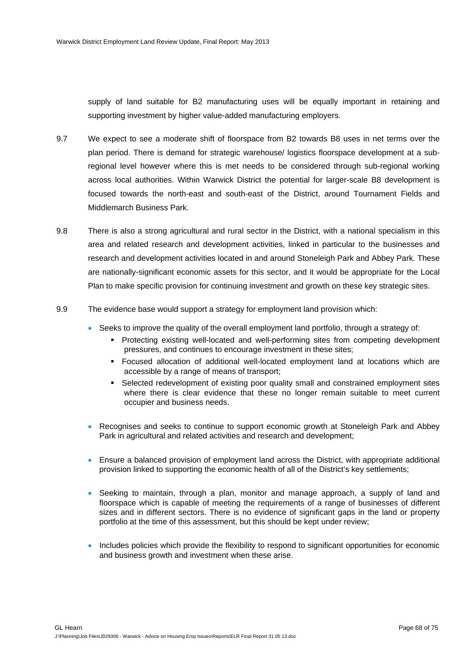supply of land suitable for B2 manufacturing uses will be equally important in retaining and supporting investment by higher value-added manufacturing employers.

- 9.7 We expect to see a moderate shift of floorspace from B2 towards B8 uses in net terms over the plan period. There is demand for strategic warehouse/ logistics floorspace development at a subregional level however where this is met needs to be considered through sub-regional working across local authorities. Within Warwick District the potential for larger-scale B8 development is focused towards the north-east and south-east of the District, around Tournament Fields and Middlemarch Business Park.
- 9.8 There is also a strong agricultural and rural sector in the District, with a national specialism in this area and related research and development activities, linked in particular to the businesses and research and development activities located in and around Stoneleigh Park and Abbey Park. These are nationally-significant economic assets for this sector, and it would be appropriate for the Local Plan to make specific provision for continuing investment and growth on these key strategic sites.
- 9.9 The evidence base would support a strategy for employment land provision which:
	- Seeks to improve the quality of the overall employment land portfolio, through a strategy of:
		- **Protecting existing well-located and well-performing sites from competing development** pressures, and continues to encourage investment in these sites;
		- Focused allocation of additional well-located employment land at locations which are accessible by a range of means of transport;
		- **Selected redevelopment of existing poor quality small and constrained employment sites** where there is clear evidence that these no longer remain suitable to meet current occupier and business needs.
	- Recognises and seeks to continue to support economic growth at Stoneleigh Park and Abbey Park in agricultural and related activities and research and development;
	- Ensure a balanced provision of employment land across the District, with appropriate additional provision linked to supporting the economic health of all of the District's key settlements;
	- Seeking to maintain, through a plan, monitor and manage approach, a supply of land and floorspace which is capable of meeting the requirements of a range of businesses of different sizes and in different sectors. There is no evidence of significant gaps in the land or property portfolio at the time of this assessment, but this should be kept under review;
	- Includes policies which provide the flexibility to respond to significant opportunities for economic and business growth and investment when these arise.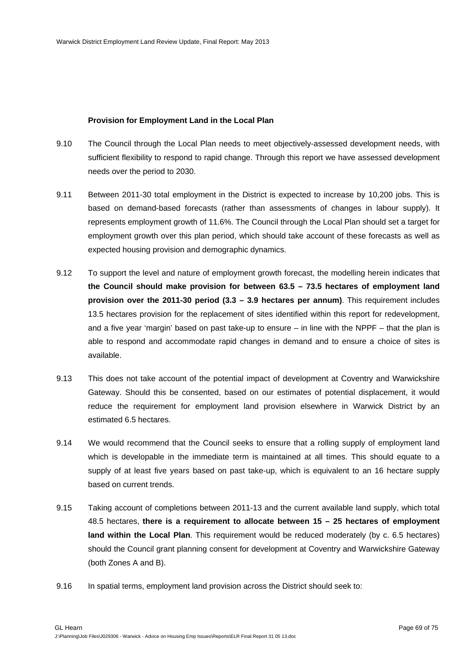### **Provision for Employment Land in the Local Plan**

- 9.10 The Council through the Local Plan needs to meet objectively-assessed development needs, with sufficient flexibility to respond to rapid change. Through this report we have assessed development needs over the period to 2030.
- 9.11 Between 2011-30 total employment in the District is expected to increase by 10,200 jobs. This is based on demand-based forecasts (rather than assessments of changes in labour supply). It represents employment growth of 11.6%. The Council through the Local Plan should set a target for employment growth over this plan period, which should take account of these forecasts as well as expected housing provision and demographic dynamics.
- 9.12 To support the level and nature of employment growth forecast, the modelling herein indicates that **the Council should make provision for between 63.5 – 73.5 hectares of employment land provision over the 2011-30 period (3.3 – 3.9 hectares per annum)**. This requirement includes 13.5 hectares provision for the replacement of sites identified within this report for redevelopment, and a five year 'margin' based on past take-up to ensure  $-$  in line with the NPPF  $-$  that the plan is able to respond and accommodate rapid changes in demand and to ensure a choice of sites is available.
- 9.13 This does not take account of the potential impact of development at Coventry and Warwickshire Gateway. Should this be consented, based on our estimates of potential displacement, it would reduce the requirement for employment land provision elsewhere in Warwick District by an estimated 6.5 hectares.
- 9.14 We would recommend that the Council seeks to ensure that a rolling supply of employment land which is developable in the immediate term is maintained at all times. This should equate to a supply of at least five years based on past take-up, which is equivalent to an 16 hectare supply based on current trends.
- 9.15 Taking account of completions between 2011-13 and the current available land supply, which total 48.5 hectares, **there is a requirement to allocate between 15 – 25 hectares of employment land within the Local Plan**. This requirement would be reduced moderately (by c. 6.5 hectares) should the Council grant planning consent for development at Coventry and Warwickshire Gateway (both Zones A and B).
- 9.16 In spatial terms, employment land provision across the District should seek to: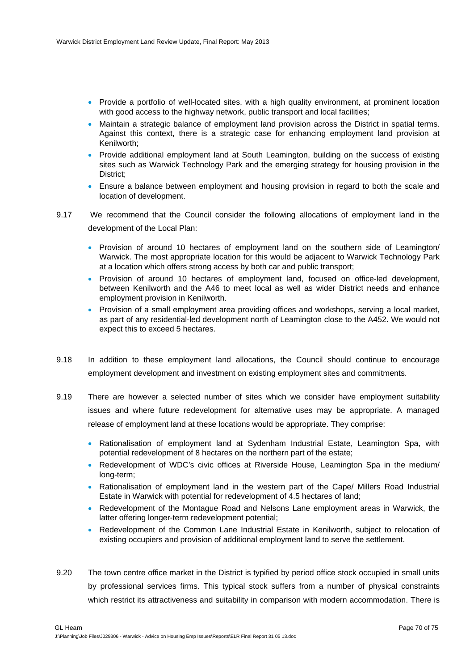- Provide a portfolio of well-located sites, with a high quality environment, at prominent location with good access to the highway network, public transport and local facilities;
- Maintain a strategic balance of employment land provision across the District in spatial terms. Against this context, there is a strategic case for enhancing employment land provision at Kenilworth;
- Provide additional employment land at South Leamington, building on the success of existing sites such as Warwick Technology Park and the emerging strategy for housing provision in the District;
- Ensure a balance between employment and housing provision in regard to both the scale and location of development.
- 9.17 We recommend that the Council consider the following allocations of employment land in the development of the Local Plan:
	- Provision of around 10 hectares of employment land on the southern side of Leamington/ Warwick. The most appropriate location for this would be adjacent to Warwick Technology Park at a location which offers strong access by both car and public transport;
	- Provision of around 10 hectares of employment land, focused on office-led development, between Kenilworth and the A46 to meet local as well as wider District needs and enhance employment provision in Kenilworth.
	- Provision of a small employment area providing offices and workshops, serving a local market, as part of any residential-led development north of Leamington close to the A452. We would not expect this to exceed 5 hectares.
- 9.18 In addition to these employment land allocations, the Council should continue to encourage employment development and investment on existing employment sites and commitments.
- 9.19 There are however a selected number of sites which we consider have employment suitability issues and where future redevelopment for alternative uses may be appropriate. A managed release of employment land at these locations would be appropriate. They comprise:
	- Rationalisation of employment land at Sydenham Industrial Estate, Leamington Spa, with potential redevelopment of 8 hectares on the northern part of the estate;
	- Redevelopment of WDC's civic offices at Riverside House, Leamington Spa in the medium/ long-term;
	- Rationalisation of employment land in the western part of the Cape/ Millers Road Industrial Estate in Warwick with potential for redevelopment of 4.5 hectares of land;
	- Redevelopment of the Montague Road and Nelsons Lane employment areas in Warwick, the latter offering longer-term redevelopment potential;
	- Redevelopment of the Common Lane Industrial Estate in Kenilworth, subject to relocation of existing occupiers and provision of additional employment land to serve the settlement.
- 9.20 The town centre office market in the District is typified by period office stock occupied in small units by professional services firms. This typical stock suffers from a number of physical constraints which restrict its attractiveness and suitability in comparison with modern accommodation. There is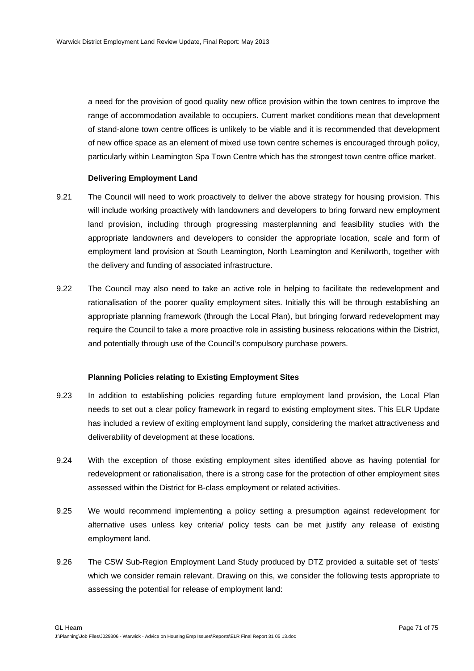a need for the provision of good quality new office provision within the town centres to improve the range of accommodation available to occupiers. Current market conditions mean that development of stand-alone town centre offices is unlikely to be viable and it is recommended that development of new office space as an element of mixed use town centre schemes is encouraged through policy, particularly within Leamington Spa Town Centre which has the strongest town centre office market.

### **Delivering Employment Land**

- 9.21 The Council will need to work proactively to deliver the above strategy for housing provision. This will include working proactively with landowners and developers to bring forward new employment land provision, including through progressing masterplanning and feasibility studies with the appropriate landowners and developers to consider the appropriate location, scale and form of employment land provision at South Leamington, North Leamington and Kenilworth, together with the delivery and funding of associated infrastructure.
- 9.22 The Council may also need to take an active role in helping to facilitate the redevelopment and rationalisation of the poorer quality employment sites. Initially this will be through establishing an appropriate planning framework (through the Local Plan), but bringing forward redevelopment may require the Council to take a more proactive role in assisting business relocations within the District, and potentially through use of the Council's compulsory purchase powers.

#### **Planning Policies relating to Existing Employment Sites**

- 9.23 In addition to establishing policies regarding future employment land provision, the Local Plan needs to set out a clear policy framework in regard to existing employment sites. This ELR Update has included a review of exiting employment land supply, considering the market attractiveness and deliverability of development at these locations.
- 9.24 With the exception of those existing employment sites identified above as having potential for redevelopment or rationalisation, there is a strong case for the protection of other employment sites assessed within the District for B-class employment or related activities.
- 9.25 We would recommend implementing a policy setting a presumption against redevelopment for alternative uses unless key criteria/ policy tests can be met justify any release of existing employment land.
- 9.26 The CSW Sub-Region Employment Land Study produced by DTZ provided a suitable set of 'tests' which we consider remain relevant. Drawing on this, we consider the following tests appropriate to assessing the potential for release of employment land: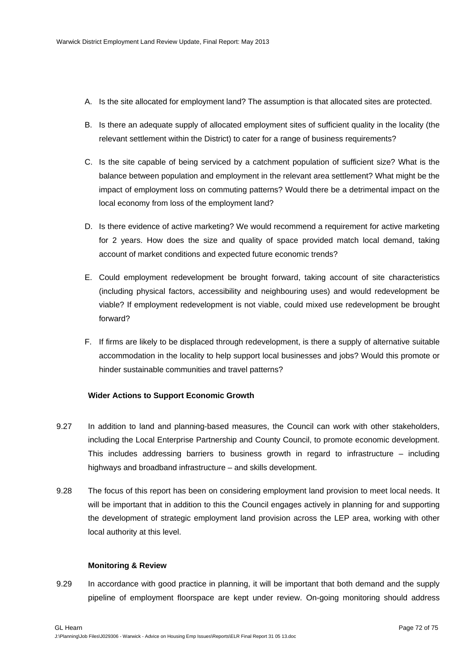- A. Is the site allocated for employment land? The assumption is that allocated sites are protected.
- B. Is there an adequate supply of allocated employment sites of sufficient quality in the locality (the relevant settlement within the District) to cater for a range of business requirements?
- C. Is the site capable of being serviced by a catchment population of sufficient size? What is the balance between population and employment in the relevant area settlement? What might be the impact of employment loss on commuting patterns? Would there be a detrimental impact on the local economy from loss of the employment land?
- D. Is there evidence of active marketing? We would recommend a requirement for active marketing for 2 years. How does the size and quality of space provided match local demand, taking account of market conditions and expected future economic trends?
- E. Could employment redevelopment be brought forward, taking account of site characteristics (including physical factors, accessibility and neighbouring uses) and would redevelopment be viable? If employment redevelopment is not viable, could mixed use redevelopment be brought forward?
- F. If firms are likely to be displaced through redevelopment, is there a supply of alternative suitable accommodation in the locality to help support local businesses and jobs? Would this promote or hinder sustainable communities and travel patterns?

## **Wider Actions to Support Economic Growth**

- 9.27 In addition to land and planning-based measures, the Council can work with other stakeholders, including the Local Enterprise Partnership and County Council, to promote economic development. This includes addressing barriers to business growth in regard to infrastructure – including highways and broadband infrastructure – and skills development.
- 9.28 The focus of this report has been on considering employment land provision to meet local needs. It will be important that in addition to this the Council engages actively in planning for and supporting the development of strategic employment land provision across the LEP area, working with other local authority at this level.

### **Monitoring & Review**

9.29 In accordance with good practice in planning, it will be important that both demand and the supply pipeline of employment floorspace are kept under review. On-going monitoring should address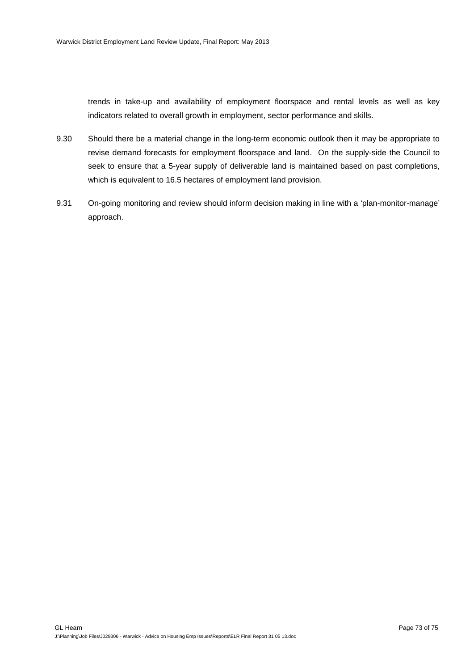trends in take-up and availability of employment floorspace and rental levels as well as key indicators related to overall growth in employment, sector performance and skills.

- 9.30 Should there be a material change in the long-term economic outlook then it may be appropriate to revise demand forecasts for employment floorspace and land. On the supply-side the Council to seek to ensure that a 5-year supply of deliverable land is maintained based on past completions, which is equivalent to 16.5 hectares of employment land provision.
- 9.31 On-going monitoring and review should inform decision making in line with a 'plan-monitor-manage' approach.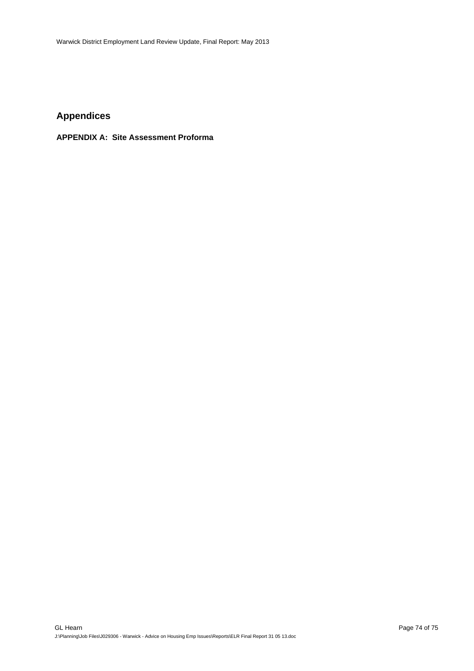## **Appendices**

#### **APPENDIX A: Site Assessment Proforma**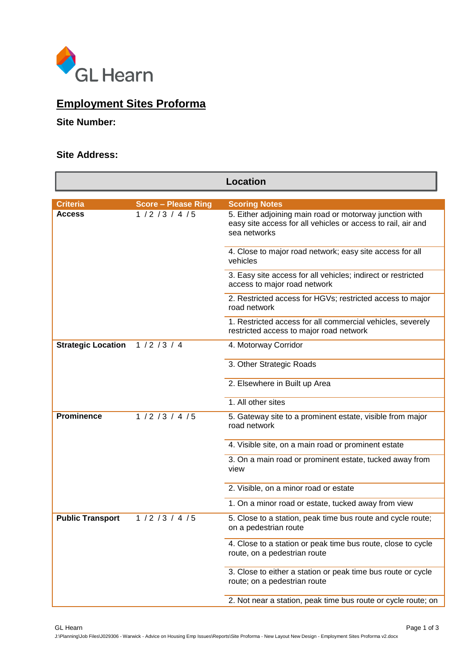

# **Employment Sites Proforma**

**Site Number:**

#### **Site Address:**

|                           |                            | <b>Location</b>                                                                                                                         |
|---------------------------|----------------------------|-----------------------------------------------------------------------------------------------------------------------------------------|
| Criteria                  | <b>Score - Please Ring</b> | <b>Scoring Notes</b>                                                                                                                    |
| <b>Access</b>             | 1/2/3/4/5                  | 5. Either adjoining main road or motorway junction with<br>easy site access for all vehicles or access to rail, air and<br>sea networks |
|                           |                            | 4. Close to major road network; easy site access for all<br>vehicles                                                                    |
|                           |                            | 3. Easy site access for all vehicles; indirect or restricted<br>access to major road network                                            |
|                           |                            | 2. Restricted access for HGVs; restricted access to major<br>road network                                                               |
|                           |                            | 1. Restricted access for all commercial vehicles, severely<br>restricted access to major road network                                   |
| <b>Strategic Location</b> | 1/2/3/4                    | 4. Motorway Corridor                                                                                                                    |
|                           |                            | 3. Other Strategic Roads                                                                                                                |
|                           |                            | 2. Elsewhere in Built up Area                                                                                                           |
|                           |                            | 1. All other sites                                                                                                                      |
| <b>Prominence</b>         | 1/2/3/4/5                  | 5. Gateway site to a prominent estate, visible from major<br>road network                                                               |
|                           |                            | 4. Visible site, on a main road or prominent estate                                                                                     |
|                           |                            | 3. On a main road or prominent estate, tucked away from<br>view                                                                         |
|                           |                            | 2. Visible, on a minor road or estate                                                                                                   |
|                           |                            | 1. On a minor road or estate, tucked away from view                                                                                     |
| <b>Public Transport</b>   | 1/2/3/4/5                  | 5. Close to a station, peak time bus route and cycle route;<br>on a pedestrian route                                                    |
|                           |                            | 4. Close to a station or peak time bus route, close to cycle<br>route, on a pedestrian route                                            |
|                           |                            | 3. Close to either a station or peak time bus route or cycle<br>route; on a pedestrian route                                            |
|                           |                            | 2. Not near a station, peak time bus route or cycle route; on                                                                           |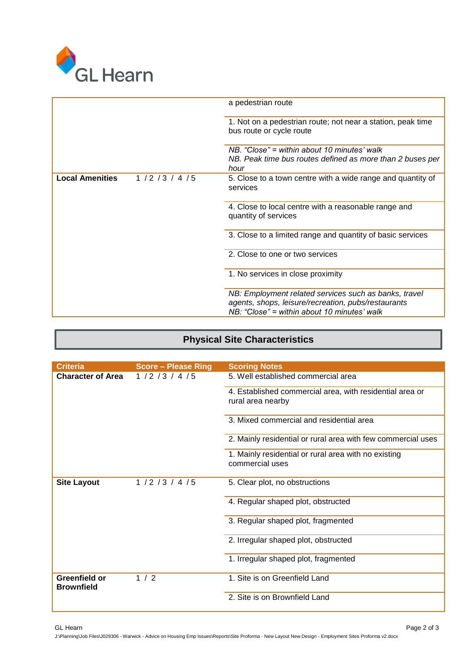

|                        |           | a pedestrian route                                                                                                                                          |  |  |  |  |  |  |  |
|------------------------|-----------|-------------------------------------------------------------------------------------------------------------------------------------------------------------|--|--|--|--|--|--|--|
|                        |           | 1. Not on a pedestrian route; not near a station, peak time<br>bus route or cycle route                                                                     |  |  |  |  |  |  |  |
|                        |           | $NB$ "Close" = within about 10 minutes' walk<br>NB. Peak time bus routes defined as more than 2 buses per<br>hour                                           |  |  |  |  |  |  |  |
| <b>Local Amenities</b> | 1/2/3/4/5 | 5. Close to a town centre with a wide range and quantity of<br>services                                                                                     |  |  |  |  |  |  |  |
|                        |           | 4. Close to local centre with a reasonable range and<br>quantity of services                                                                                |  |  |  |  |  |  |  |
|                        |           | 3. Close to a limited range and quantity of basic services                                                                                                  |  |  |  |  |  |  |  |
|                        |           | 2. Close to one or two services                                                                                                                             |  |  |  |  |  |  |  |
|                        |           | 1. No services in close proximity                                                                                                                           |  |  |  |  |  |  |  |
|                        |           | NB: Employment related services such as banks, travel<br>agents, shops, leisure/recreation, pubs/restaurants<br>NB: "Close" = within about 10 minutes' walk |  |  |  |  |  |  |  |

## **Physical Site Characteristics**

| <b>Criteria</b>                    | <b>Score - Please Ring</b> | <b>Scoring Notes</b>                                                          |  |  |  |  |  |
|------------------------------------|----------------------------|-------------------------------------------------------------------------------|--|--|--|--|--|
| <b>Character of Area</b>           | 1/2/3/4/5                  | 5. Well established commercial area                                           |  |  |  |  |  |
|                                    |                            | 4. Established commercial area, with residential area or<br>rural area nearby |  |  |  |  |  |
|                                    |                            | 3. Mixed commercial and residential area                                      |  |  |  |  |  |
|                                    |                            | 2. Mainly residential or rural area with few commercial uses                  |  |  |  |  |  |
|                                    |                            | 1. Mainly residential or rural area with no existing<br>commercial uses       |  |  |  |  |  |
| <b>Site Layout</b>                 | 1/2/3/4/5                  | 5. Clear plot, no obstructions                                                |  |  |  |  |  |
|                                    |                            | 4. Regular shaped plot, obstructed                                            |  |  |  |  |  |
|                                    |                            | 3. Regular shaped plot, fragmented                                            |  |  |  |  |  |
|                                    |                            | 2. Irregular shaped plot, obstructed                                          |  |  |  |  |  |
|                                    |                            | 1. Irregular shaped plot, fragmented                                          |  |  |  |  |  |
| Greenfield or<br><b>Brownfield</b> | 1/2                        | 1. Site is on Greenfield Land                                                 |  |  |  |  |  |
|                                    |                            | 2. Site is on Brownfield Land                                                 |  |  |  |  |  |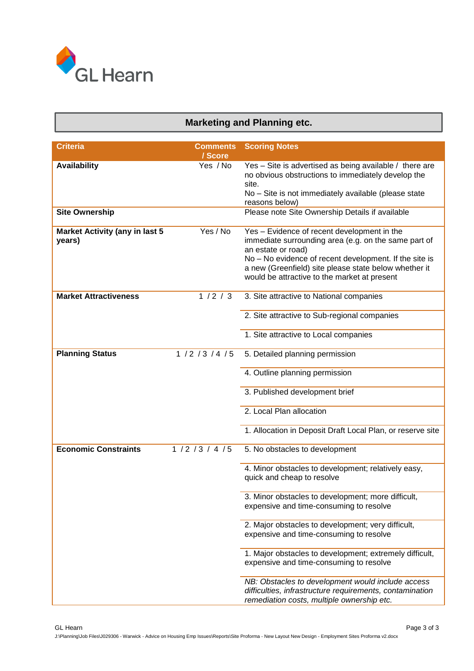

## **Marketing and Planning etc.**

| <b>Criteria</b>                                 | <b>Comments</b><br>/ Score | <b>Scoring Notes</b>                                                                                                                                                                                                                                                                         |
|-------------------------------------------------|----------------------------|----------------------------------------------------------------------------------------------------------------------------------------------------------------------------------------------------------------------------------------------------------------------------------------------|
| <b>Availability</b>                             | Yes / No                   | Yes - Site is advertised as being available / there are<br>no obvious obstructions to immediately develop the<br>site.<br>No - Site is not immediately available (please state<br>reasons below)                                                                                             |
| <b>Site Ownership</b>                           |                            | Please note Site Ownership Details if available                                                                                                                                                                                                                                              |
| <b>Market Activity (any in last 5</b><br>years) | Yes / No                   | Yes - Evidence of recent development in the<br>immediate surrounding area (e.g. on the same part of<br>an estate or road)<br>No - No evidence of recent development. If the site is<br>a new (Greenfield) site please state below whether it<br>would be attractive to the market at present |
| <b>Market Attractiveness</b>                    | 1/2/3                      | 3. Site attractive to National companies                                                                                                                                                                                                                                                     |
|                                                 |                            | 2. Site attractive to Sub-regional companies                                                                                                                                                                                                                                                 |
|                                                 |                            | 1. Site attractive to Local companies                                                                                                                                                                                                                                                        |
| <b>Planning Status</b>                          | 1/2/3/4/5                  | 5. Detailed planning permission                                                                                                                                                                                                                                                              |
|                                                 |                            | 4. Outline planning permission                                                                                                                                                                                                                                                               |
|                                                 |                            | 3. Published development brief                                                                                                                                                                                                                                                               |
|                                                 |                            | 2. Local Plan allocation                                                                                                                                                                                                                                                                     |
|                                                 |                            | 1. Allocation in Deposit Draft Local Plan, or reserve site                                                                                                                                                                                                                                   |
| <b>Economic Constraints</b>                     | 1/2/3/4/5                  | 5. No obstacles to development                                                                                                                                                                                                                                                               |
|                                                 |                            | 4. Minor obstacles to development; relatively easy,<br>quick and cheap to resolve                                                                                                                                                                                                            |
|                                                 |                            | 3. Minor obstacles to development; more difficult,<br>expensive and time-consuming to resolve                                                                                                                                                                                                |
|                                                 |                            | 2. Major obstacles to development; very difficult,<br>expensive and time-consuming to resolve                                                                                                                                                                                                |
|                                                 |                            | 1. Major obstacles to development; extremely difficult,<br>expensive and time-consuming to resolve                                                                                                                                                                                           |
|                                                 |                            | NB: Obstacles to development would include access<br>difficulties, infrastructure requirements, contamination<br>remediation costs, multiple ownership etc.                                                                                                                                  |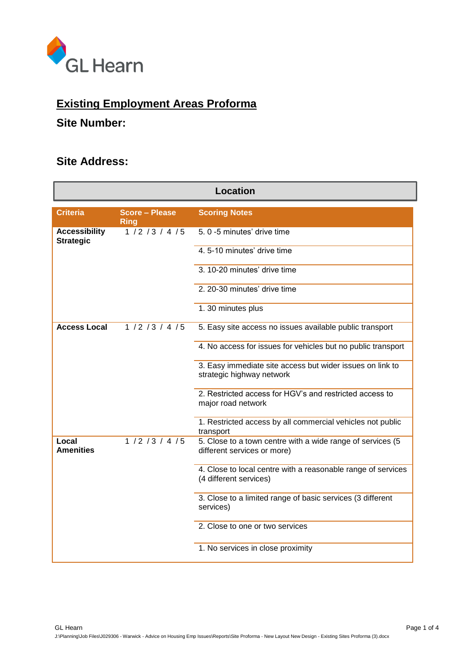

# **Existing Employment Areas Proforma**

### **Site Number:**

## **Site Address:**

|                                          | <b>Location</b>                      |                                                                                           |  |  |  |  |  |  |  |  |  |
|------------------------------------------|--------------------------------------|-------------------------------------------------------------------------------------------|--|--|--|--|--|--|--|--|--|
| <b>Criteria</b>                          | <b>Score - Please</b><br><b>Ring</b> | <b>Scoring Notes</b>                                                                      |  |  |  |  |  |  |  |  |  |
| <b>Accessibility</b><br><b>Strategic</b> | 1/2/3/4/5                            | 5.0 -5 minutes' drive time                                                                |  |  |  |  |  |  |  |  |  |
|                                          |                                      | 4.5-10 minutes' drive time                                                                |  |  |  |  |  |  |  |  |  |
|                                          |                                      | 3. 10-20 minutes' drive time                                                              |  |  |  |  |  |  |  |  |  |
|                                          |                                      | 2. 20-30 minutes' drive time                                                              |  |  |  |  |  |  |  |  |  |
|                                          |                                      | 1.30 minutes plus                                                                         |  |  |  |  |  |  |  |  |  |
| <b>Access Local</b>                      | 1/2/3/4/5                            | 5. Easy site access no issues available public transport                                  |  |  |  |  |  |  |  |  |  |
|                                          |                                      | 4. No access for issues for vehicles but no public transport                              |  |  |  |  |  |  |  |  |  |
|                                          |                                      | 3. Easy immediate site access but wider issues on link to<br>strategic highway network    |  |  |  |  |  |  |  |  |  |
|                                          |                                      | 2. Restricted access for HGV's and restricted access to<br>major road network             |  |  |  |  |  |  |  |  |  |
|                                          |                                      | 1. Restricted access by all commercial vehicles not public<br>transport                   |  |  |  |  |  |  |  |  |  |
| Local<br><b>Amenities</b>                | 1/2/3/4/5                            | 5. Close to a town centre with a wide range of services (5<br>different services or more) |  |  |  |  |  |  |  |  |  |
|                                          |                                      | 4. Close to local centre with a reasonable range of services<br>(4 different services)    |  |  |  |  |  |  |  |  |  |
|                                          |                                      | 3. Close to a limited range of basic services (3 different<br>services)                   |  |  |  |  |  |  |  |  |  |
|                                          |                                      | 2. Close to one or two services                                                           |  |  |  |  |  |  |  |  |  |
|                                          |                                      | 1. No services in close proximity                                                         |  |  |  |  |  |  |  |  |  |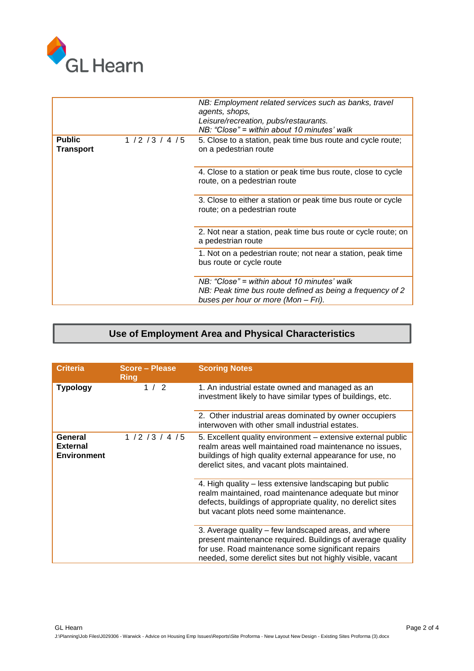

|                                   |           | NB: Employment related services such as banks, travel<br>agents, shops,<br>Leisure/recreation, pubs/restaurants.<br>NB: "Close" = within about 10 minutes' walk |
|-----------------------------------|-----------|-----------------------------------------------------------------------------------------------------------------------------------------------------------------|
| <b>Public</b><br><b>Transport</b> | 1/2/3/4/5 | 5. Close to a station, peak time bus route and cycle route;<br>on a pedestrian route                                                                            |
|                                   |           | 4. Close to a station or peak time bus route, close to cycle<br>route, on a pedestrian route                                                                    |
|                                   |           | 3. Close to either a station or peak time bus route or cycle<br>route; on a pedestrian route                                                                    |
|                                   |           | 2. Not near a station, peak time bus route or cycle route; on<br>a pedestrian route                                                                             |
|                                   |           | 1. Not on a pedestrian route; not near a station, peak time<br>bus route or cycle route                                                                         |
|                                   |           | NB: "Close" = within about 10 minutes' walk<br>NB: Peak time bus route defined as being a frequency of 2<br>buses per hour or more (Mon - Fri).                 |

## **Use of Employment Area and Physical Characteristics**

| <b>Criteria</b>                                  | <b>Score - Please</b><br>Ring | <b>Scoring Notes</b>                                                                                                                                                                                                                   |
|--------------------------------------------------|-------------------------------|----------------------------------------------------------------------------------------------------------------------------------------------------------------------------------------------------------------------------------------|
| <b>Typology</b>                                  | 1/2                           | 1. An industrial estate owned and managed as an<br>investment likely to have similar types of buildings, etc.                                                                                                                          |
|                                                  |                               | 2. Other industrial areas dominated by owner occupiers<br>interwoven with other small industrial estates.                                                                                                                              |
| General<br><b>External</b><br><b>Environment</b> | 1/2/3/4/5                     | 5. Excellent quality environment – extensive external public<br>realm areas well maintained road maintenance no issues,<br>buildings of high quality external appearance for use, no<br>derelict sites, and vacant plots maintained.   |
|                                                  |                               | 4. High quality – less extensive landscaping but public<br>realm maintained, road maintenance adequate but minor<br>defects, buildings of appropriate quality, no derelict sites<br>but vacant plots need some maintenance.            |
|                                                  |                               | 3. Average quality – few landscaped areas, and where<br>present maintenance required. Buildings of average quality<br>for use. Road maintenance some significant repairs<br>needed, some derelict sites but not highly visible, vacant |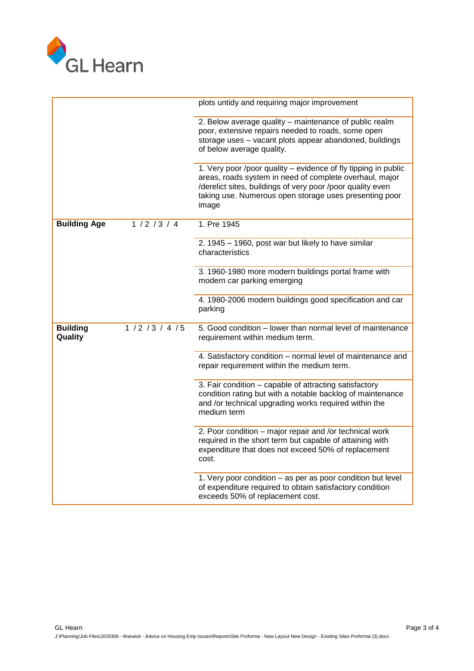

|                            |           | plots untidy and requiring major improvement                                                                                                                                                                                                               |
|----------------------------|-----------|------------------------------------------------------------------------------------------------------------------------------------------------------------------------------------------------------------------------------------------------------------|
|                            |           | 2. Below average quality - maintenance of public realm<br>poor, extensive repairs needed to roads, some open<br>storage uses - vacant plots appear abandoned, buildings<br>of below average quality.                                                       |
|                            |           | 1. Very poor /poor quality - evidence of fly tipping in public<br>areas, roads system in need of complete overhaul, major<br>/derelict sites, buildings of very poor /poor quality even<br>taking use. Numerous open storage uses presenting poor<br>image |
| <b>Building Age</b>        | 1/2/3/4   | 1. Pre 1945                                                                                                                                                                                                                                                |
|                            |           | 2. 1945 - 1960, post war but likely to have similar<br>characteristics                                                                                                                                                                                     |
|                            |           | 3. 1960-1980 more modern buildings portal frame with<br>modern car parking emerging                                                                                                                                                                        |
|                            |           | 4. 1980-2006 modern buildings good specification and car<br>parking                                                                                                                                                                                        |
| <b>Building</b><br>Quality | 1/2/3/4/5 | 5. Good condition - lower than normal level of maintenance<br>requirement within medium term.                                                                                                                                                              |
|                            |           | 4. Satisfactory condition - normal level of maintenance and<br>repair requirement within the medium term.                                                                                                                                                  |
|                            |           | 3. Fair condition - capable of attracting satisfactory<br>condition rating but with a notable backlog of maintenance<br>and /or technical upgrading works required within the<br>medium term                                                               |
|                            |           | 2. Poor condition - major repair and /or technical work<br>required in the short term but capable of attaining with<br>expenditure that does not exceed 50% of replacement<br>cost.                                                                        |
|                            |           | 1. Very poor condition - as per as poor condition but level<br>of expenditure required to obtain satisfactory condition<br>exceeds 50% of replacement cost.                                                                                                |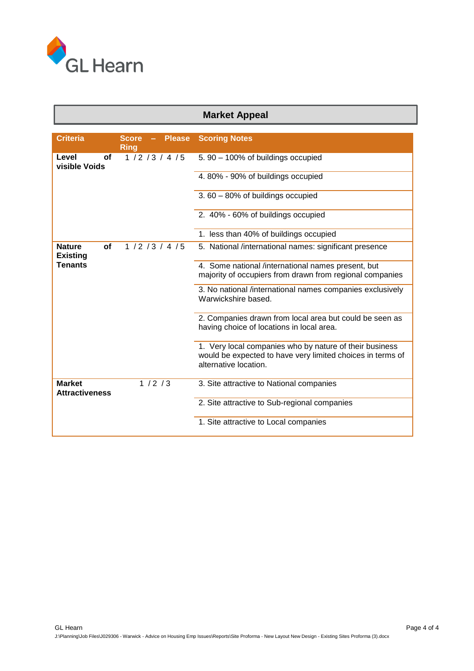

# **Market Appeal**

| <b>Criteria</b>                        | <b>Please</b><br><b>Score</b><br><b>Ring</b> | <b>Scoring Notes</b>                                                                                                                           |  |  |  |  |  |
|----------------------------------------|----------------------------------------------|------------------------------------------------------------------------------------------------------------------------------------------------|--|--|--|--|--|
| <b>of</b><br>Level<br>visible Voids    | 1/2/3/4/5                                    | 5.90 - 100% of buildings occupied                                                                                                              |  |  |  |  |  |
|                                        |                                              | 4.80% - 90% of buildings occupied                                                                                                              |  |  |  |  |  |
|                                        |                                              | 3.60 - 80% of buildings occupied                                                                                                               |  |  |  |  |  |
|                                        |                                              | 2. 40% - 60% of buildings occupied                                                                                                             |  |  |  |  |  |
|                                        |                                              | 1. less than 40% of buildings occupied                                                                                                         |  |  |  |  |  |
| of<br><b>Nature</b><br><b>Existing</b> | 1/2/3/4/5                                    | 5. National /international names: significant presence                                                                                         |  |  |  |  |  |
| <b>Tenants</b>                         |                                              | 4. Some national /international names present, but<br>majority of occupiers from drawn from regional companies                                 |  |  |  |  |  |
|                                        |                                              | 3. No national /international names companies exclusively<br>Warwickshire based.                                                               |  |  |  |  |  |
|                                        |                                              | 2. Companies drawn from local area but could be seen as<br>having choice of locations in local area.                                           |  |  |  |  |  |
|                                        |                                              | 1. Very local companies who by nature of their business<br>would be expected to have very limited choices in terms of<br>alternative location. |  |  |  |  |  |
| <b>Market</b><br><b>Attractiveness</b> | 1/2/3                                        | 3. Site attractive to National companies                                                                                                       |  |  |  |  |  |
|                                        |                                              | 2. Site attractive to Sub-regional companies                                                                                                   |  |  |  |  |  |
|                                        |                                              | 1. Site attractive to Local companies                                                                                                          |  |  |  |  |  |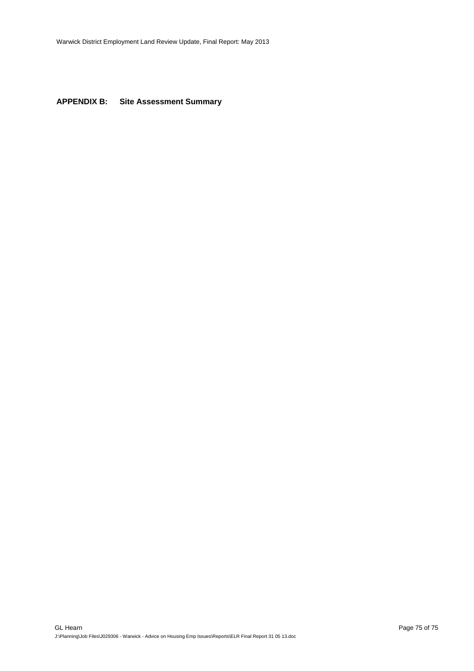**APPENDIX B: Site Assessment Summary**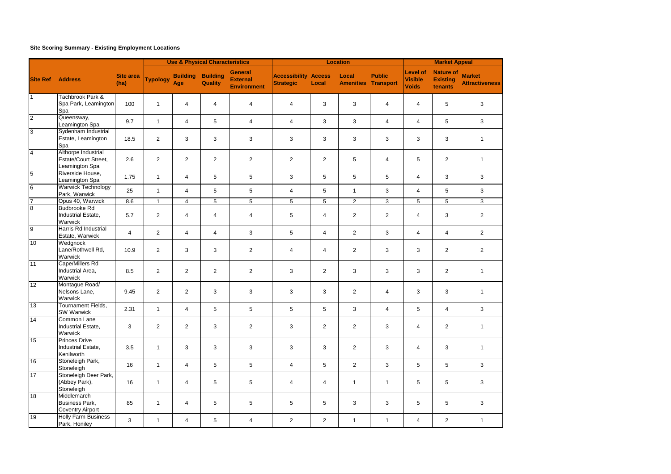#### **Site Scoring Summary - Existing Employment Locations**

|                 |                                                                    |                          |                 | <b>Use &amp; Physical Characteristics</b> |                                   |                                                         | <b>Location</b>                                 |                |                                            |                         | <b>Market Appeal</b>                              |                                                |                                        |  |
|-----------------|--------------------------------------------------------------------|--------------------------|-----------------|-------------------------------------------|-----------------------------------|---------------------------------------------------------|-------------------------------------------------|----------------|--------------------------------------------|-------------------------|---------------------------------------------------|------------------------------------------------|----------------------------------------|--|
| <b>Site Ref</b> | <b>Address</b>                                                     | <b>Site area</b><br>(ha) | <b>Typology</b> | <b>Building</b><br>Age                    | <b>Building</b><br><b>Quality</b> | <b>General</b><br><b>External</b><br><b>Environment</b> | <b>Accessibility Access</b><br><b>Strategic</b> | Local          | <b>Local</b><br><b>Amenities Transport</b> | <b>Public</b>           | <b>Level of</b><br><b>Visible</b><br><b>Voids</b> | <b>Nature of</b><br><b>Existing</b><br>tenants | <b>Market</b><br><b>Attractiveness</b> |  |
| 11.             | <b>Tachbrook Park &amp;</b><br>Spa Park, Leamington<br><b>S</b> pa | 100                      | $\mathbf{1}$    | 4                                         | 4                                 | 4                                                       | $\overline{4}$                                  | $\mathbf{3}$   | 3                                          | $\overline{4}$          | 4                                                 | 5                                              | $\mathbf{3}$                           |  |
| $\overline{2}$  | Queensway,<br>Leamington Spa                                       | 9.7                      | $\mathbf{1}$    | $\overline{4}$                            | 5                                 | $\overline{4}$                                          | $\overline{4}$                                  | 3              | 3                                          | $\overline{4}$          | $\overline{4}$                                    | 5                                              | 3                                      |  |
| $\overline{3}$  | Sydenham Industrial<br>Estate, Leamington<br>Spa                   | 18.5                     | $\overline{2}$  | 3                                         | 3                                 | 3                                                       | $\mathfrak{S}$                                  | 3              | 3                                          | 3                       | 3                                                 | 3                                              |                                        |  |
| $\overline{4}$  | Althorpe Industrial<br>Estate/Court Street,<br>Leamington Spa      | 2.6                      | $\overline{2}$  | $\overline{2}$                            | $\overline{2}$                    | $\overline{2}$                                          | $\overline{2}$                                  | $\overline{2}$ | $5\phantom{.0}$                            | 4                       | 5                                                 | $\overline{2}$                                 | $\mathbf{1}$                           |  |
| $\overline{5}$  | Riverside House,<br>Leamington Spa                                 | 1.75                     | $\mathbf{1}$    | 4                                         | 5                                 | 5                                                       | $\mathfrak{S}$                                  | $\overline{5}$ | $5\phantom{.0}$                            | 5                       | $\overline{4}$                                    | 3                                              | 3                                      |  |
| $\sqrt{6}$      | <b>Warwick Technology</b><br>Park, Warwick                         | 25                       | $\mathbf{1}$    | 4                                         | 5                                 | 5                                                       | 4                                               | 5              | $\mathbf{1}$                               | 3                       | 4                                                 | 5                                              | 3                                      |  |
| 7               | Opus 40, Warwick                                                   | 8.6                      | $\overline{1}$  | $\overline{4}$                            | 5                                 | $\overline{5}$                                          | 5                                               | 5              | $\overline{2}$                             | 3                       | 5                                                 | 5                                              | 3                                      |  |
| $\overline{8}$  | <b>Budbrooke Rd</b><br>Industrial Estate,<br>Warwick               | 5.7                      | $\overline{2}$  | $\overline{4}$                            | $\overline{4}$                    | 4                                                       | $\overline{5}$                                  | 4              | $\overline{2}$                             | $\overline{2}$          | $\overline{4}$                                    | 3                                              | $\overline{2}$                         |  |
| $\overline{9}$  | Harris Rd Industrial<br>Estate, Warwick                            | $\overline{4}$           | $\overline{2}$  | $\overline{4}$                            | $\overline{4}$                    | 3                                                       | 5<br>$\overline{4}$                             |                | $\overline{2}$                             | 3                       | $\overline{4}$                                    | $\overline{4}$                                 | $\overline{2}$                         |  |
| 10              | Wedgnock<br>Lane/Rothwell Rd,<br>Warwick                           | 10.9                     | $\overline{2}$  | 3                                         | 3                                 | $\overline{2}$                                          | $\overline{4}$<br>$\overline{4}$                |                | $\overline{2}$                             | 3                       | 3                                                 | $\overline{2}$                                 | $\mathbf{2}$                           |  |
| $\sqrt{11}$     | Cape/Millers Rd<br>Industrial Area,<br>Warwick                     | 8.5                      | $\overline{2}$  | $\overline{2}$                            | $\overline{2}$                    | $\overline{2}$                                          | $\mathbf{3}$                                    | $\overline{2}$ | 3                                          | 3                       | 3                                                 | $\mathbf{2}$                                   | $\mathbf{1}$                           |  |
| $\overline{12}$ | Montague Road/<br>Nelsons Lane,<br>Warwick                         | 9.45                     | $\mathbf{2}$    | $\overline{2}$                            | 3                                 | 3                                                       | $\mathfrak{S}$                                  | $\mathbf{3}$   | $\overline{2}$                             | $\overline{\mathbf{4}}$ | $\mathfrak{S}$                                    | 3                                              | $\mathbf 1$                            |  |
| $\sqrt{13}$     | Tournament Fields,<br><b>SW Warwick</b>                            | 2.31                     | $\mathbf{1}$    | $\overline{4}$                            | 5                                 | 5 <sup>5</sup>                                          | $5\phantom{.0}$                                 | 5 <sup>5</sup> | 3                                          | 4                       | 5 <sub>5</sub>                                    | $\overline{4}$                                 | 3                                      |  |
| $\overline{14}$ | Common Lane<br>Industrial Estate,<br>Warwick                       | 3                        | $\overline{2}$  | $\overline{2}$                            | 3                                 | $\overline{2}$                                          | $\mathbf{3}$                                    | $2^{\circ}$    | $\overline{2}$                             | 3                       | $\overline{4}$                                    | $\overline{2}$                                 | $\mathbf{1}$                           |  |
| 15              | <b>Princes Drive</b><br>Industrial Estate,<br>Kenilworth           | 3.5                      | $\mathbf{1}$    | 3                                         | 3                                 | $\mathbf{3}$                                            | $\mathbf{3}$                                    | 3              | $\overline{2}$                             | 3                       | $\overline{4}$                                    | $\mathbf{3}$                                   | $\mathbf{1}$                           |  |
| $\overline{16}$ | Stoneleigh Park,<br>Stoneleigh                                     | 16                       | $\mathbf{1}$    | $\overline{4}$                            | $5\overline{)}$                   | 5                                                       | $\overline{4}$                                  | 5 <sup>5</sup> | $\overline{2}$                             | $\mathbf{3}$            | 5                                                 | 5 <sup>5</sup>                                 | $\mathbf{3}$                           |  |
| $\overline{17}$ | Stoneleigh Deer Park,<br>(Abbey Park),<br>Stoneleigh               | 16                       | $\mathbf{1}$    | $\overline{4}$                            | $5\overline{)}$                   | 5                                                       | $\overline{4}$                                  | 4              | $\mathbf{1}$                               | $\mathbf{1}$            | 5                                                 | 5                                              | 3                                      |  |
| $\overline{18}$ | Middlemarch<br>Business Park,<br>Coventry Airport                  | 85                       | $\mathbf{1}$    | $\overline{4}$                            | 5                                 | 5                                                       | $\overline{5}$                                  | 5              | $\mathbf{3}$                               | 3                       | 5                                                 | 5                                              | 3                                      |  |
| $\sqrt{19}$     | <b>Holly Farm Business</b><br>Park, Honiley                        | 3                        | $\mathbf{1}$    | 4                                         | 5                                 | 4                                                       | $\overline{2}$                                  | $\overline{2}$ | $\mathbf{1}$                               | $\overline{1}$          | 4                                                 | $\overline{2}$                                 | $\mathbf{1}$                           |  |